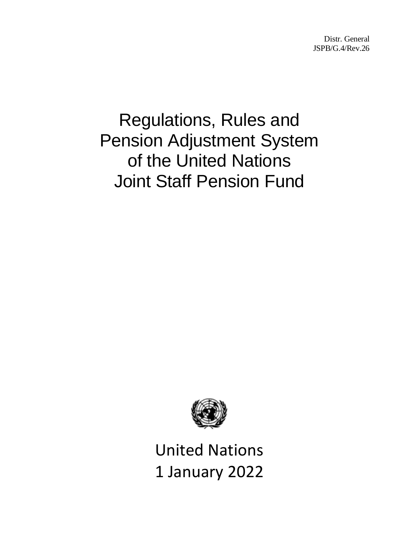Distr. General JSPB/G.4/Rev.26

# Regulations, Rules and Pension Adjustment System of the United Nations Joint Staff Pension Fund



United Nations 1 January 2022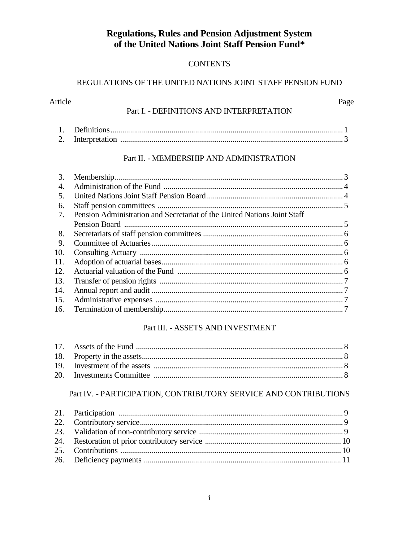# **Regulations, Rules and Pension Adjustment System** of the United Nations Joint Staff Pension Fund\*

# **CONTENTS**

# REGULATIONS OF THE UNITED NATIONS JOINT STAFF PENSION FUND

# Page Part I. - DEFINITIONS AND INTERPRETATION

Article

| ــ |  |
|----|--|

# Part II. - MEMBERSHIP AND ADMINISTRATION

| 3.  |                                                                          |  |
|-----|--------------------------------------------------------------------------|--|
| 4.  |                                                                          |  |
| 5.  |                                                                          |  |
| 6.  |                                                                          |  |
| 7.  | Pension Administration and Secretariat of the United Nations Joint Staff |  |
|     |                                                                          |  |
| 8.  |                                                                          |  |
| 9.  |                                                                          |  |
| 10. |                                                                          |  |
| 11. |                                                                          |  |
| 12. |                                                                          |  |
| 13. |                                                                          |  |
| 14. |                                                                          |  |
| 15. |                                                                          |  |
| 16. |                                                                          |  |

# Part III. - ASSETS AND INVESTMENT

## Part IV. - PARTICIPATION, CONTRIBUTORY SERVICE AND CONTRIBUTIONS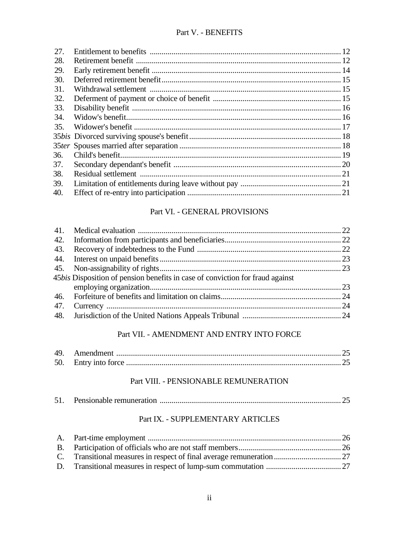# Part V. - BENEFITS

| 27. |  |
|-----|--|
| 28. |  |
| 29. |  |
| 30. |  |
| 31. |  |
| 32. |  |
| 33. |  |
| 34. |  |
| 35. |  |
|     |  |
|     |  |
| 36. |  |
| 37. |  |
| 38. |  |
| 39. |  |
| 40. |  |

# Part VI. - GENERAL PROVISIONS

|     | 45bis Disposition of pension benefits in case of conviction for fraud against |  |
|-----|-------------------------------------------------------------------------------|--|
|     |                                                                               |  |
|     |                                                                               |  |
| 47. |                                                                               |  |
|     |                                                                               |  |
|     |                                                                               |  |

# Part VII. - AMENDMENT AND ENTRY INTO FORCE

| 49 |  |
|----|--|
| 50 |  |

#### Part VIII. - PENSIONABLE REMUNERATION

| 51. |  |  |  |  |
|-----|--|--|--|--|
|-----|--|--|--|--|

# Part IX. - SUPPLEMENTARY ARTICLES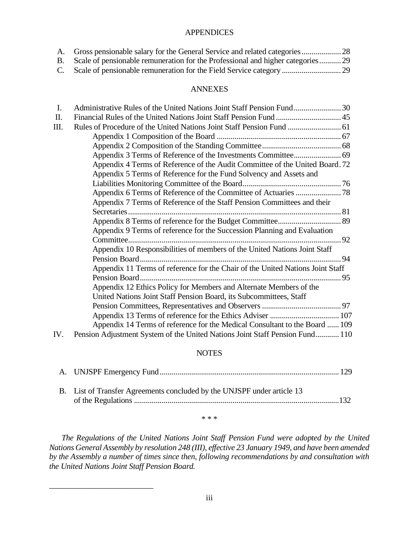#### APPENDICES

| Scale of pensionable remuneration for the Professional and higher categories 29 |  |
|---------------------------------------------------------------------------------|--|
|                                                                                 |  |

#### ANNEXES

| I.  | Administrative Rules of the United Nations Joint Staff Pension Fund30          |  |
|-----|--------------------------------------------------------------------------------|--|
| II. |                                                                                |  |
| Ш.  |                                                                                |  |
|     |                                                                                |  |
|     |                                                                                |  |
|     | Appendix 3 Terms of Reference of the Investments Committee 69                  |  |
|     | Appendix 4 Terms of Reference of the Audit Committee of the United Board. 72   |  |
|     | Appendix 5 Terms of Reference for the Fund Solvency and Assets and             |  |
|     |                                                                                |  |
|     | Appendix 6 Terms of Reference of the Committee of Actuaries  78                |  |
|     | Appendix 7 Terms of Reference of the Staff Pension Committees and their        |  |
|     |                                                                                |  |
|     |                                                                                |  |
|     | Appendix 9 Terms of reference for the Succession Planning and Evaluation       |  |
|     |                                                                                |  |
|     | Appendix 10 Responsibilities of members of the United Nations Joint Staff      |  |
|     |                                                                                |  |
|     | Appendix 11 Terms of reference for the Chair of the United Nations Joint Staff |  |
|     |                                                                                |  |
|     | Appendix 12 Ethics Policy for Members and Alternate Members of the             |  |
|     | United Nations Joint Staff Pension Board, its Subcommittees, Staff             |  |
|     |                                                                                |  |
|     |                                                                                |  |
|     | Appendix 14 Terms of reference for the Medical Consultant to the Board  109    |  |
| IV. | Pension Adjustment System of the United Nations Joint Staff Pension Fund 110   |  |

## NOTES

| B. List of Transfer Agreements concluded by the UNJSPF under article 13 |  |
|-------------------------------------------------------------------------|--|
|                                                                         |  |
|                                                                         |  |

\* \* \*

*The Regulations of the United Nations Joint Staff Pension Fund were adopted by the United Nations General Assembly by resolution 248 (III), effective 23 January 1949, and have been amended by the Assembly a number of times since then, following recommendations by and consultation with the United Nations Joint Staff Pension Board.*

\_\_\_\_\_\_\_\_\_\_\_\_\_\_\_\_\_\_\_\_\_\_\_\_\_\_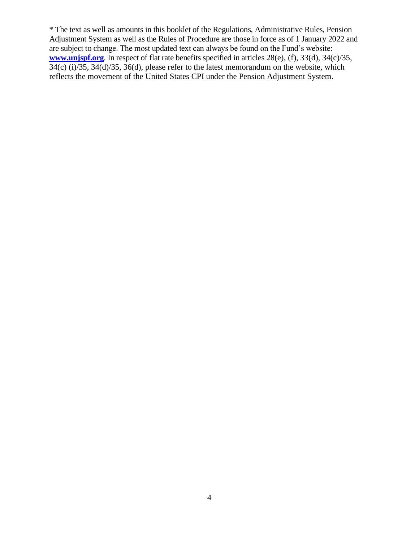\* The text as well as amounts in this booklet of the Regulations, Administrative Rules, Pension Adjustment System as well as the Rules of Procedure are those in force as of 1 January 2022 and are subject to change. The most updated text can always be found on the Fund's website: **[www.unjspf.org](http://www.unjspf.org/)**. In respect of flat rate benefits specified in articles 28(e), (f), 33(d), 34(c)/35,  $34(c)$  (i)/35,  $34(d)$ /35,  $36(d)$ , please refer to the latest memorandum on the website, which reflects the movement of the United States CPI under the Pension Adjustment System.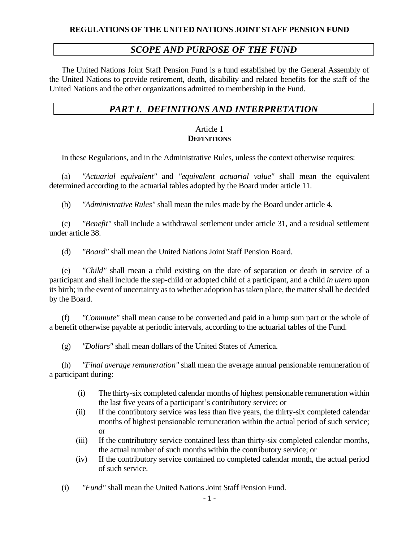# *SCOPE AND PURPOSE OF THE FUND*

The United Nations Joint Staff Pension Fund is a fund established by the General Assembly of the United Nations to provide retirement, death, disability and related benefits for the staff of the United Nations and the other organizations admitted to membership in the Fund.

# *PART I. DEFINITIONS AND INTERPRETATION*

## Article 1 **DEFINITIONS**

In these Regulations, and in the Administrative Rules, unless the context otherwise requires:

(a) *"Actuarial equivalent"* and *"equivalent actuarial value"* shall mean the equivalent determined according to the actuarial tables adopted by the Board under article 11.

(b) *"Administrative Rules"* shall mean the rules made by the Board under article 4.

(c) *"Benefit"* shall include a withdrawal settlement under article 31, and a residual settlement under article 38.

(d) *"Board"* shall mean the United Nations Joint Staff Pension Board.

(e) *"Child"* shall mean a child existing on the date of separation or death in service of a participant and shall include the step-child or adopted child of a participant, and a child *in utero* upon its birth; in the event of uncertainty as to whether adoption has taken place, the matter shall be decided by the Board.

(f) *"Commute"* shall mean cause to be converted and paid in a lump sum part or the whole of a benefit otherwise payable at periodic intervals, according to the actuarial tables of the Fund.

(g) *"Dollars"* shall mean dollars of the United States of America.

(h) *"Final average remuneration"* shall mean the average annual pensionable remuneration of a participant during:

- (i) The thirty-six completed calendar months of highest pensionable remuneration within the last five years of a participant's contributory service; or
- (ii) If the contributory service was less than five years, the thirty-six completed calendar months of highest pensionable remuneration within the actual period of such service; or
- (iii) If the contributory service contained less than thirty-six completed calendar months, the actual number of such months within the contributory service; or
- (iv) If the contributory service contained no completed calendar month, the actual period of such service.

(i) *"Fund"* shall mean the United Nations Joint Staff Pension Fund.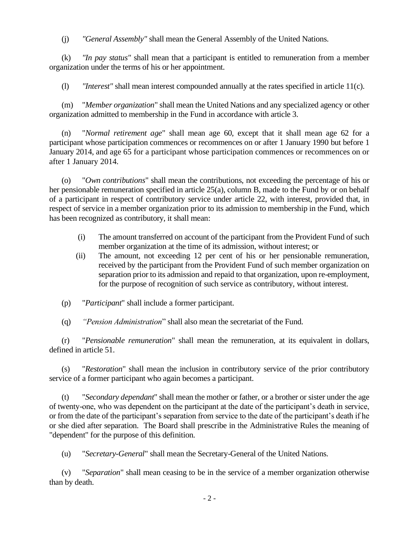(j) *"General Assembly"* shall mean the General Assembly of the United Nations.

(k) *"In pay status"* shall mean that a participant is entitled to remuneration from a member organization under the terms of his or her appointment.

(l) *"Interest"* shall mean interest compounded annually at the rates specified in article 11(c).

(m) "*Member organization*" shall mean the United Nations and any specialized agency or other organization admitted to membership in the Fund in accordance with article 3.

(n) "*Normal retirement age*" shall mean age 60, except that it shall mean age 62 for a participant whose participation commences or recommences on or after 1 January 1990 but before 1 January 2014, and age 65 for a participant whose participation commences or recommences on or after 1 January 2014.

(o) "*Own contributions*" shall mean the contributions, not exceeding the percentage of his or her pensionable remuneration specified in article 25(a), column B, made to the Fund by or on behalf of a participant in respect of contributory service under article 22, with interest, provided that, in respect of service in a member organization prior to its admission to membership in the Fund, which has been recognized as contributory, it shall mean:

- (i) The amount transferred on account of the participant from the Provident Fund of such member organization at the time of its admission, without interest; or
- (ii) The amount, not exceeding 12 per cent of his or her pensionable remuneration, received by the participant from the Provident Fund of such member organization on separation prior to its admission and repaid to that organization, upon re-employment, for the purpose of recognition of such service as contributory, without interest.
- (p) "*Participant*" shall include a former participant.

(q) *"Pension Administration*" shall also mean the secretariat of the Fund.

(r) "*Pensionable remuneration*" shall mean the remuneration, at its equivalent in dollars, defined in article 51.

(s) "*Restoration*" shall mean the inclusion in contributory service of the prior contributory service of a former participant who again becomes a participant.

(t) "*Secondary dependant*" shall mean the mother or father, or a brother or sister under the age of twenty-one, who was dependent on the participant at the date of the participant's death in service, or from the date of the participant's separation from service to the date of the participant's death if he or she died after separation. The Board shall prescribe in the Administrative Rules the meaning of "dependent" for the purpose of this definition.

(u) "*Secretary-General*" shall mean the Secretary-General of the United Nations.

(v) "*Separation*" shall mean ceasing to be in the service of a member organization otherwise than by death.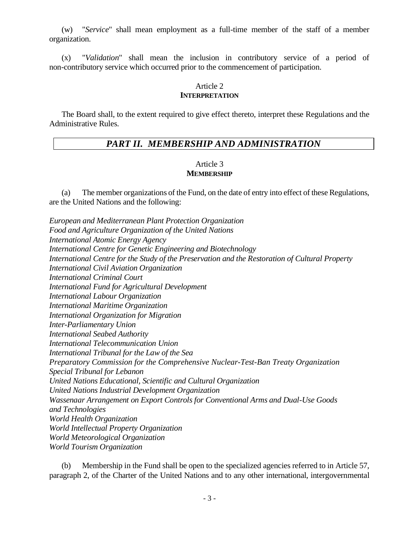(w) "*Service*" shall mean employment as a full-time member of the staff of a member organization.

(x) "*Validation*" shall mean the inclusion in contributory service of a period of non-contributory service which occurred prior to the commencement of participation.

# Article 2

#### **INTERPRETATION**

The Board shall, to the extent required to give effect thereto, interpret these Regulations and the Administrative Rules.

# *PART II. MEMBERSHIP AND ADMINISTRATION*

#### Article 3 **MEMBERSHIP**

(a) The member organizations of the Fund, on the date of entry into effect of these Regulations, are the United Nations and the following:

*European and Mediterranean Plant Protection Organization Food and Agriculture Organization of the United Nations International Atomic Energy Agency International Centre for Genetic Engineering and Biotechnology International Centre for the Study of the Preservation and the Restoration of Cultural Property International Civil Aviation Organization International Criminal Court International Fund for Agricultural Development International Labour Organization International Maritime Organization International Organization for Migration Inter-Parliamentary Union International Seabed Authority International Telecommunication Union International Tribunal for the Law of the Sea Preparatory Commission for the Comprehensive Nuclear-Test-Ban Treaty Organization Special Tribunal for Lebanon United Nations Educational, Scientific and Cultural Organization United Nations Industrial Development Organization Wassenaar Arrangement on Export Controls for Conventional Arms and Dual-Use Goods and Technologies World Health Organization World Intellectual Property Organization World Meteorological Organization World Tourism Organization*

(b) Membership in the Fund shall be open to the specialized agencies referred to in Article 57, paragraph 2, of the Charter of the United Nations and to any other international, intergovernmental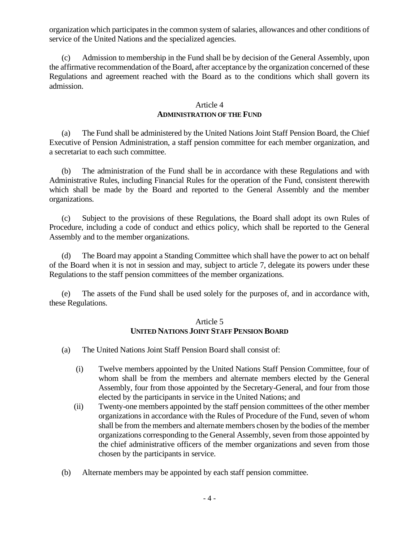organization which participates in the common system of salaries, allowances and other conditions of service of the United Nations and the specialized agencies.

(c) Admission to membership in the Fund shall be by decision of the General Assembly, upon the affirmative recommendation of the Board, after acceptance by the organization concerned of these Regulations and agreement reached with the Board as to the conditions which shall govern its admission.

#### Article 4 **ADMINISTRATION OF THE FUND**

(a) The Fund shall be administered by the United Nations Joint Staff Pension Board, the Chief Executive of Pension Administration, a staff pension committee for each member organization, and a secretariat to each such committee.

(b) The administration of the Fund shall be in accordance with these Regulations and with Administrative Rules, including Financial Rules for the operation of the Fund, consistent therewith which shall be made by the Board and reported to the General Assembly and the member organizations.

(c) Subject to the provisions of these Regulations, the Board shall adopt its own Rules of Procedure, including a code of conduct and ethics policy, which shall be reported to the General Assembly and to the member organizations.

(d) The Board may appoint a Standing Committee which shall have the power to act on behalf of the Board when it is not in session and may, subject to article 7, delegate its powers under these Regulations to the staff pension committees of the member organizations.

(e) The assets of the Fund shall be used solely for the purposes of, and in accordance with, these Regulations.

# Article 5 **UNITED NATIONS JOINT STAFF PENSION BOARD**

- (a) The United Nations Joint Staff Pension Board shall consist of:
	- (i) Twelve members appointed by the United Nations Staff Pension Committee, four of whom shall be from the members and alternate members elected by the General Assembly, four from those appointed by the Secretary-General, and four from those elected by the participants in service in the United Nations; and
	- (ii) Twenty-one members appointed by the staff pension committees of the other member organizations in accordance with the Rules of Procedure of the Fund, seven of whom shall be from the members and alternate members chosen by the bodies of the member organizations corresponding to the General Assembly, seven from those appointed by the chief administrative officers of the member organizations and seven from those chosen by the participants in service.
- (b) Alternate members may be appointed by each staff pension committee.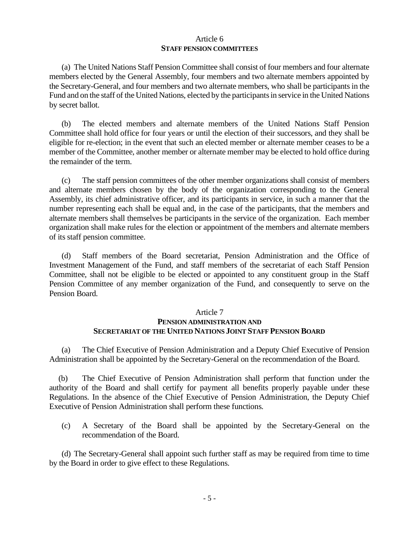#### Article 6 **STAFF PENSION COMMITTEES**

(a) The United Nations Staff Pension Committee shall consist of four members and four alternate members elected by the General Assembly, four members and two alternate members appointed by the Secretary-General, and four members and two alternate members, who shall be participants in the Fund and on the staff of the United Nations, elected by the participants in service in the United Nations by secret ballot.

(b) The elected members and alternate members of the United Nations Staff Pension Committee shall hold office for four years or until the election of their successors, and they shall be eligible for re-election; in the event that such an elected member or alternate member ceases to be a member of the Committee, another member or alternate member may be elected to hold office during the remainder of the term.

(c) The staff pension committees of the other member organizations shall consist of members and alternate members chosen by the body of the organization corresponding to the General Assembly, its chief administrative officer, and its participants in service, in such a manner that the number representing each shall be equal and, in the case of the participants, that the members and alternate members shall themselves be participants in the service of the organization. Each member organization shall make rules for the election or appointment of the members and alternate members of its staff pension committee.

(d) Staff members of the Board secretariat, Pension Administration and the Office of Investment Management of the Fund, and staff members of the secretariat of each Staff Pension Committee, shall not be eligible to be elected or appointed to any constituent group in the Staff Pension Committee of any member organization of the Fund, and consequently to serve on the Pension Board.

#### Article 7

# **PENSION ADMINISTRATION AND SECRETARIAT OF THE UNITED NATIONS JOINT STAFF PENSION BOARD**

(a) The Chief Executive of Pension Administration and a Deputy Chief Executive of Pension Administration shall be appointed by the Secretary-General on the recommendation of the Board.

(b) The Chief Executive of Pension Administration shall perform that function under the authority of the Board and shall certify for payment all benefits properly payable under these Regulations. In the absence of the Chief Executive of Pension Administration, the Deputy Chief Executive of Pension Administration shall perform these functions.

(c) A Secretary of the Board shall be appointed by the Secretary-General on the recommendation of the Board.

(d) The Secretary-General shall appoint such further staff as may be required from time to time by the Board in order to give effect to these Regulations.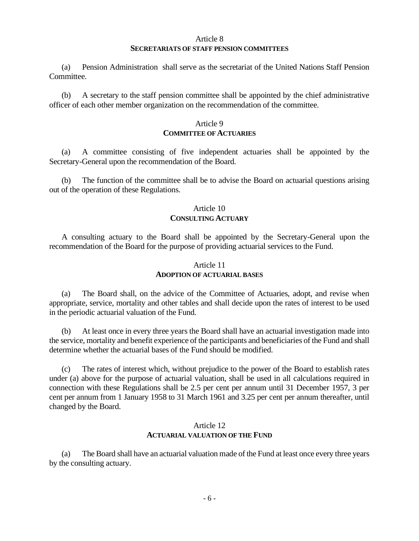#### Article 8

#### **SECRETARIATS OF STAFF PENSION COMMITTEES**

(a) Pension Administration shall serve as the secretariat of the United Nations Staff Pension Committee.

(b) A secretary to the staff pension committee shall be appointed by the chief administrative officer of each other member organization on the recommendation of the committee.

## Article 9 **COMMITTEE OF ACTUARIES**

(a) A committee consisting of five independent actuaries shall be appointed by the Secretary-General upon the recommendation of the Board.

(b) The function of the committee shall be to advise the Board on actuarial questions arising out of the operation of these Regulations.

#### Article 10

#### **CONSULTING ACTUARY**

A consulting actuary to the Board shall be appointed by the Secretary-General upon the recommendation of the Board for the purpose of providing actuarial services to the Fund.

#### Article 11 **ADOPTION OF ACTUARIAL BASES**

(a) The Board shall, on the advice of the Committee of Actuaries, adopt, and revise when appropriate, service, mortality and other tables and shall decide upon the rates of interest to be used in the periodic actuarial valuation of the Fund.

At least once in every three years the Board shall have an actuarial investigation made into the service, mortality and benefit experience of the participants and beneficiaries of the Fund and shall determine whether the actuarial bases of the Fund should be modified.

(c) The rates of interest which, without prejudice to the power of the Board to establish rates under (a) above for the purpose of actuarial valuation, shall be used in all calculations required in connection with these Regulations shall be 2.5 per cent per annum until 31 December 1957, 3 per cent per annum from 1 January 1958 to 31 March 1961 and 3.25 per cent per annum thereafter, until changed by the Board.

#### Article 12 **ACTUARIAL VALUATION OF THE FUND**

(a) The Board shall have an actuarial valuation made of the Fund at least once every three years by the consulting actuary.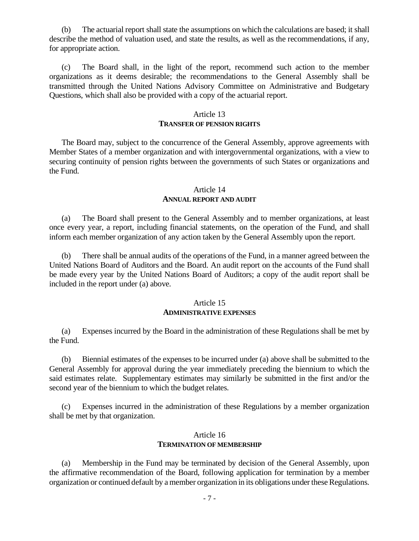(b) The actuarial report shall state the assumptions on which the calculations are based; it shall describe the method of valuation used, and state the results, as well as the recommendations, if any, for appropriate action.

(c) The Board shall, in the light of the report, recommend such action to the member organizations as it deems desirable; the recommendations to the General Assembly shall be transmitted through the United Nations Advisory Committee on Administrative and Budgetary Questions, which shall also be provided with a copy of the actuarial report.

#### Article 13

#### **TRANSFER OF PENSION RIGHTS**

The Board may, subject to the concurrence of the General Assembly, approve agreements with Member States of a member organization and with intergovernmental organizations, with a view to securing continuity of pension rights between the governments of such States or organizations and the Fund.

## Article 14 **ANNUAL REPORT AND AUDIT**

(a) The Board shall present to the General Assembly and to member organizations, at least once every year, a report, including financial statements, on the operation of the Fund, and shall inform each member organization of any action taken by the General Assembly upon the report.

(b) There shall be annual audits of the operations of the Fund, in a manner agreed between the United Nations Board of Auditors and the Board. An audit report on the accounts of the Fund shall be made every year by the United Nations Board of Auditors; a copy of the audit report shall be included in the report under (a) above.

#### Article 15

#### **ADMINISTRATIVE EXPENSES**

(a) Expenses incurred by the Board in the administration of these Regulations shall be met by the Fund.

(b) Biennial estimates of the expenses to be incurred under (a) above shall be submitted to the General Assembly for approval during the year immediately preceding the biennium to which the said estimates relate. Supplementary estimates may similarly be submitted in the first and/or the second year of the biennium to which the budget relates.

(c) Expenses incurred in the administration of these Regulations by a member organization shall be met by that organization.

#### Article 16 **TERMINATION OF MEMBERSHIP**

(a) Membership in the Fund may be terminated by decision of the General Assembly, upon the affirmative recommendation of the Board, following application for termination by a member organization or continued default by a member organization in its obligations under these Regulations.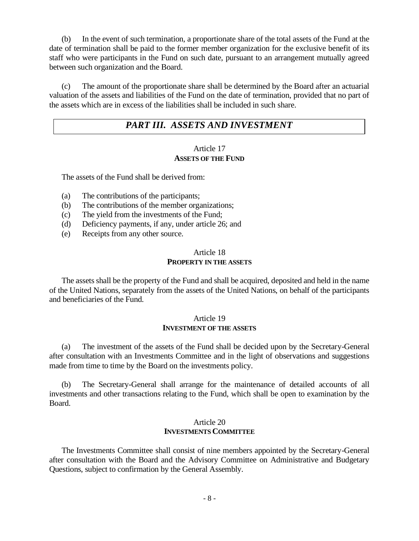(b) In the event of such termination, a proportionate share of the total assets of the Fund at the date of termination shall be paid to the former member organization for the exclusive benefit of its staff who were participants in the Fund on such date, pursuant to an arrangement mutually agreed between such organization and the Board.

(c) The amount of the proportionate share shall be determined by the Board after an actuarial valuation of the assets and liabilities of the Fund on the date of termination, provided that no part of the assets which are in excess of the liabilities shall be included in such share.

# *PART III. ASSETS AND INVESTMENT*

#### Article 17 **ASSETS OF THE FUND**

The assets of the Fund shall be derived from:

- (a) The contributions of the participants;
- (b) The contributions of the member organizations;
- (c) The yield from the investments of the Fund;
- (d) Deficiency payments, if any, under article 26; and
- (e) Receipts from any other source.

#### Article 18 **PROPERTY IN THE ASSETS**

The assets shall be the property of the Fund and shall be acquired, deposited and held in the name of the United Nations, separately from the assets of the United Nations, on behalf of the participants and beneficiaries of the Fund.

#### Article 19 **INVESTMENT OF THE ASSETS**

(a) The investment of the assets of the Fund shall be decided upon by the Secretary-General after consultation with an Investments Committee and in the light of observations and suggestions made from time to time by the Board on the investments policy.

(b) The Secretary-General shall arrange for the maintenance of detailed accounts of all investments and other transactions relating to the Fund, which shall be open to examination by the Board.

#### Article 20 **INVESTMENTS COMMITTEE**

The Investments Committee shall consist of nine members appointed by the Secretary-General after consultation with the Board and the Advisory Committee on Administrative and Budgetary Questions, subject to confirmation by the General Assembly.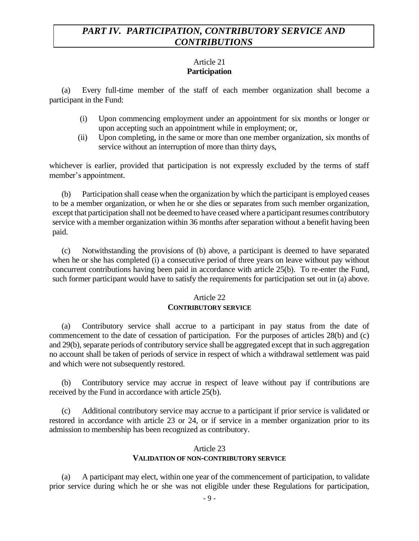# *PART IV. PARTICIPATION, CONTRIBUTORY SERVICE AND CONTRIBUTIONS*

# Article 21 **Participation**

(a) Every full-time member of the staff of each member organization shall become a participant in the Fund:

- (i) Upon commencing employment under an appointment for six months or longer or upon accepting such an appointment while in employment; or,
- (ii) Upon completing, in the same or more than one member organization, six months of service without an interruption of more than thirty days,

whichever is earlier, provided that participation is not expressly excluded by the terms of staff member's appointment.

(b) Participation shall cease when the organization by which the participant is employed ceases to be a member organization, or when he or she dies or separates from such member organization, except that participation shall not be deemed to have ceased where a participant resumes contributory service with a member organization within 36 months after separation without a benefit having been paid.

(c) Notwithstanding the provisions of (b) above, a participant is deemed to have separated when he or she has completed (i) a consecutive period of three years on leave without pay without concurrent contributions having been paid in accordance with article 25(b). To re-enter the Fund, such former participant would have to satisfy the requirements for participation set out in (a) above.

# Article 22

# **CONTRIBUTORY SERVICE**

(a) Contributory service shall accrue to a participant in pay status from the date of commencement to the date of cessation of participation. For the purposes of articles 28(b) and (c) and 29(b), separate periods of contributory service shall be aggregated except that in such aggregation no account shall be taken of periods of service in respect of which a withdrawal settlement was paid and which were not subsequently restored.

(b) Contributory service may accrue in respect of leave without pay if contributions are received by the Fund in accordance with article 25(b).

(c) Additional contributory service may accrue to a participant if prior service is validated or restored in accordance with article 23 or 24, or if service in a member organization prior to its admission to membership has been recognized as contributory.

# Article 23 **VALIDATION OF NON-CONTRIBUTORY SERVICE**

(a) A participant may elect, within one year of the commencement of participation, to validate prior service during which he or she was not eligible under these Regulations for participation,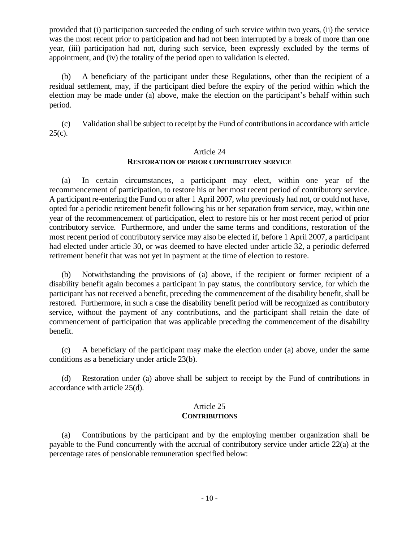provided that (i) participation succeeded the ending of such service within two years, (ii) the service was the most recent prior to participation and had not been interrupted by a break of more than one year, (iii) participation had not, during such service, been expressly excluded by the terms of appointment, and (iv) the totality of the period open to validation is elected.

(b) A beneficiary of the participant under these Regulations, other than the recipient of a residual settlement, may, if the participant died before the expiry of the period within which the election may be made under (a) above, make the election on the participant's behalf within such period.

 (c) Validation shall be subject to receipt by the Fund of contributions in accordance with article  $25(c)$ .

#### Article 24

# **RESTORATION OF PRIOR CONTRIBUTORY SERVICE**

(a) In certain circumstances, a participant may elect, within one year of the recommencement of participation, to restore his or her most recent period of contributory service. A participant re-entering the Fund on or after 1 April 2007, who previously had not, or could not have, opted for a periodic retirement benefit following his or her separation from service, may, within one year of the recommencement of participation, elect to restore his or her most recent period of prior contributory service. Furthermore, and under the same terms and conditions, restoration of the most recent period of contributory service may also be elected if, before 1 April 2007, a participant had elected under article 30, or was deemed to have elected under article 32, a periodic deferred retirement benefit that was not yet in payment at the time of election to restore.

(b) Notwithstanding the provisions of (a) above, if the recipient or former recipient of a disability benefit again becomes a participant in pay status, the contributory service, for which the participant has not received a benefit, preceding the commencement of the disability benefit, shall be restored. Furthermore, in such a case the disability benefit period will be recognized as contributory service, without the payment of any contributions, and the participant shall retain the date of commencement of participation that was applicable preceding the commencement of the disability benefit.

(c) A beneficiary of the participant may make the election under (a) above, under the same conditions as a beneficiary under article 23(b).

(d) Restoration under (a) above shall be subject to receipt by the Fund of contributions in accordance with article 25(d).

# Article 25 **CONTRIBUTIONS**

(a) Contributions by the participant and by the employing member organization shall be payable to the Fund concurrently with the accrual of contributory service under article 22(a) at the percentage rates of pensionable remuneration specified below: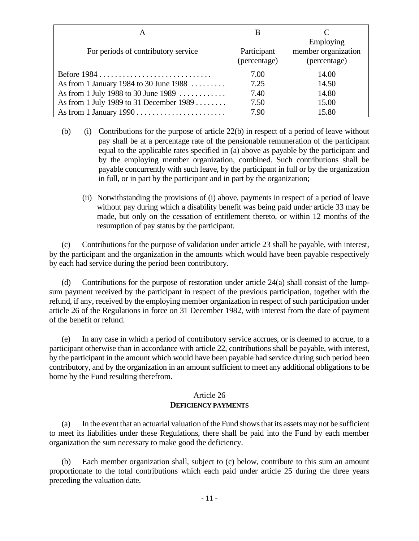| For periods of contributory service     | Participant<br>(percentage) | Employing<br>member organization<br>(percentage) |
|-----------------------------------------|-----------------------------|--------------------------------------------------|
|                                         | 7.00                        | 14.00                                            |
| As from 1 January 1984 to 30 June 1988  | 7.25                        | 14.50                                            |
| As from 1 July 1988 to 30 June 1989     | 7.40                        | 14.80                                            |
| As from 1 July 1989 to 31 December 1989 | 7.50                        | 15.00                                            |
|                                         | 7.90                        | 15.80                                            |

- (b) (i) Contributions for the purpose of article 22(b) in respect of a period of leave without pay shall be at a percentage rate of the pensionable remuneration of the participant equal to the applicable rates specified in (a) above as payable by the participant and by the employing member organization, combined. Such contributions shall be payable concurrently with such leave, by the participant in full or by the organization in full, or in part by the participant and in part by the organization;
	- (ii) Notwithstanding the provisions of (i) above, payments in respect of a period of leave without pay during which a disability benefit was being paid under article 33 may be made, but only on the cessation of entitlement thereto, or within 12 months of the resumption of pay status by the participant.

(c) Contributions for the purpose of validation under article 23 shall be payable, with interest, by the participant and the organization in the amounts which would have been payable respectively by each had service during the period been contributory.

(d) Contributions for the purpose of restoration under article  $24(a)$  shall consist of the lumpsum payment received by the participant in respect of the previous participation, together with the refund, if any, received by the employing member organization in respect of such participation under article 26 of the Regulations in force on 31 December 1982, with interest from the date of payment of the benefit or refund.

(e) In any case in which a period of contributory service accrues, or is deemed to accrue, to a participant otherwise than in accordance with article 22, contributions shall be payable, with interest, by the participant in the amount which would have been payable had service during such period been contributory, and by the organization in an amount sufficient to meet any additional obligations to be borne by the Fund resulting therefrom.

# Article 26 **DEFICIENCY PAYMENTS**

(a) In the event that an actuarial valuation of the Fund shows that its assets may not be sufficient to meet its liabilities under these Regulations, there shall be paid into the Fund by each member organization the sum necessary to make good the deficiency.

(b) Each member organization shall, subject to (c) below, contribute to this sum an amount proportionate to the total contributions which each paid under article 25 during the three years preceding the valuation date.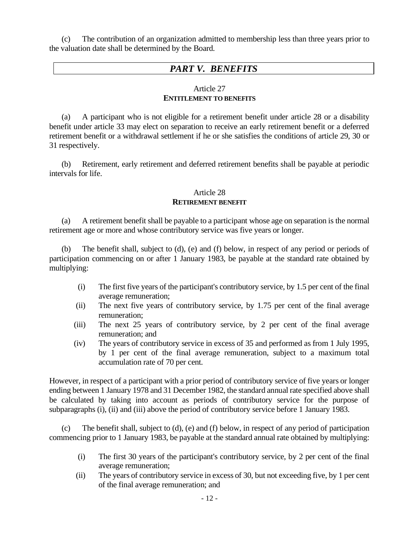(c) The contribution of an organization admitted to membership less than three years prior to the valuation date shall be determined by the Board.

# *PART V. BENEFITS*

## Article 27 **ENTITLEMENT TO BENEFITS**

(a) A participant who is not eligible for a retirement benefit under article 28 or a disability benefit under article 33 may elect on separation to receive an early retirement benefit or a deferred retirement benefit or a withdrawal settlement if he or she satisfies the conditions of article 29, 30 or 31 respectively.

(b) Retirement, early retirement and deferred retirement benefits shall be payable at periodic intervals for life.

## Article 28 **RETIREMENT BENEFIT**

(a) A retirement benefit shall be payable to a participant whose age on separation is the normal retirement age or more and whose contributory service was five years or longer.

(b) The benefit shall, subject to (d), (e) and (f) below, in respect of any period or periods of participation commencing on or after 1 January 1983, be payable at the standard rate obtained by multiplying:

- (i) The first five years of the participant's contributory service, by 1.5 per cent of the final average remuneration;
- (ii) The next five years of contributory service, by 1.75 per cent of the final average remuneration;
- (iii) The next 25 years of contributory service, by 2 per cent of the final average remuneration; and
- (iv) The years of contributory service in excess of 35 and performed as from 1 July 1995, by 1 per cent of the final average remuneration, subject to a maximum total accumulation rate of 70 per cent.

However, in respect of a participant with a prior period of contributory service of five years or longer ending between 1 January 1978 and 31 December 1982, the standard annual rate specified above shall be calculated by taking into account as periods of contributory service for the purpose of subparagraphs (i), (ii) and (iii) above the period of contributory service before 1 January 1983.

(c) The benefit shall, subject to (d), (e) and (f) below, in respect of any period of participation commencing prior to 1 January 1983, be payable at the standard annual rate obtained by multiplying:

- (i) The first 30 years of the participant's contributory service, by 2 per cent of the final average remuneration;
- (ii) The years of contributory service in excess of 30, but not exceeding five, by 1 per cent of the final average remuneration; and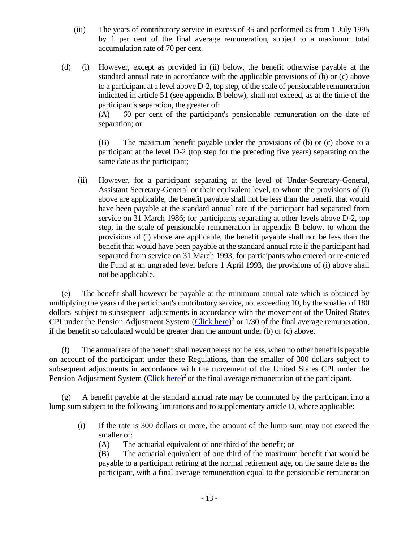- (iii) The years of contributory service in excess of 35 and performed as from 1 July 1995 by 1 per cent of the final average remuneration, subject to a maximum total accumulation rate of 70 per cent.
- (d) (i) However, except as provided in (ii) below, the benefit otherwise payable at the standard annual rate in accordance with the applicable provisions of (b) or (c) above to a participant at a level above D-2, top step, of the scale of pensionable remuneration indicated in article 51 (see appendix B below), shall not exceed, as at the time of the participant's separation, the greater of:

(A) 60 per cent of the participant's pensionable remuneration on the date of separation; or

(B) The maximum benefit payable under the provisions of (b) or (c) above to a participant at the level D-2 (top step for the preceding five years) separating on the same date as the participant;

 (ii) However, for a participant separating at the level of Under-Secretary-General, Assistant Secretary-General or their equivalent level, to whom the provisions of (i) above are applicable, the benefit payable shall not be less than the benefit that would have been payable at the standard annual rate if the participant had separated from service on 31 March 1986; for participants separating at other levels above D-2, top step, in the scale of pensionable remuneration in appendix B below, to whom the provisions of (i) above are applicable, the benefit payable shall not be less than the benefit that would have been payable at the standard annual rate if the participant had separated from service on 31 March 1993; for participants who entered or re-entered the Fund at an ungraded level before 1 April 1993, the provisions of (i) above shall not be applicable.

(e) The benefit shall however be payable at the minimum annual rate which is obtained by multiplying the years of the participant's contributory service, not exceeding 10, by the smaller of 180 dollars subject to subsequent adjustments in accordance with the movement of the United States CPI under the Pension Adjustment System  $(Click here)^2$  $(Click here)^2$  or  $1/30$  of the final average remuneration, if the benefit so calculated would be greater than the amount under (b) or (c) above.

(f) The annual rate of the benefit shall nevertheless not be less, when no other benefit is payable on account of the participant under these Regulations, than the smaller of 300 dollars subject to subsequent adjustments in accordance with the movement of the United States CPI under the Pension Adjustment System [\(Click here\)](https://www.unjspf.org/documents/flat-rates/)<sup>2</sup> or the final average remuneration of the participant.

(g) A benefit payable at the standard annual rate may be commuted by the participant into a lump sum subject to the following limitations and to supplementary article D, where applicable:

- (i) If the rate is 300 dollars or more, the amount of the lump sum may not exceed the smaller of:
	- (A) The actuarial equivalent of one third of the benefit; or

(B) The actuarial equivalent of one third of the maximum benefit that would be payable to a participant retiring at the normal retirement age, on the same date as the participant, with a final average remuneration equal to the pensionable remuneration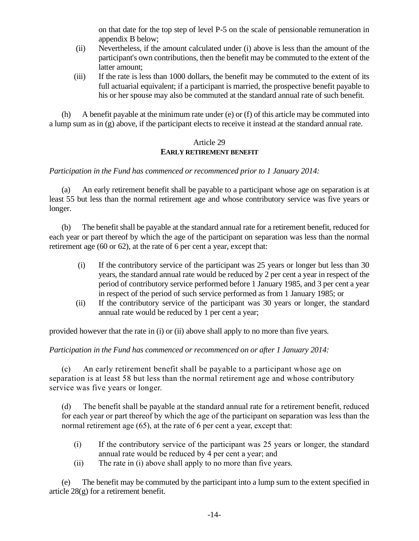on that date for the top step of level P-5 on the scale of pensionable remuneration in appendix B below;

- (ii) Nevertheless, if the amount calculated under (i) above is less than the amount of the participant's own contributions, then the benefit may be commuted to the extent of the latter amount;
- (iii) If the rate is less than 1000 dollars, the benefit may be commuted to the extent of its full actuarial equivalent; if a participant is married, the prospective benefit payable to his or her spouse may also be commuted at the standard annual rate of such benefit.

(h) A benefit payable at the minimum rate under (e) or (f) of this article may be commuted into a lump sum as in (g) above, if the participant elects to receive it instead at the standard annual rate.

## Article 29 **EARLY RETIREMENT BENEFIT**

# *Participation in the Fund has commenced or recommenced prior to 1 January 2014:*

(a) An early retirement benefit shall be payable to a participant whose age on separation is at least 55 but less than the normal retirement age and whose contributory service was five years or longer.

(b) The benefit shall be payable at the standard annual rate for a retirement benefit, reduced for each year or part thereof by which the age of the participant on separation was less than the normal retirement age (60 or 62), at the rate of 6 per cent a year, except that:

- (i) If the contributory service of the participant was 25 years or longer but less than 30 years, the standard annual rate would be reduced by 2 per cent a year in respect of the period of contributory service performed before 1 January 1985, and 3 per cent a year in respect of the period of such service performed as from 1 January 1985; or
- (ii) If the contributory service of the participant was 30 years or longer, the standard annual rate would be reduced by 1 per cent a year;

provided however that the rate in (i) or (ii) above shall apply to no more than five years.

*Participation in the Fund has commenced or recommenced on or after 1 January 2014:*

(c) An early retirement benefit shall be payable to a participant whose age on separation is at least 58 but less than the normal retirement age and whose contributory service was five years or longer.

(d) The benefit shall be payable at the standard annual rate for a retirement benefit, reduced for each year or part thereof by which the age of the participant on separation was less than the normal retirement age (65), at the rate of 6 per cent a year, except that:

- (i) If the contributory service of the participant was 25 years or longer, the standard annual rate would be reduced by 4 per cent a year; and
- (ii) The rate in (i) above shall apply to no more than five years.

(e) The benefit may be commuted by the participant into a lump sum to the extent specified in article 28(g) for a retirement benefit.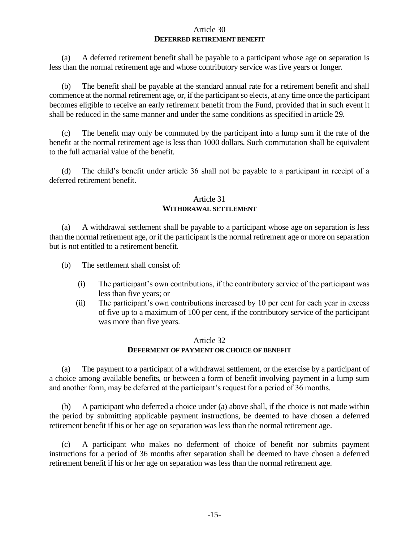#### Article 30 **DEFERRED RETIREMENT BENEFIT**

(a) A deferred retirement benefit shall be payable to a participant whose age on separation is less than the normal retirement age and whose contributory service was five years or longer.

(b) The benefit shall be payable at the standard annual rate for a retirement benefit and shall commence at the normal retirement age, or, if the participant so elects, at any time once the participant becomes eligible to receive an early retirement benefit from the Fund, provided that in such event it shall be reduced in the same manner and under the same conditions as specified in article 29.

(c) The benefit may only be commuted by the participant into a lump sum if the rate of the benefit at the normal retirement age is less than 1000 dollars. Such commutation shall be equivalent to the full actuarial value of the benefit.

(d) The child's benefit under article 36 shall not be payable to a participant in receipt of a deferred retirement benefit.

## Article 31 **WITHDRAWAL SETTLEMENT**

(a) A withdrawal settlement shall be payable to a participant whose age on separation is less than the normal retirement age, or if the participant is the normal retirement age or more on separation but is not entitled to a retirement benefit.

(b) The settlement shall consist of:

- (i) The participant's own contributions, if the contributory service of the participant was less than five years; or
- (ii) The participant's own contributions increased by 10 per cent for each year in excess of five up to a maximum of 100 per cent, if the contributory service of the participant was more than five years.

# Article 32 **DEFERMENT OF PAYMENT OR CHOICE OF BENEFIT**

(a) The payment to a participant of a withdrawal settlement, or the exercise by a participant of a choice among available benefits, or between a form of benefit involving payment in a lump sum and another form, may be deferred at the participant's request for a period of 36 months.

(b) A participant who deferred a choice under (a) above shall, if the choice is not made within the period by submitting applicable payment instructions, be deemed to have chosen a deferred retirement benefit if his or her age on separation was less than the normal retirement age.

(c) A participant who makes no deferment of choice of benefit nor submits payment instructions for a period of 36 months after separation shall be deemed to have chosen a deferred retirement benefit if his or her age on separation was less than the normal retirement age.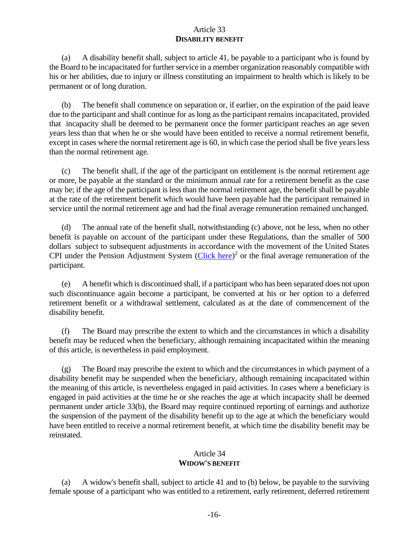## Article 33 **DISABILITY BENEFIT**

(a) A disability benefit shall, subject to article 41, be payable to a participant who is found by the Board to be incapacitated for further service in a member organization reasonably compatible with his or her abilities, due to injury or illness constituting an impairment to health which is likely to be permanent or of long duration.

(b) The benefit shall commence on separation or, if earlier, on the expiration of the paid leave due to the participant and shall continue for as long as the participant remains incapacitated, provided that incapacity shall be deemed to be permanent once the former participant reaches an age seven years less than that when he or she would have been entitled to receive a normal retirement benefit, except in cases where the normal retirement age is 60, in which case the period shall be five years less than the normal retirement age.

(c) The benefit shall, if the age of the participant on entitlement is the normal retirement age or more, be payable at the standard or the minimum annual rate for a retirement benefit as the case may be; if the age of the participant is less than the normal retirement age, the benefit shall be payable at the rate of the retirement benefit which would have been payable had the participant remained in service until the normal retirement age and had the final average remuneration remained unchanged.

(d) The annual rate of the benefit shall, notwithstanding (c) above, not be less, when no other benefit is payable on account of the participant under these Regulations, than the smaller of 500 dollars subject to subsequent adjustments in accordance with the movement of the United States CPI under the Pension Adjustment System [\(Click here\)](https://www.unjspf.org/documents/flat-rates/)<sup>2</sup> or the final average remuneration of the participant.

(e) A benefit which is discontinued shall, if a participant who has been separated does not upon such discontinuance again become a participant, be converted at his or her option to a deferred retirement benefit or a withdrawal settlement, calculated as at the date of commencement of the disability benefit.

(f) The Board may prescribe the extent to which and the circumstances in which a disability benefit may be reduced when the beneficiary, although remaining incapacitated within the meaning of this article, is nevertheless in paid employment.

(g) The Board may prescribe the extent to which and the circumstances in which payment of a disability benefit may be suspended when the beneficiary, although remaining incapacitated within the meaning of this article, is nevertheless engaged in paid activities. In cases where a beneficiary is engaged in paid activities at the time he or she reaches the age at which incapacity shall be deemed permanent under article 33(b), the Board may require continued reporting of earnings and authorize the suspension of the payment of the disability benefit up to the age at which the beneficiary would have been entitled to receive a normal retirement benefit, at which time the disability benefit may be reinstated.

# Article 34 **WIDOW'S BENEFIT**

(a) A widow's benefit shall, subject to article 41 and to (b) below, be payable to the surviving female spouse of a participant who was entitled to a retirement, early retirement, deferred retirement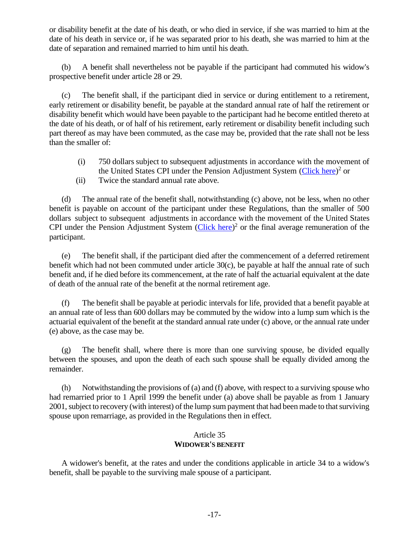or disability benefit at the date of his death, or who died in service, if she was married to him at the date of his death in service or, if he was separated prior to his death, she was married to him at the date of separation and remained married to him until his death.

(b) A benefit shall nevertheless not be payable if the participant had commuted his widow's prospective benefit under article 28 or 29.

(c) The benefit shall, if the participant died in service or during entitlement to a retirement, early retirement or disability benefit, be payable at the standard annual rate of half the retirement or disability benefit which would have been payable to the participant had he become entitled thereto at the date of his death, or of half of his retirement, early retirement or disability benefit including such part thereof as may have been commuted, as the case may be, provided that the rate shall not be less than the smaller of:

- (i) 750 dollars subject to subsequent adjustments in accordance with the movement of the United States CPI under the Pension Adjustment System [\(Click here\)](https://www.unjspf.org/documents/flat-rates/)<sup>2</sup> or
- (ii) Twice the standard annual rate above.

(d) The annual rate of the benefit shall, notwithstanding (c) above, not be less, when no other benefit is payable on account of the participant under these Regulations, than the smaller of 500 dollars subject to subsequent adjustments in accordance with the movement of the United States CPI under the Pension Adjustment System  $(Click here)^2$  $(Click here)^2$  or the final average remuneration of the participant.

(e) The benefit shall, if the participant died after the commencement of a deferred retirement benefit which had not been commuted under article 30(c), be payable at half the annual rate of such benefit and, if he died before its commencement, at the rate of half the actuarial equivalent at the date of death of the annual rate of the benefit at the normal retirement age.

(f) The benefit shall be payable at periodic intervals for life, provided that a benefit payable at an annual rate of less than 600 dollars may be commuted by the widow into a lump sum which is the actuarial equivalent of the benefit at the standard annual rate under (c) above, or the annual rate under (e) above, as the case may be.

(g) The benefit shall, where there is more than one surviving spouse, be divided equally between the spouses, and upon the death of each such spouse shall be equally divided among the remainder.

(h) Notwithstanding the provisions of (a) and (f) above, with respect to a surviving spouse who had remarried prior to 1 April 1999 the benefit under (a) above shall be payable as from 1 January 2001, subject to recovery (with interest) of the lump sum payment that had been made to that surviving spouse upon remarriage, as provided in the Regulations then in effect.

# Article 35 **WIDOWER'S BENEFIT**

A widower's benefit, at the rates and under the conditions applicable in article 34 to a widow's benefit, shall be payable to the surviving male spouse of a participant.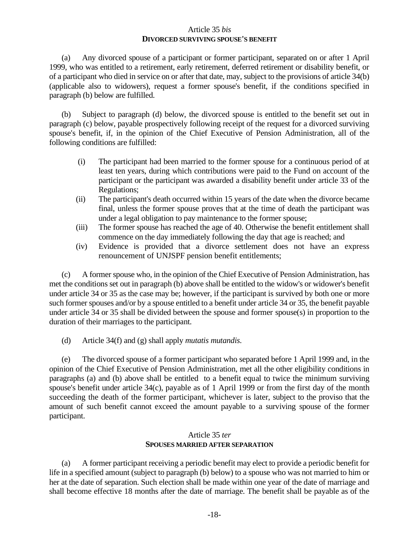#### Article 35 *bis* **DIVORCED SURVIVING SPOUSE'S BENEFIT**

(a) Any divorced spouse of a participant or former participant, separated on or after 1 April 1999, who was entitled to a retirement, early retirement, deferred retirement or disability benefit, or of a participant who died in service on or after that date, may, subject to the provisions of article 34(b) (applicable also to widowers), request a former spouse's benefit, if the conditions specified in paragraph (b) below are fulfilled.

(b) Subject to paragraph (d) below, the divorced spouse is entitled to the benefit set out in paragraph (c) below, payable prospectively following receipt of the request for a divorced surviving spouse's benefit, if, in the opinion of the Chief Executive of Pension Administration, all of the following conditions are fulfilled:

- (i) The participant had been married to the former spouse for a continuous period of at least ten years, during which contributions were paid to the Fund on account of the participant or the participant was awarded a disability benefit under article 33 of the Regulations;
- (ii) The participant's death occurred within 15 years of the date when the divorce became final, unless the former spouse proves that at the time of death the participant was under a legal obligation to pay maintenance to the former spouse;
- (iii) The former spouse has reached the age of 40. Otherwise the benefit entitlement shall commence on the day immediately following the day that age is reached; and
- (iv) Evidence is provided that a divorce settlement does not have an express renouncement of UNJSPF pension benefit entitlements;

(c) A former spouse who, in the opinion of the Chief Executive of Pension Administration, has met the conditions set out in paragraph (b) above shall be entitled to the widow's or widower's benefit under article 34 or 35 as the case may be; however, if the participant is survived by both one or more such former spouses and/or by a spouse entitled to a benefit under article 34 or 35, the benefit payable under article 34 or 35 shall be divided between the spouse and former spouse(s) in proportion to the duration of their marriages to the participant.

(d) Article 34(f) and (g) shall apply *mutatis mutandis*.

(e) The divorced spouse of a former participant who separated before 1 April 1999 and, in the opinion of the Chief Executive of Pension Administration, met all the other eligibility conditions in paragraphs (a) and (b) above shall be entitled to a benefit equal to twice the minimum surviving spouse's benefit under article 34(c), payable as of 1 April 1999 or from the first day of the month succeeding the death of the former participant, whichever is later, subject to the proviso that the amount of such benefit cannot exceed the amount payable to a surviving spouse of the former participant.

## Article 35 *ter* **SPOUSES MARRIED AFTER SEPARATION**

(a) A former participant receiving a periodic benefit may elect to provide a periodic benefit for life in a specified amount (subject to paragraph (b) below) to a spouse who was not married to him or her at the date of separation. Such election shall be made within one year of the date of marriage and shall become effective 18 months after the date of marriage. The benefit shall be payable as of the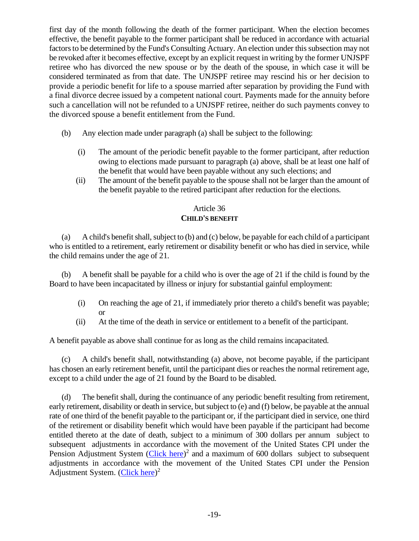first day of the month following the death of the former participant. When the election becomes effective, the benefit payable to the former participant shall be reduced in accordance with actuarial factors to be determined by the Fund's Consulting Actuary. An election under this subsection may not be revoked after it becomes effective, except by an explicit request in writing by the former UNJSPF retiree who has divorced the new spouse or by the death of the spouse, in which case it will be considered terminated as from that date. The UNJSPF retiree may rescind his or her decision to provide a periodic benefit for life to a spouse married after separation by providing the Fund with a final divorce decree issued by a competent national court. Payments made for the annuity before such a cancellation will not be refunded to a UNJSPF retiree, neither do such payments convey to the divorced spouse a benefit entitlement from the Fund.

- (b) Any election made under paragraph (a) shall be subject to the following:
	- (i) The amount of the periodic benefit payable to the former participant, after reduction owing to elections made pursuant to paragraph (a) above, shall be at least one half of the benefit that would have been payable without any such elections; and
	- (ii) The amount of the benefit payable to the spouse shall not be larger than the amount of the benefit payable to the retired participant after reduction for the elections.

# Article 36 **CHILD'S BENEFIT**

(a) A child's benefit shall, subject to (b) and (c) below, be payable for each child of a participant who is entitled to a retirement, early retirement or disability benefit or who has died in service, while the child remains under the age of 21.

(b) A benefit shall be payable for a child who is over the age of 21 if the child is found by the Board to have been incapacitated by illness or injury for substantial gainful employment:

- (i) On reaching the age of 21, if immediately prior thereto a child's benefit was payable; or
- (ii) At the time of the death in service or entitlement to a benefit of the participant.

A benefit payable as above shall continue for as long as the child remains incapacitated.

(c) A child's benefit shall, notwithstanding (a) above, not become payable, if the participant has chosen an early retirement benefit, until the participant dies or reaches the normal retirement age, except to a child under the age of 21 found by the Board to be disabled.

(d) The benefit shall, during the continuance of any periodic benefit resulting from retirement, early retirement, disability or death in service, but subject to (e) and (f) below, be payable at the annual rate of one third of the benefit payable to the participant or, if the participant died in service, one third of the retirement or disability benefit which would have been payable if the participant had become entitled thereto at the date of death, subject to a minimum of 300 dollars per annum subject to subsequent adjustments in accordance with the movement of the United States CPI under the Pension Adjustment System [\(Click here\)](https://www.unjspf.org/documents/flat-rates/)<sup>2</sup> and a maximum of 600 dollars subject to subsequent adjustments in accordance with the movement of the United States CPI under the Pension Adjustment System. [\(Click here\)](https://www.unjspf.org/documents/flat-rates/)<sup>2</sup>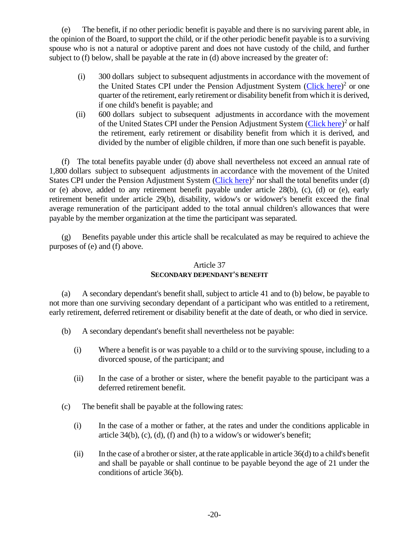(e) The benefit, if no other periodic benefit is payable and there is no surviving parent able, in the opinion of the Board, to support the child, or if the other periodic benefit payable is to a surviving spouse who is not a natural or adoptive parent and does not have custody of the child, and further subject to (f) below, shall be payable at the rate in (d) above increased by the greater of:

- (i) 300 dollars subject to subsequent adjustments in accordance with the movement of the United States CPI under the Pension Adjustment System [\(Click here\)](https://www.unjspf.org/documents/flat-rates/)<sup>2</sup> or one quarter of the retirement, early retirement or disability benefit from which it is derived, if one child's benefit is payable; and
- (ii) 600 dollars subject to subsequent adjustments in accordance with the movement of the United States CPI under the Pension Adjustment System [\(Click here\)](https://www.unjspf.org/documents/flat-rates/)<sup>2</sup> or half the retirement, early retirement or disability benefit from which it is derived, and divided by the number of eligible children, if more than one such benefit is payable.

(f) The total benefits payable under (d) above shall nevertheless not exceed an annual rate of 1,800 dollars subject to subsequent adjustments in accordance with the movement of the United States CPI under the Pension Adjustment System [\(Click here\)](https://www.unjspf.org/documents/flat-rates/)<sup>2</sup> nor shall the total benefits under (d) or (e) above, added to any retirement benefit payable under article 28(b), (c), (d) or (e), early retirement benefit under article 29(b), disability, widow's or widower's benefit exceed the final average remuneration of the participant added to the total annual children's allowances that were payable by the member organization at the time the participant was separated.

(g) Benefits payable under this article shall be recalculated as may be required to achieve the purposes of (e) and (f) above.

## Article 37 **SECONDARY DEPENDANT'S BENEFIT**

(a) A secondary dependant's benefit shall, subject to article 41 and to (b) below, be payable to not more than one surviving secondary dependant of a participant who was entitled to a retirement, early retirement, deferred retirement or disability benefit at the date of death, or who died in service.

- (b) A secondary dependant's benefit shall nevertheless not be payable:
	- (i) Where a benefit is or was payable to a child or to the surviving spouse, including to a divorced spouse, of the participant; and
	- (ii) In the case of a brother or sister, where the benefit payable to the participant was a deferred retirement benefit.
- (c) The benefit shall be payable at the following rates:
	- (i) In the case of a mother or father, at the rates and under the conditions applicable in article  $34(b)$ , (c), (d), (f) and (h) to a widow's or widower's benefit;
	- (ii) In the case of a brother or sister, at the rate applicable in article 36(d) to a child's benefit and shall be payable or shall continue to be payable beyond the age of 21 under the conditions of article 36(b).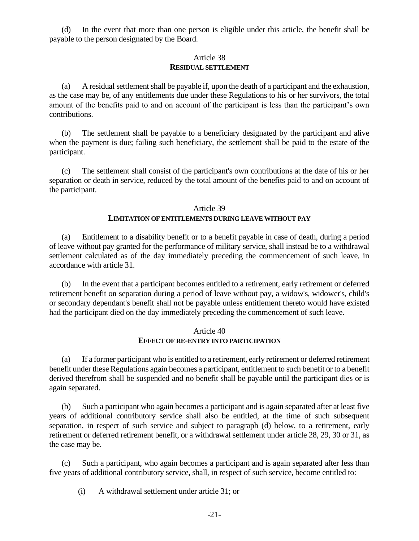(d) In the event that more than one person is eligible under this article, the benefit shall be payable to the person designated by the Board.

#### Article 38 **RESIDUAL SETTLEMENT**

(a) A residual settlement shall be payable if, upon the death of a participant and the exhaustion, as the case may be, of any entitlements due under these Regulations to his or her survivors, the total amount of the benefits paid to and on account of the participant is less than the participant's own contributions.

(b) The settlement shall be payable to a beneficiary designated by the participant and alive when the payment is due; failing such beneficiary, the settlement shall be paid to the estate of the participant.

(c) The settlement shall consist of the participant's own contributions at the date of his or her separation or death in service, reduced by the total amount of the benefits paid to and on account of the participant.

#### Article 39

#### **LIMITATION OF ENTITLEMENTS DURING LEAVE WITHOUT PAY**

(a) Entitlement to a disability benefit or to a benefit payable in case of death, during a period of leave without pay granted for the performance of military service, shall instead be to a withdrawal settlement calculated as of the day immediately preceding the commencement of such leave, in accordance with article 31.

(b) In the event that a participant becomes entitled to a retirement, early retirement or deferred retirement benefit on separation during a period of leave without pay, a widow's, widower's, child's or secondary dependant's benefit shall not be payable unless entitlement thereto would have existed had the participant died on the day immediately preceding the commencement of such leave.

#### Article 40 **EFFECT OF RE-ENTRY INTO PARTICIPATION**

(a) If a former participant who is entitled to a retirement, early retirement or deferred retirement benefit under these Regulations again becomes a participant, entitlement to such benefit or to a benefit derived therefrom shall be suspended and no benefit shall be payable until the participant dies or is again separated.

(b) Such a participant who again becomes a participant and is again separated after at least five years of additional contributory service shall also be entitled, at the time of such subsequent separation, in respect of such service and subject to paragraph (d) below, to a retirement, early retirement or deferred retirement benefit, or a withdrawal settlement under article 28, 29, 30 or 31, as the case may be.

(c) Such a participant, who again becomes a participant and is again separated after less than five years of additional contributory service, shall, in respect of such service, become entitled to:

(i) A withdrawal settlement under article 31; or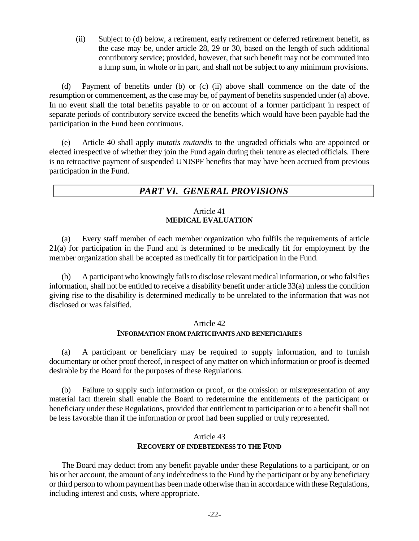(ii) Subject to (d) below, a retirement, early retirement or deferred retirement benefit, as the case may be, under article 28, 29 or 30, based on the length of such additional contributory service; provided, however, that such benefit may not be commuted into a lump sum, in whole or in part, and shall not be subject to any minimum provisions.

(d) Payment of benefits under (b) or (c) (ii) above shall commence on the date of the resumption or commencement, as the case may be, of payment of benefits suspended under (a) above. In no event shall the total benefits payable to or on account of a former participant in respect of separate periods of contributory service exceed the benefits which would have been payable had the participation in the Fund been continuous.

(e) Article 40 shall apply *mutatis mutandis* to the ungraded officials who are appointed or elected irrespective of whether they join the Fund again during their tenure as elected officials. There is no retroactive payment of suspended UNJSPF benefits that may have been accrued from previous participation in the Fund.

# *PART VI. GENERAL PROVISIONS*

#### Article 41 **MEDICAL EVALUATION**

(a) Every staff member of each member organization who fulfils the requirements of article 21(a) for participation in the Fund and is determined to be medically fit for employment by the member organization shall be accepted as medically fit for participation in the Fund.

(b) A participant who knowingly fails to disclose relevant medical information, or who falsifies information, shall not be entitled to receive a disability benefit under article 33(a) unless the condition giving rise to the disability is determined medically to be unrelated to the information that was not disclosed or was falsified.

## Article 42

## **INFORMATION FROM PARTICIPANTS AND BENEFICIARIES**

(a) A participant or beneficiary may be required to supply information, and to furnish documentary or other proof thereof, in respect of any matter on which information or proof is deemed desirable by the Board for the purposes of these Regulations.

(b) Failure to supply such information or proof, or the omission or misrepresentation of any material fact therein shall enable the Board to redetermine the entitlements of the participant or beneficiary under these Regulations, provided that entitlement to participation or to a benefit shall not be less favorable than if the information or proof had been supplied or truly represented.

## Article 43 **RECOVERY OF INDEBTEDNESS TO THE FUND**

The Board may deduct from any benefit payable under these Regulations to a participant, or on his or her account, the amount of any indebtedness to the Fund by the participant or by any beneficiary or third person to whom payment has been made otherwise than in accordance with these Regulations, including interest and costs, where appropriate.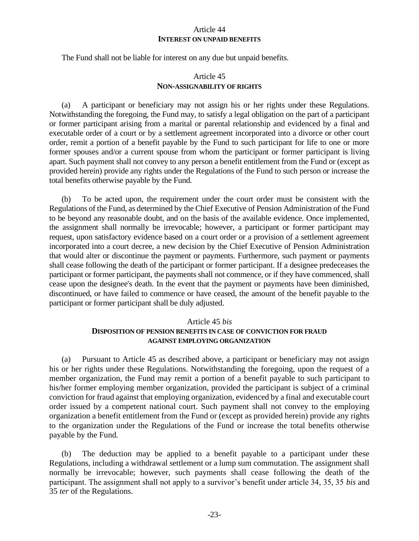#### Article 44 **INTEREST ON UNPAID BENEFITS**

The Fund shall not be liable for interest on any due but unpaid benefits.

## Article 45 **NON-ASSIGNABILITY OF RIGHTS**

(a) A participant or beneficiary may not assign his or her rights under these Regulations. Notwithstanding the foregoing, the Fund may, to satisfy a legal obligation on the part of a participant or former participant arising from a marital or parental relationship and evidenced by a final and executable order of a court or by a settlement agreement incorporated into a divorce or other court order, remit a portion of a benefit payable by the Fund to such participant for life to one or more former spouses and/or a current spouse from whom the participant or former participant is living apart. Such payment shall not convey to any person a benefit entitlement from the Fund or (except as provided herein) provide any rights under the Regulations of the Fund to such person or increase the total benefits otherwise payable by the Fund.

(b) To be acted upon, the requirement under the court order must be consistent with the Regulations of the Fund, as determined by the Chief Executive of Pension Administration of the Fund to be beyond any reasonable doubt, and on the basis of the available evidence. Once implemented, the assignment shall normally be irrevocable; however, a participant or former participant may request, upon satisfactory evidence based on a court order or a provision of a settlement agreement incorporated into a court decree, a new decision by the Chief Executive of Pension Administration that would alter or discontinue the payment or payments. Furthermore, such payment or payments shall cease following the death of the participant or former participant. If a designee predeceases the participant or former participant, the payments shall not commence, or if they have commenced, shall cease upon the designee's death. In the event that the payment or payments have been diminished, discontinued, or have failed to commence or have ceased, the amount of the benefit payable to the participant or former participant shall be duly adjusted.

#### Article 45 *bis*

#### **DISPOSITION OF PENSION BENEFITS IN CASE OF CONVICTION FOR FRAUD AGAINST EMPLOYING ORGANIZATION**

(a) Pursuant to Article 45 as described above, a participant or beneficiary may not assign his or her rights under these Regulations. Notwithstanding the foregoing, upon the request of a member organization, the Fund may remit a portion of a benefit payable to such participant to his/her former employing member organization, provided the participant is subject of a criminal conviction for fraud against that employing organization, evidenced by a final and executable court order issued by a competent national court. Such payment shall not convey to the employing organization a benefit entitlement from the Fund or (except as provided herein) provide any rights to the organization under the Regulations of the Fund or increase the total benefits otherwise payable by the Fund.

(b) The deduction may be applied to a benefit payable to a participant under these Regulations, including a withdrawal settlement or a lump sum commutation. The assignment shall normally be irrevocable; however, such payments shall cease following the death of the participant. The assignment shall not apply to a survivor's benefit under article 34, 35, 35 *bis* and 35 *ter* of the Regulations.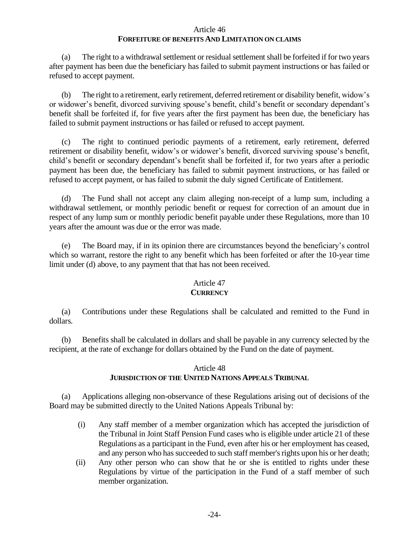#### Article 46 **FORFEITURE OF BENEFITS AND LIMITATION ON CLAIMS**

(a) The right to a withdrawal settlement or residual settlement shall be forfeited if for two years after payment has been due the beneficiary has failed to submit payment instructions or has failed or refused to accept payment.

(b) The right to a retirement, early retirement, deferred retirement or disability benefit, widow's or widower's benefit, divorced surviving spouse's benefit, child's benefit or secondary dependant's benefit shall be forfeited if, for five years after the first payment has been due, the beneficiary has failed to submit payment instructions or has failed or refused to accept payment.

(c) The right to continued periodic payments of a retirement, early retirement, deferred retirement or disability benefit, widow's or widower's benefit, divorced surviving spouse's benefit, child's benefit or secondary dependant's benefit shall be forfeited if, for two years after a periodic payment has been due, the beneficiary has failed to submit payment instructions, or has failed or refused to accept payment, or has failed to submit the duly signed Certificate of Entitlement.

(d) The Fund shall not accept any claim alleging non-receipt of a lump sum, including a withdrawal settlement, or monthly periodic benefit or request for correction of an amount due in respect of any lump sum or monthly periodic benefit payable under these Regulations, more than 10 years after the amount was due or the error was made.

(e) The Board may, if in its opinion there are circumstances beyond the beneficiary's control which so warrant, restore the right to any benefit which has been forfeited or after the 10-year time limit under (d) above, to any payment that that has not been received.

# Article 47

# **CURRENCY**

(a) Contributions under these Regulations shall be calculated and remitted to the Fund in dollars.

(b) Benefits shall be calculated in dollars and shall be payable in any currency selected by the recipient, at the rate of exchange for dollars obtained by the Fund on the date of payment.

# Article 48 **JURISDICTION OF THE UNITED NATIONS APPEALS TRIBUNAL**

(a) Applications alleging non-observance of these Regulations arising out of decisions of the Board may be submitted directly to the United Nations Appeals Tribunal by:

- (i) Any staff member of a member organization which has accepted the jurisdiction of the Tribunal in Joint Staff Pension Fund cases who is eligible under article 21 of these Regulations as a participant in the Fund, even after his or her employment has ceased, and any person who has succeeded to such staff member's rights upon his or her death;
- (ii) Any other person who can show that he or she is entitled to rights under these Regulations by virtue of the participation in the Fund of a staff member of such member organization.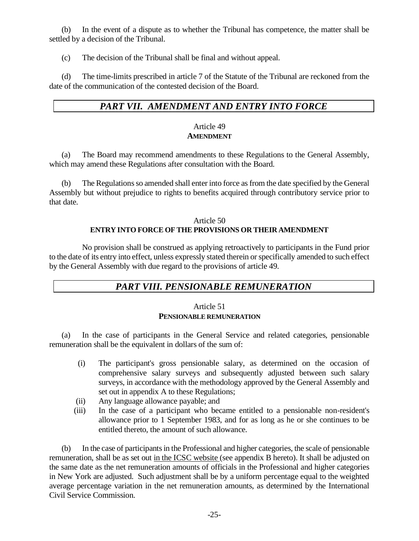(b) In the event of a dispute as to whether the Tribunal has competence, the matter shall be settled by a decision of the Tribunal.

(c) The decision of the Tribunal shall be final and without appeal.

(d) The time-limits prescribed in article 7 of the Statute of the Tribunal are reckoned from the date of the communication of the contested decision of the Board.

# *PART VII. AMENDMENT AND ENTRY INTO FORCE*

#### Article 49 **AMENDMENT**

(a) The Board may recommend amendments to these Regulations to the General Assembly, which may amend these Regulations after consultation with the Board.

(b) The Regulations so amended shall enter into force as from the date specified by the General Assembly but without prejudice to rights to benefits acquired through contributory service prior to that date.

#### Article 50 **ENTRY INTO FORCE OF THE PROVISIONS OR THEIR AMENDMENT**

No provision shall be construed as applying retroactively to participants in the Fund prior to the date of its entry into effect, unless expressly stated therein or specifically amended to such effect by the General Assembly with due regard to the provisions of article 49.

# *PART VIII. PENSIONABLE REMUNERATION*

#### Article 51 **PENSIONABLE REMUNERATION**

(a) In the case of participants in the General Service and related categories, pensionable remuneration shall be the equivalent in dollars of the sum of:

- (i) The participant's gross pensionable salary, as determined on the occasion of comprehensive salary surveys and subsequently adjusted between such salary surveys, in accordance with the methodology approved by the General Assembly and set out in appendix A to these Regulations;
- (ii) Any language allowance payable; and
- (iii) In the case of a participant who became entitled to a pensionable non-resident's allowance prior to 1 September 1983, and for as long as he or she continues to be entitled thereto, the amount of such allowance.

(b) In the case of participants in the Professional and higher categories, the scale of pensionable remuneration, shall be as set out in the ICSC website (see appendix B hereto). It shall be adjusted on the same date as the net remuneration amounts of officials in the Professional and higher categories in New York are adjusted. Such adjustment shall be by a uniform percentage equal to the weighted average percentage variation in the net remuneration amounts, as determined by the International Civil Service Commission.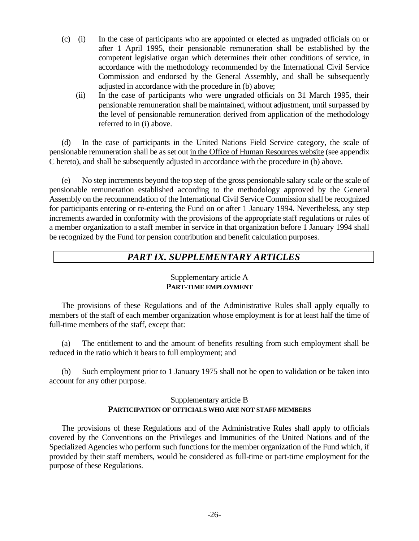- (c) (i) In the case of participants who are appointed or elected as ungraded officials on or after 1 April 1995, their pensionable remuneration shall be established by the competent legislative organ which determines their other conditions of service, in accordance with the methodology recommended by the International Civil Service Commission and endorsed by the General Assembly, and shall be subsequently adjusted in accordance with the procedure in (b) above;
	- (ii) In the case of participants who were ungraded officials on 31 March 1995, their pensionable remuneration shall be maintained, without adjustment, until surpassed by the level of pensionable remuneration derived from application of the methodology referred to in (i) above.

(d) In the case of participants in the United Nations Field Service category, the scale of pensionable remuneration shall be as set out in the Office of Human Resources website (see appendix C hereto), and shall be subsequently adjusted in accordance with the procedure in (b) above.

(e) No step increments beyond the top step of the gross pensionable salary scale or the scale of pensionable remuneration established according to the methodology approved by the General Assembly on the recommendation of the International Civil Service Commission shall be recognized for participants entering or re-entering the Fund on or after 1 January 1994. Nevertheless, any step increments awarded in conformity with the provisions of the appropriate staff regulations or rules of a member organization to a staff member in service in that organization before 1 January 1994 shall be recognized by the Fund for pension contribution and benefit calculation purposes.

# *PART IX. SUPPLEMENTARY ARTICLES*

## Supplementary article A **PART-TIME EMPLOYMENT**

The provisions of these Regulations and of the Administrative Rules shall apply equally to members of the staff of each member organization whose employment is for at least half the time of full-time members of the staff, except that:

(a) The entitlement to and the amount of benefits resulting from such employment shall be reduced in the ratio which it bears to full employment; and

(b) Such employment prior to 1 January 1975 shall not be open to validation or be taken into account for any other purpose.

## Supplementary article B **PARTICIPATION OF OFFICIALS WHO ARE NOT STAFF MEMBERS**

The provisions of these Regulations and of the Administrative Rules shall apply to officials covered by the Conventions on the Privileges and Immunities of the United Nations and of the Specialized Agencies who perform such functions for the member organization of the Fund which, if provided by their staff members, would be considered as full-time or part-time employment for the purpose of these Regulations.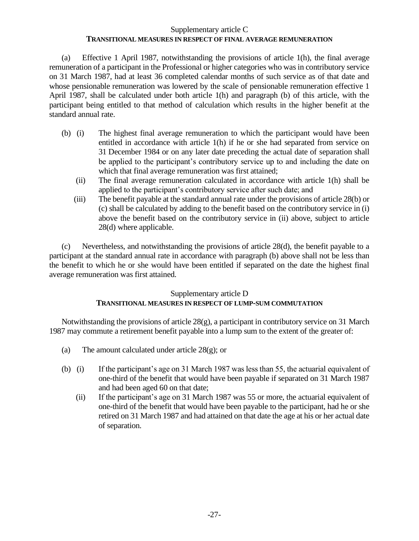## Supplementary article C **TRANSITIONAL MEASURES IN RESPECT OF FINAL AVERAGE REMUNERATION**

(a) Effective 1 April 1987, notwithstanding the provisions of article 1(h), the final average remuneration of a participant in the Professional or higher categories who was in contributory service on 31 March 1987, had at least 36 completed calendar months of such service as of that date and whose pensionable remuneration was lowered by the scale of pensionable remuneration effective 1 April 1987, shall be calculated under both article 1(h) and paragraph (b) of this article, with the participant being entitled to that method of calculation which results in the higher benefit at the standard annual rate.

- (b) (i) The highest final average remuneration to which the participant would have been entitled in accordance with article 1(h) if he or she had separated from service on 31 December 1984 or on any later date preceding the actual date of separation shall be applied to the participant's contributory service up to and including the date on which that final average remuneration was first attained;
	- (ii) The final average remuneration calculated in accordance with article 1(h) shall be applied to the participant's contributory service after such date; and
	- (iii) The benefit payable at the standard annual rate under the provisions of article 28(b) or (c) shall be calculated by adding to the benefit based on the contributory service in (i) above the benefit based on the contributory service in (ii) above, subject to article 28(d) where applicable.

(c) Nevertheless, and notwithstanding the provisions of article 28(d), the benefit payable to a participant at the standard annual rate in accordance with paragraph (b) above shall not be less than the benefit to which he or she would have been entitled if separated on the date the highest final average remuneration was first attained.

# Supplementary article D **TRANSITIONAL MEASURES IN RESPECT OF LUMP-SUM COMMUTATION**

Notwithstanding the provisions of article 28(g), a participant in contributory service on 31 March 1987 may commute a retirement benefit payable into a lump sum to the extent of the greater of:

- (a) The amount calculated under article 28(g); or
- (b) (i) If the participant's age on 31 March 1987 was less than 55, the actuarial equivalent of one-third of the benefit that would have been payable if separated on 31 March 1987 and had been aged 60 on that date;
	- (ii) If the participant's age on 31 March 1987 was 55 or more, the actuarial equivalent of one-third of the benefit that would have been payable to the participant, had he or she retired on 31 March 1987 and had attained on that date the age at his or her actual date of separation.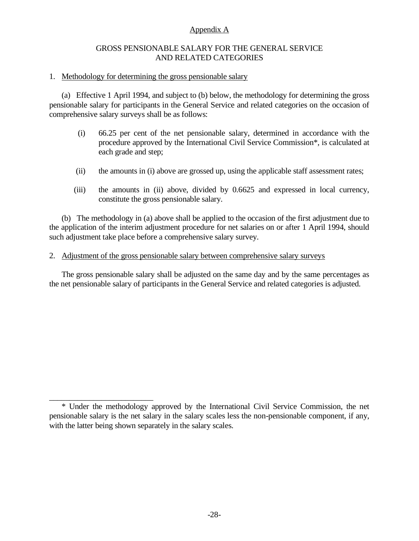# Appendix A

#### GROSS PENSIONABLE SALARY FOR THE GENERAL SERVICE AND RELATED CATEGORIES

#### 1. Methodology for determining the gross pensionable salary

\_\_\_\_\_\_\_\_\_\_\_\_\_\_\_\_\_\_\_\_\_\_\_\_\_\_

(a) Effective 1 April 1994, and subject to (b) below, the methodology for determining the gross pensionable salary for participants in the General Service and related categories on the occasion of comprehensive salary surveys shall be as follows:

- (i) 66.25 per cent of the net pensionable salary, determined in accordance with the procedure approved by the International Civil Service Commission\*, is calculated at each grade and step;
- (ii) the amounts in (i) above are grossed up, using the applicable staff assessment rates;
- (iii) the amounts in (ii) above, divided by 0.6625 and expressed in local currency, constitute the gross pensionable salary.

(b) The methodology in (a) above shall be applied to the occasion of the first adjustment due to the application of the interim adjustment procedure for net salaries on or after 1 April 1994, should such adjustment take place before a comprehensive salary survey.

2. Adjustment of the gross pensionable salary between comprehensive salary surveys

The gross pensionable salary shall be adjusted on the same day and by the same percentages as the net pensionable salary of participants in the General Service and related categories is adjusted.

<sup>\*</sup> Under the methodology approved by the International Civil Service Commission, the net pensionable salary is the net salary in the salary scales less the non-pensionable component, if any, with the latter being shown separately in the salary scales.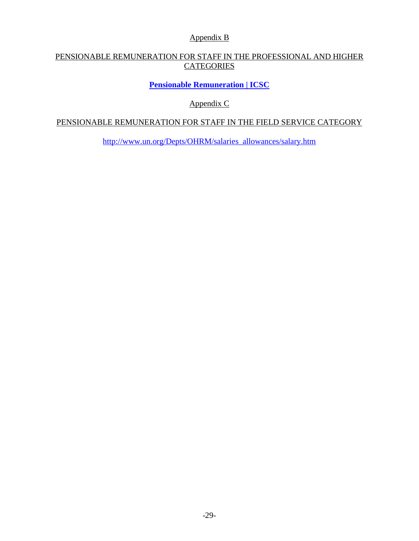Appendix B

# PENSIONABLE REMUNERATION FOR STAFF IN THE PROFESSIONAL AND HIGHER **CATEGORIES**

**[Pensionable Remuneration | ICSC](https://icsc.un.org/Home/DataPR)**

Appendix C

# PENSIONABLE REMUNERATION FOR STAFF IN THE FIELD SERVICE CATEGORY

[http://www.un.org/Depts/OHRM/salaries\\_allowances/salary.htm](http://www.un.org/Depts/OHRM/salaries_allowances/salary.htm)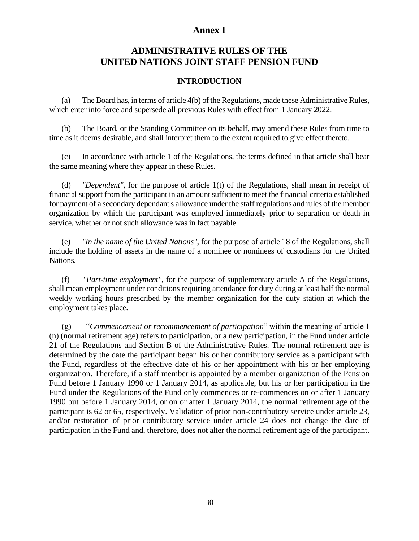# **Annex I**

# **ADMINISTRATIVE RULES OF THE UNITED NATIONS JOINT STAFF PENSION FUND**

## **INTRODUCTION**

(a) The Board has, in terms of article 4(b) of the Regulations, made these Administrative Rules, which enter into force and supersede all previous Rules with effect from 1 January 2022.

(b) The Board, or the Standing Committee on its behalf, may amend these Rules from time to time as it deems desirable, and shall interpret them to the extent required to give effect thereto.

(c) In accordance with article 1 of the Regulations, the terms defined in that article shall bear the same meaning where they appear in these Rules.

(d) *"Dependent"*, for the purpose of article 1(t) of the Regulations, shall mean in receipt of financial support from the participant in an amount sufficient to meet the financial criteria established for payment of a secondary dependant's allowance under the staff regulations and rules of the member organization by which the participant was employed immediately prior to separation or death in service, whether or not such allowance was in fact payable.

(e) *"In the name of the United Nations"*, for the purpose of article 18 of the Regulations, shall include the holding of assets in the name of a nominee or nominees of custodians for the United Nations.

(f) *"Part-time employment"*, for the purpose of supplementary article A of the Regulations, shall mean employment under conditions requiring attendance for duty during at least half the normal weekly working hours prescribed by the member organization for the duty station at which the employment takes place.

(g) "*Commencement or recommencement of participation*" within the meaning of article 1 (n) (normal retirement age) refers to participation, or a new participation, in the Fund under article 21 of the Regulations and Section B of the Administrative Rules. The normal retirement age is determined by the date the participant began his or her contributory service as a participant with the Fund, regardless of the effective date of his or her appointment with his or her employing organization. Therefore, if a staff member is appointed by a member organization of the Pension Fund before 1 January 1990 or 1 January 2014, as applicable, but his or her participation in the Fund under the Regulations of the Fund only commences or re-commences on or after 1 January 1990 but before 1 January 2014, or on or after 1 January 2014, the normal retirement age of the participant is 62 or 65, respectively. Validation of prior non-contributory service under article 23, and/or restoration of prior contributory service under article 24 does not change the date of participation in the Fund and, therefore, does not alter the normal retirement age of the participant.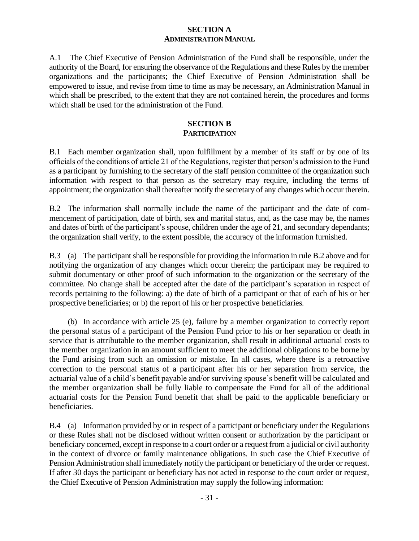## **SECTION A ADMINISTRATION MANUAL**

A.1 The Chief Executive of Pension Administration of the Fund shall be responsible, under the authority of the Board, for ensuring the observance of the Regulations and these Rules by the member organizations and the participants; the Chief Executive of Pension Administration shall be empowered to issue, and revise from time to time as may be necessary, an Administration Manual in which shall be prescribed, to the extent that they are not contained herein, the procedures and forms which shall be used for the administration of the Fund.

## **SECTION B PARTICIPATION**

B.1 Each member organization shall, upon fulfillment by a member of its staff or by one of its officials of the conditions of article 21 of the Regulations, register that person's admission to the Fund as a participant by furnishing to the secretary of the staff pension committee of the organization such information with respect to that person as the secretary may require, including the terms of appointment; the organization shall thereafter notify the secretary of any changes which occur therein.

B.2 The information shall normally include the name of the participant and the date of commencement of participation, date of birth, sex and marital status, and, as the case may be, the names and dates of birth of the participant's spouse, children under the age of 21, and secondary dependants; the organization shall verify, to the extent possible, the accuracy of the information furnished.

B.3 (a) The participant shall be responsible for providing the information in rule B.2 above and for notifying the organization of any changes which occur therein; the participant may be required to submit documentary or other proof of such information to the organization or the secretary of the committee. No change shall be accepted after the date of the participant's separation in respect of records pertaining to the following: a) the date of birth of a participant or that of each of his or her prospective beneficiaries; or b) the report of his or her prospective beneficiaries.

(b) In accordance with article 25 (e), failure by a member organization to correctly report the personal status of a participant of the Pension Fund prior to his or her separation or death in service that is attributable to the member organization, shall result in additional actuarial costs to the member organization in an amount sufficient to meet the additional obligations to be borne by the Fund arising from such an omission or mistake. In all cases, where there is a retroactive correction to the personal status of a participant after his or her separation from service, the actuarial value of a child's benefit payable and/or surviving spouse's benefit will be calculated and the member organization shall be fully liable to compensate the Fund for all of the additional actuarial costs for the Pension Fund benefit that shall be paid to the applicable beneficiary or beneficiaries.

B.4 (a) Information provided by or in respect of a participant or beneficiary under the Regulations or these Rules shall not be disclosed without written consent or authorization by the participant or beneficiary concerned, except in response to a court order or a request from a judicial or civil authority in the context of divorce or family maintenance obligations. In such case the Chief Executive of Pension Administration shall immediately notify the participant or beneficiary of the order or request. If after 30 days the participant or beneficiary has not acted in response to the court order or request, the Chief Executive of Pension Administration may supply the following information: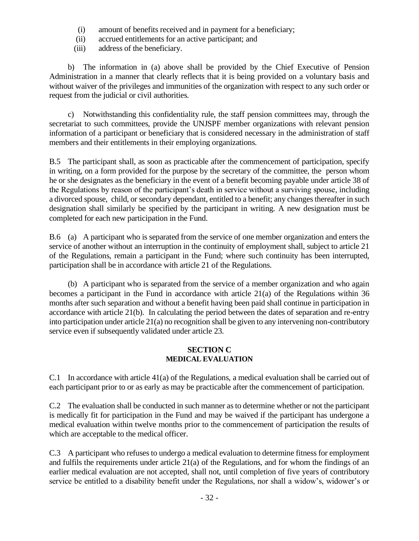- (i) amount of benefits received and in payment for a beneficiary;
- (ii) accrued entitlements for an active participant; and
- (iii) address of the beneficiary.

b) The information in (a) above shall be provided by the Chief Executive of Pension Administration in a manner that clearly reflects that it is being provided on a voluntary basis and without waiver of the privileges and immunities of the organization with respect to any such order or request from the judicial or civil authorities.

c) Notwithstanding this confidentiality rule, the staff pension committees may, through the secretariat to such committees, provide the UNJSPF member organizations with relevant pension information of a participant or beneficiary that is considered necessary in the administration of staff members and their entitlements in their employing organizations.

B.5 The participant shall, as soon as practicable after the commencement of participation, specify in writing, on a form provided for the purpose by the secretary of the committee, the person whom he or she designates as the beneficiary in the event of a benefit becoming payable under article 38 of the Regulations by reason of the participant's death in service without a surviving spouse, including a divorced spouse, child, or secondary dependant, entitled to a benefit; any changes thereafter in such designation shall similarly be specified by the participant in writing. A new designation must be completed for each new participation in the Fund.

B.6 (a) A participant who is separated from the service of one member organization and enters the service of another without an interruption in the continuity of employment shall, subject to article 21 of the Regulations, remain a participant in the Fund; where such continuity has been interrupted, participation shall be in accordance with article 21 of the Regulations.

(b) A participant who is separated from the service of a member organization and who again becomes a participant in the Fund in accordance with article 21(a) of the Regulations within 36 months after such separation and without a benefit having been paid shall continue in participation in accordance with article 21(b). In calculating the period between the dates of separation and re-entry into participation under article 21(a) no recognition shall be given to any intervening non-contributory service even if subsequently validated under article 23.

#### **SECTION C MEDICAL EVALUATION**

C.1 In accordance with article 41(a) of the Regulations, a medical evaluation shall be carried out of each participant prior to or as early as may be practicable after the commencement of participation.

C.2 The evaluation shall be conducted in such manner as to determine whether or not the participant is medically fit for participation in the Fund and may be waived if the participant has undergone a medical evaluation within twelve months prior to the commencement of participation the results of which are acceptable to the medical officer.

C.3 A participant who refuses to undergo a medical evaluation to determine fitness for employment and fulfils the requirements under article 21(a) of the Regulations, and for whom the findings of an earlier medical evaluation are not accepted, shall not, until completion of five years of contributory service be entitled to a disability benefit under the Regulations, nor shall a widow's, widower's or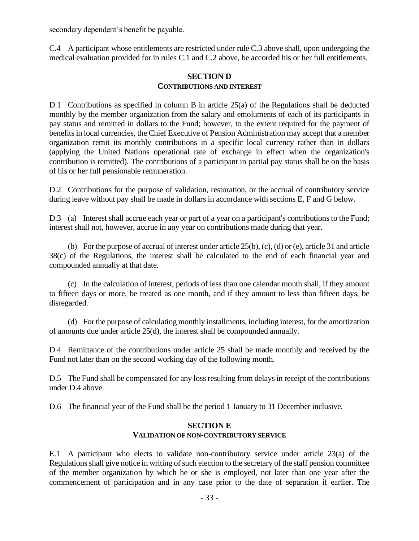secondary dependent's benefit be payable.

C.4 A participant whose entitlements are restricted under rule C.3 above shall, upon undergoing the medical evaluation provided for in rules C.1 and C.2 above, be accorded his or her full entitlements.

## **SECTION D CONTRIBUTIONS AND INTEREST**

D.1 Contributions as specified in column B in article 25(a) of the Regulations shall be deducted monthly by the member organization from the salary and emoluments of each of its participants in pay status and remitted in dollars to the Fund; however, to the extent required for the payment of benefits in local currencies, the Chief Executive of Pension Administration may accept that a member organization remit its monthly contributions in a specific local currency rather than in dollars (applying the United Nations operational rate of exchange in effect when the organization's contribution is remitted). The contributions of a participant in partial pay status shall be on the basis of his or her full pensionable remuneration.

D.2 Contributions for the purpose of validation, restoration, or the accrual of contributory service during leave without pay shall be made in dollars in accordance with sections E, F and G below.

D.3 (a) Interest shall accrue each year or part of a year on a participant's contributions to the Fund; interest shall not, however, accrue in any year on contributions made during that year.

(b) For the purpose of accrual of interest under article  $25(b)$ , (c), (d) or (e), article 31 and article 38(c) of the Regulations, the interest shall be calculated to the end of each financial year and compounded annually at that date.

(c) In the calculation of interest, periods of less than one calendar month shall, if they amount to fifteen days or more, be treated as one month, and if they amount to less than fifteen days, be disregarded.

(d) For the purpose of calculating monthly installments, including interest, for the amortization of amounts due under article 25(d), the interest shall be compounded annually.

D.4 Remittance of the contributions under article 25 shall be made monthly and received by the Fund not later than on the second working day of the following month.

D.5 The Fund shall be compensated for any loss resulting from delays in receipt of the contributions under D.4 above.

D.6 The financial year of the Fund shall be the period 1 January to 31 December inclusive.

#### **SECTION E VALIDATION OF NON-CONTRIBUTORY SERVICE**

E.1 A participant who elects to validate non-contributory service under article 23(a) of the Regulations shall give notice in writing of such election to the secretary of the staff pension committee of the member organization by which he or she is employed, not later than one year after the commencement of participation and in any case prior to the date of separation if earlier. The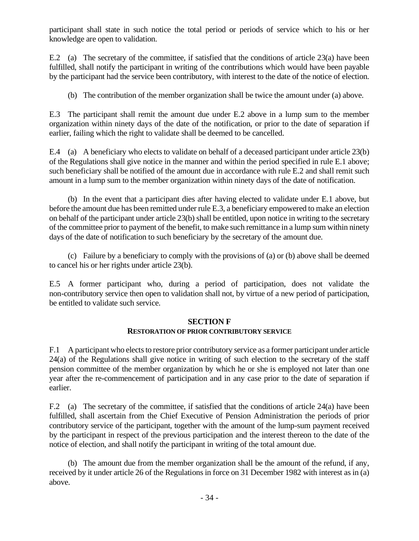participant shall state in such notice the total period or periods of service which to his or her knowledge are open to validation.

E.2 (a) The secretary of the committee, if satisfied that the conditions of article 23(a) have been fulfilled, shall notify the participant in writing of the contributions which would have been payable by the participant had the service been contributory, with interest to the date of the notice of election.

(b) The contribution of the member organization shall be twice the amount under (a) above.

E.3 The participant shall remit the amount due under E.2 above in a lump sum to the member organization within ninety days of the date of the notification, or prior to the date of separation if earlier, failing which the right to validate shall be deemed to be cancelled.

E.4 (a) A beneficiary who elects to validate on behalf of a deceased participant under article 23(b) of the Regulations shall give notice in the manner and within the period specified in rule E.1 above; such beneficiary shall be notified of the amount due in accordance with rule E.2 and shall remit such amount in a lump sum to the member organization within ninety days of the date of notification.

(b) In the event that a participant dies after having elected to validate under E.1 above, but before the amount due has been remitted under rule E.3, a beneficiary empowered to make an election on behalf of the participant under article 23(b) shall be entitled, upon notice in writing to the secretary of the committee prior to payment of the benefit, to make such remittance in a lump sum within ninety days of the date of notification to such beneficiary by the secretary of the amount due.

(c) Failure by a beneficiary to comply with the provisions of (a) or (b) above shall be deemed to cancel his or her rights under article 23(b).

E.5 A former participant who, during a period of participation, does not validate the non-contributory service then open to validation shall not, by virtue of a new period of participation, be entitled to validate such service.

## **SECTION F**

## **RESTORATION OF PRIOR CONTRIBUTORY SERVICE**

F.1 A participant who elects to restore prior contributory service as a former participant under article 24(a) of the Regulations shall give notice in writing of such election to the secretary of the staff pension committee of the member organization by which he or she is employed not later than one year after the re-commencement of participation and in any case prior to the date of separation if earlier.

F.2 (a) The secretary of the committee, if satisfied that the conditions of article 24(a) have been fulfilled, shall ascertain from the Chief Executive of Pension Administration the periods of prior contributory service of the participant, together with the amount of the lump-sum payment received by the participant in respect of the previous participation and the interest thereon to the date of the notice of election, and shall notify the participant in writing of the total amount due.

(b) The amount due from the member organization shall be the amount of the refund, if any, received by it under article 26 of the Regulations in force on 31 December 1982 with interest as in (a) above.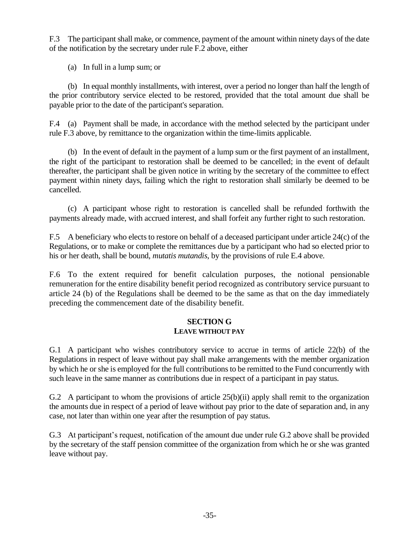F.3 The participant shall make, or commence, payment of the amount within ninety days of the date of the notification by the secretary under rule F.2 above, either

(a) In full in a lump sum; or

(b) In equal monthly installments, with interest, over a period no longer than half the length of the prior contributory service elected to be restored, provided that the total amount due shall be payable prior to the date of the participant's separation.

F.4 (a) Payment shall be made, in accordance with the method selected by the participant under rule F.3 above, by remittance to the organization within the time-limits applicable.

(b) In the event of default in the payment of a lump sum or the first payment of an installment, the right of the participant to restoration shall be deemed to be cancelled; in the event of default thereafter, the participant shall be given notice in writing by the secretary of the committee to effect payment within ninety days, failing which the right to restoration shall similarly be deemed to be cancelled.

(c) A participant whose right to restoration is cancelled shall be refunded forthwith the payments already made, with accrued interest, and shall forfeit any further right to such restoration.

F.5 A beneficiary who elects to restore on behalf of a deceased participant under article 24(c) of the Regulations, or to make or complete the remittances due by a participant who had so elected prior to his or her death, shall be bound, *mutatis mutandis*, by the provisions of rule E.4 above.

F.6 To the extent required for benefit calculation purposes, the notional pensionable remuneration for the entire disability benefit period recognized as contributory service pursuant to article 24 (b) of the Regulations shall be deemed to be the same as that on the day immediately preceding the commencement date of the disability benefit.

## **SECTION G LEAVE WITHOUT PAY**

G.1 A participant who wishes contributory service to accrue in terms of article 22(b) of the Regulations in respect of leave without pay shall make arrangements with the member organization by which he or she is employed for the full contributions to be remitted to the Fund concurrently with such leave in the same manner as contributions due in respect of a participant in pay status.

G.2 A participant to whom the provisions of article 25(b)(ii) apply shall remit to the organization the amounts due in respect of a period of leave without pay prior to the date of separation and, in any case, not later than within one year after the resumption of pay status.

G.3 At participant's request, notification of the amount due under rule G.2 above shall be provided by the secretary of the staff pension committee of the organization from which he or she was granted leave without pay.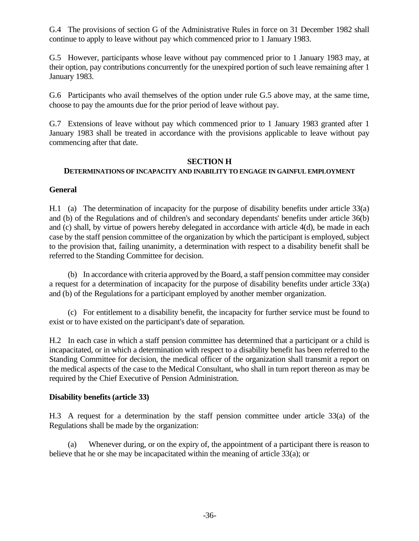G.4 The provisions of section G of the Administrative Rules in force on 31 December 1982 shall continue to apply to leave without pay which commenced prior to 1 January 1983.

G.5 However, participants whose leave without pay commenced prior to 1 January 1983 may, at their option, pay contributions concurrently for the unexpired portion of such leave remaining after 1 January 1983.

G.6 Participants who avail themselves of the option under rule G.5 above may, at the same time, choose to pay the amounts due for the prior period of leave without pay.

G.7 Extensions of leave without pay which commenced prior to 1 January 1983 granted after 1 January 1983 shall be treated in accordance with the provisions applicable to leave without pay commencing after that date.

#### **SECTION H**

## **DETERMINATIONS OF INCAPACITY AND INABILITY TO ENGAGE IN GAINFUL EMPLOYMENT**

## **General**

H.1 (a) The determination of incapacity for the purpose of disability benefits under article 33(a) and (b) of the Regulations and of children's and secondary dependants' benefits under article 36(b) and (c) shall, by virtue of powers hereby delegated in accordance with article 4(d), be made in each case by the staff pension committee of the organization by which the participant is employed, subject to the provision that, failing unanimity, a determination with respect to a disability benefit shall be referred to the Standing Committee for decision.

(b) In accordance with criteria approved by the Board, a staff pension committee may consider a request for a determination of incapacity for the purpose of disability benefits under article 33(a) and (b) of the Regulations for a participant employed by another member organization.

(c) For entitlement to a disability benefit, the incapacity for further service must be found to exist or to have existed on the participant's date of separation.

H.2 In each case in which a staff pension committee has determined that a participant or a child is incapacitated, or in which a determination with respect to a disability benefit has been referred to the Standing Committee for decision, the medical officer of the organization shall transmit a report on the medical aspects of the case to the Medical Consultant, who shall in turn report thereon as may be required by the Chief Executive of Pension Administration.

#### **Disability benefits (article 33)**

H.3 A request for a determination by the staff pension committee under article 33(a) of the Regulations shall be made by the organization:

(a) Whenever during, or on the expiry of, the appointment of a participant there is reason to believe that he or she may be incapacitated within the meaning of article 33(a); or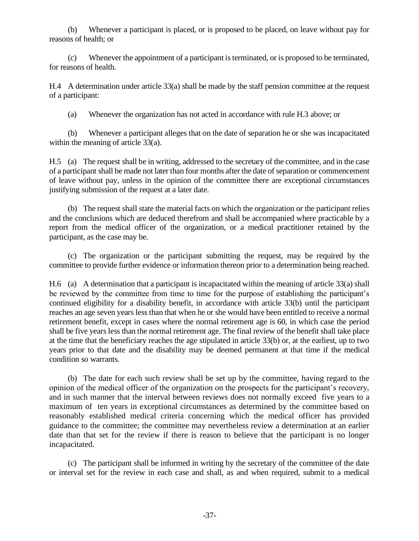(b) Whenever a participant is placed, or is proposed to be placed, on leave without pay for reasons of health; or

(c) Whenever the appointment of a participant is terminated, or is proposed to be terminated, for reasons of health.

H.4 A determination under article 33(a) shall be made by the staff pension committee at the request of a participant:

(a) Whenever the organization has not acted in accordance with rule H.3 above; or

(b) Whenever a participant alleges that on the date of separation he or she was incapacitated within the meaning of article 33(a).

H.5 (a) The request shall be in writing, addressed to the secretary of the committee, and in the case of a participant shall be made not later than four months after the date of separation or commencement of leave without pay, unless in the opinion of the committee there are exceptional circumstances justifying submission of the request at a later date.

(b) The request shall state the material facts on which the organization or the participant relies and the conclusions which are deduced therefrom and shall be accompanied where practicable by a report from the medical officer of the organization, or a medical practitioner retained by the participant, as the case may be.

(c) The organization or the participant submitting the request, may be required by the committee to provide further evidence or information thereon prior to a determination being reached.

H.6 (a) A determination that a participant is incapacitated within the meaning of article 33(a) shall be reviewed by the committee from time to time for the purpose of establishing the participant's continued eligibility for a disability benefit, in accordance with article 33(b) until the participant reaches an age seven years less than that when he or she would have been entitled to receive a normal retirement benefit, except in cases where the normal retirement age is 60, in which case the period shall be five years less than the normal retirement age. The final review of the benefit shall take place at the time that the beneficiary reaches the age stipulated in article 33(b) or, at the earliest, up to two years prior to that date and the disability may be deemed permanent at that time if the medical condition so warrants.

(b) The date for each such review shall be set up by the committee, having regard to the opinion of the medical officer of the organization on the prospects for the participant's recovery, and in such manner that the interval between reviews does not normally exceed five years to a maximum of ten years in exceptional circumstances as determined by the committee based on reasonably established medical criteria concerning which the medical officer has provided guidance to the committee; the committee may nevertheless review a determination at an earlier date than that set for the review if there is reason to believe that the participant is no longer incapacitated.

(c) The participant shall be informed in writing by the secretary of the committee of the date or interval set for the review in each case and shall, as and when required, submit to a medical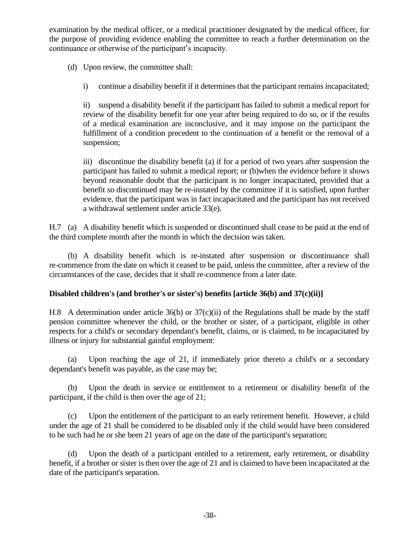examination by the medical officer, or a medical practitioner designated by the medical officer, for the purpose of providing evidence enabling the committee to reach a further determination on the continuance or otherwise of the participant's incapacity.

(d) Upon review, the committee shall:

i) continue a disability benefit if it determines that the participant remains incapacitated;

ii) suspend a disability benefit if the participant has failed to submit a medical report for review of the disability benefit for one year after being required to do so, or if the results of a medical examination are inconclusive, and it may impose on the participant the fulfillment of a condition precedent to the continuation of a benefit or the removal of a suspension;

iii) discontinue the disability benefit (a) if for a period of two years after suspension the participant has failed to submit a medical report; or (b)when the evidence before it shows beyond reasonable doubt that the participant is no longer incapacitated, provided that a benefit so discontinued may be re-instated by the committee if it is satisfied, upon further evidence, that the participant was in fact incapacitated and the participant has not received a withdrawal settlement under article 33(e).

H.7 (a) A disability benefit which is suspended or discontinued shall cease to be paid at the end of the third complete month after the month in which the decision was taken.

(b) A disability benefit which is re-instated after suspension or discontinuance shall re-commence from the date on which it ceased to be paid, unless the committee, after a review of the circumstances of the case, decides that it shall re-commence from a later date.

## **Disabled children's (and brother's or sister's) benefits [article 36(b) and 37(c)(ii)]**

H.8 A determination under article 36(b) or 37(c)(ii) of the Regulations shall be made by the staff pension committee whenever the child, or the brother or sister, of a participant, eligible in other respects for a child's or secondary dependant's benefit, claims, or is claimed, to be incapacitated by illness or injury for substantial gainful employment:

(a) Upon reaching the age of 21, if immediately prior thereto a child's or a secondary dependant's benefit was payable, as the case may be;

(b) Upon the death in service or entitlement to a retirement or disability benefit of the participant, if the child is then over the age of 21;

(c) Upon the entitlement of the participant to an early retirement benefit. However, a child under the age of 21 shall be considered to be disabled only if the child would have been considered to be such had he or she been 21 years of age on the date of the participant's separation;

(d) Upon the death of a participant entitled to a retirement, early retirement, or disability benefit, if a brother or sister is then over the age of 21 and is claimed to have been incapacitated at the date of the participant's separation.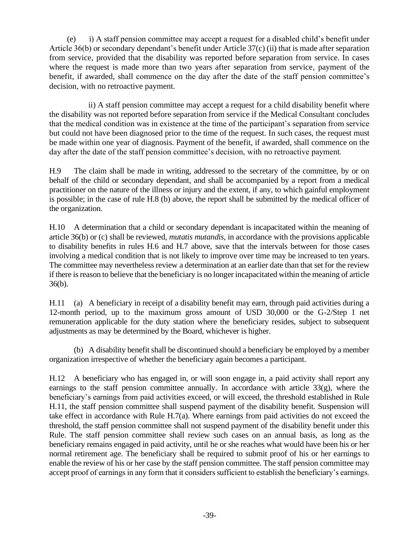(e) i) A staff pension committee may accept a request for a disabled child's benefit under Article 36(b) or secondary dependant's benefit under Article 37(c) (ii) that is made after separation from service, provided that the disability was reported before separation from service. In cases where the request is made more than two years after separation from service, payment of the benefit, if awarded, shall commence on the day after the date of the staff pension committee's decision, with no retroactive payment.

 ii) A staff pension committee may accept a request for a child disability benefit where the disability was not reported before separation from service if the Medical Consultant concludes that the medical condition was in existence at the time of the participant's separation from service but could not have been diagnosed prior to the time of the request. In such cases, the request must be made within one year of diagnosis. Payment of the benefit, if awarded, shall commence on the day after the date of the staff pension committee's decision, with no retroactive payment.

H.9 The claim shall be made in writing, addressed to the secretary of the committee, by or on behalf of the child or secondary dependant, and shall be accompanied by a report from a medical practitioner on the nature of the illness or injury and the extent, if any, to which gainful employment is possible; in the case of rule H.8 (b) above, the report shall be submitted by the medical officer of the organization.

H.10 A determination that a child or secondary dependant is incapacitated within the meaning of article 36(b) or (c) shall be reviewed, *mutatis mutandis*, in accordance with the provisions applicable to disability benefits in rules H.6 and H.7 above, save that the intervals between for those cases involving a medical condition that is not likely to improve over time may be increased to ten years. The committee may nevertheless review a determination at an earlier date than that set for the review if there is reason to believe that the beneficiary is no longer incapacitated within the meaning of article 36(b).

H.11 (a) A beneficiary in receipt of a disability benefit may earn, through paid activities during a 12-month period, up to the maximum gross amount of USD 30,000 or the G-2/Step 1 net remuneration applicable for the duty station where the beneficiary resides, subject to subsequent adjustments as may be determined by the Board, whichever is higher.

(b) A disability benefit shall be discontinued should a beneficiary be employed by a member organization irrespective of whether the beneficiary again becomes a participant.

H.12 A beneficiary who has engaged in, or will soon engage in, a paid activity shall report any earnings to the staff pension committee annually. In accordance with article  $33(g)$ , where the beneficiary's earnings from paid activities exceed, or will exceed, the threshold established in Rule H.11, the staff pension committee shall suspend payment of the disability benefit. Suspension will take effect in accordance with Rule H.7(a). Where earnings from paid activities do not exceed the threshold, the staff pension committee shall not suspend payment of the disability benefit under this Rule. The staff pension committee shall review such cases on an annual basis, as long as the beneficiary remains engaged in paid activity, until he or she reaches what would have been his or her normal retirement age. The beneficiary shall be required to submit proof of his or her earnings to enable the review of his or her case by the staff pension committee. The staff pension committee may accept proof of earnings in any form that it considers sufficient to establish the beneficiary's earnings.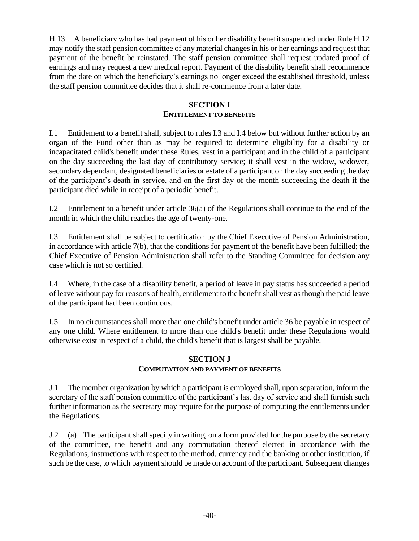H.13 A beneficiary who has had payment of his or her disability benefit suspended under Rule H.12 may notify the staff pension committee of any material changes in his or her earnings and request that payment of the benefit be reinstated. The staff pension committee shall request updated proof of earnings and may request a new medical report. Payment of the disability benefit shall recommence from the date on which the beneficiary's earnings no longer exceed the established threshold, unless the staff pension committee decides that it shall re-commence from a later date.

#### **SECTION I ENTITLEMENT TO BENEFITS**

I.1 Entitlement to a benefit shall, subject to rules I.3 and I.4 below but without further action by an organ of the Fund other than as may be required to determine eligibility for a disability or incapacitated child's benefit under these Rules, vest in a participant and in the child of a participant on the day succeeding the last day of contributory service; it shall vest in the widow, widower, secondary dependant, designated beneficiaries or estate of a participant on the day succeeding the day of the participant's death in service, and on the first day of the month succeeding the death if the participant died while in receipt of a periodic benefit.

I.2 Entitlement to a benefit under article 36(a) of the Regulations shall continue to the end of the month in which the child reaches the age of twenty-one.

I.3 Entitlement shall be subject to certification by the Chief Executive of Pension Administration, in accordance with article 7(b), that the conditions for payment of the benefit have been fulfilled; the Chief Executive of Pension Administration shall refer to the Standing Committee for decision any case which is not so certified.

I.4 Where, in the case of a disability benefit, a period of leave in pay status has succeeded a period of leave without pay for reasons of health, entitlement to the benefit shall vest as though the paid leave of the participant had been continuous.

I.5 In no circumstances shall more than one child's benefit under article 36 be payable in respect of any one child. Where entitlement to more than one child's benefit under these Regulations would otherwise exist in respect of a child, the child's benefit that is largest shall be payable.

## **SECTION J COMPUTATION AND PAYMENT OF BENEFITS**

J.1 The member organization by which a participant is employed shall, upon separation, inform the secretary of the staff pension committee of the participant's last day of service and shall furnish such further information as the secretary may require for the purpose of computing the entitlements under the Regulations.

J.2 (a) The participant shall specify in writing, on a form provided for the purpose by the secretary of the committee, the benefit and any commutation thereof elected in accordance with the Regulations, instructions with respect to the method, currency and the banking or other institution, if such be the case, to which payment should be made on account of the participant. Subsequent changes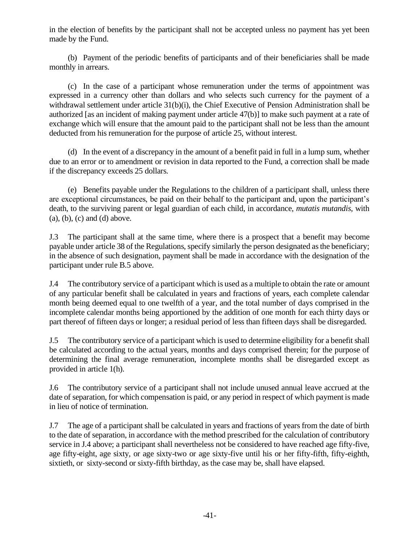in the election of benefits by the participant shall not be accepted unless no payment has yet been made by the Fund.

(b) Payment of the periodic benefits of participants and of their beneficiaries shall be made monthly in arrears.

(c) In the case of a participant whose remuneration under the terms of appointment was expressed in a currency other than dollars and who selects such currency for the payment of a withdrawal settlement under article 31(b)(i), the Chief Executive of Pension Administration shall be authorized [as an incident of making payment under article 47(b)] to make such payment at a rate of exchange which will ensure that the amount paid to the participant shall not be less than the amount deducted from his remuneration for the purpose of article 25, without interest.

(d) In the event of a discrepancy in the amount of a benefit paid in full in a lump sum, whether due to an error or to amendment or revision in data reported to the Fund, a correction shall be made if the discrepancy exceeds 25 dollars.

(e) Benefits payable under the Regulations to the children of a participant shall, unless there are exceptional circumstances, be paid on their behalf to the participant and, upon the participant's death, to the surviving parent or legal guardian of each child, in accordance, *mutatis mutandis*, with  $(a)$ ,  $(b)$ ,  $(c)$  and  $(d)$  above.

J.3 The participant shall at the same time, where there is a prospect that a benefit may become payable under article 38 of the Regulations, specify similarly the person designated as the beneficiary; in the absence of such designation, payment shall be made in accordance with the designation of the participant under rule B.5 above.

J.4 The contributory service of a participant which is used as a multiple to obtain the rate or amount of any particular benefit shall be calculated in years and fractions of years, each complete calendar month being deemed equal to one twelfth of a year, and the total number of days comprised in the incomplete calendar months being apportioned by the addition of one month for each thirty days or part thereof of fifteen days or longer; a residual period of less than fifteen days shall be disregarded.

J.5 The contributory service of a participant which is used to determine eligibility for a benefit shall be calculated according to the actual years, months and days comprised therein; for the purpose of determining the final average remuneration, incomplete months shall be disregarded except as provided in article 1(h).

J.6 The contributory service of a participant shall not include unused annual leave accrued at the date of separation, for which compensation is paid, or any period in respect of which payment is made in lieu of notice of termination.

J.7 The age of a participant shall be calculated in years and fractions of years from the date of birth to the date of separation, in accordance with the method prescribed for the calculation of contributory service in J.4 above; a participant shall nevertheless not be considered to have reached age fifty-five, age fifty-eight, age sixty, or age sixty-two or age sixty-five until his or her fifty-fifth, fifty-eighth, sixtieth, or sixty-second or sixty-fifth birthday, as the case may be, shall have elapsed.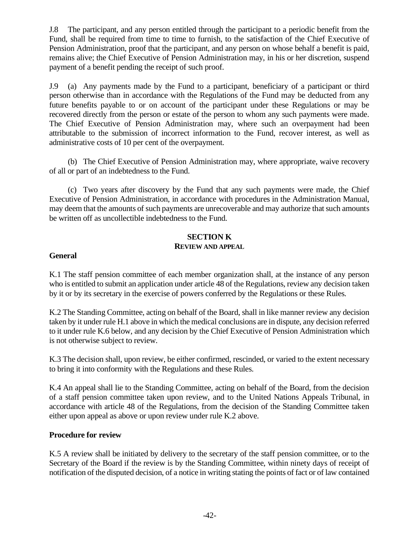J.8 The participant, and any person entitled through the participant to a periodic benefit from the Fund, shall be required from time to time to furnish, to the satisfaction of the Chief Executive of Pension Administration, proof that the participant, and any person on whose behalf a benefit is paid, remains alive; the Chief Executive of Pension Administration may, in his or her discretion, suspend payment of a benefit pending the receipt of such proof.

J.9 (a) Any payments made by the Fund to a participant, beneficiary of a participant or third person otherwise than in accordance with the Regulations of the Fund may be deducted from any future benefits payable to or on account of the participant under these Regulations or may be recovered directly from the person or estate of the person to whom any such payments were made. The Chief Executive of Pension Administration may, where such an overpayment had been attributable to the submission of incorrect information to the Fund, recover interest, as well as administrative costs of 10 per cent of the overpayment.

(b) The Chief Executive of Pension Administration may, where appropriate, waive recovery of all or part of an indebtedness to the Fund.

(c) Two years after discovery by the Fund that any such payments were made, the Chief Executive of Pension Administration, in accordance with procedures in the Administration Manual, may deem that the amounts of such payments are unrecoverable and may authorize that such amounts be written off as uncollectible indebtedness to the Fund.

## **SECTION K REVIEW AND APPEAL**

## **General**

K.1 The staff pension committee of each member organization shall, at the instance of any person who is entitled to submit an application under article 48 of the Regulations, review any decision taken by it or by its secretary in the exercise of powers conferred by the Regulations or these Rules.

K.2 The Standing Committee, acting on behalf of the Board, shall in like manner review any decision taken by it under rule H.1 above in which the medical conclusions are in dispute, any decision referred to it under rule K.6 below, and any decision by the Chief Executive of Pension Administration which is not otherwise subject to review.

K.3 The decision shall, upon review, be either confirmed, rescinded, or varied to the extent necessary to bring it into conformity with the Regulations and these Rules.

K.4 An appeal shall lie to the Standing Committee, acting on behalf of the Board, from the decision of a staff pension committee taken upon review, and to the United Nations Appeals Tribunal, in accordance with article 48 of the Regulations, from the decision of the Standing Committee taken either upon appeal as above or upon review under rule K.2 above.

#### **Procedure for review**

K.5 A review shall be initiated by delivery to the secretary of the staff pension committee, or to the Secretary of the Board if the review is by the Standing Committee, within ninety days of receipt of notification of the disputed decision, of a notice in writing stating the points of fact or of law contained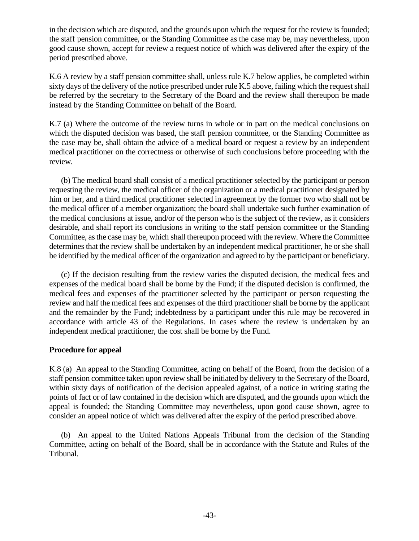in the decision which are disputed, and the grounds upon which the request for the review is founded; the staff pension committee, or the Standing Committee as the case may be, may nevertheless, upon good cause shown, accept for review a request notice of which was delivered after the expiry of the period prescribed above.

K.6 A review by a staff pension committee shall, unless rule K.7 below applies, be completed within sixty days of the delivery of the notice prescribed under rule K.5 above, failing which the request shall be referred by the secretary to the Secretary of the Board and the review shall thereupon be made instead by the Standing Committee on behalf of the Board.

K.7 (a) Where the outcome of the review turns in whole or in part on the medical conclusions on which the disputed decision was based, the staff pension committee, or the Standing Committee as the case may be, shall obtain the advice of a medical board or request a review by an independent medical practitioner on the correctness or otherwise of such conclusions before proceeding with the review.

 (b) The medical board shall consist of a medical practitioner selected by the participant or person requesting the review, the medical officer of the organization or a medical practitioner designated by him or her, and a third medical practitioner selected in agreement by the former two who shall not be the medical officer of a member organization; the board shall undertake such further examination of the medical conclusions at issue, and/or of the person who is the subject of the review, as it considers desirable, and shall report its conclusions in writing to the staff pension committee or the Standing Committee, as the case may be, which shall thereupon proceed with the review. Where the Committee determines that the review shall be undertaken by an independent medical practitioner, he or she shall be identified by the medical officer of the organization and agreed to by the participant or beneficiary.

 (c) If the decision resulting from the review varies the disputed decision, the medical fees and expenses of the medical board shall be borne by the Fund; if the disputed decision is confirmed, the medical fees and expenses of the practitioner selected by the participant or person requesting the review and half the medical fees and expenses of the third practitioner shall be borne by the applicant and the remainder by the Fund; indebtedness by a participant under this rule may be recovered in accordance with article 43 of the Regulations. In cases where the review is undertaken by an independent medical practitioner, the cost shall be borne by the Fund.

## **Procedure for appeal**

K.8 (a) An appeal to the Standing Committee, acting on behalf of the Board, from the decision of a staff pension committee taken upon review shall be initiated by delivery to the Secretary of the Board, within sixty days of notification of the decision appealed against, of a notice in writing stating the points of fact or of law contained in the decision which are disputed, and the grounds upon which the appeal is founded; the Standing Committee may nevertheless, upon good cause shown, agree to consider an appeal notice of which was delivered after the expiry of the period prescribed above.

 (b) An appeal to the United Nations Appeals Tribunal from the decision of the Standing Committee, acting on behalf of the Board, shall be in accordance with the Statute and Rules of the Tribunal.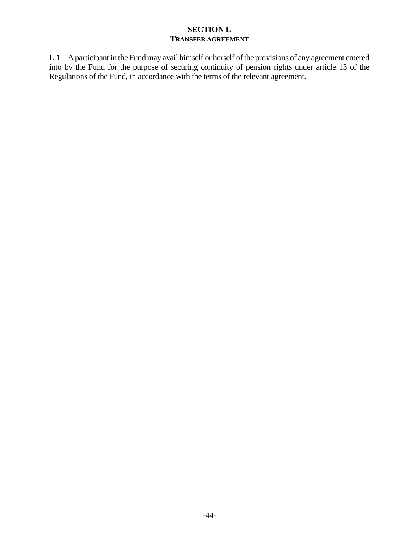## **SECTION L TRANSFER AGREEMENT**

L.1 A participant in the Fund may avail himself or herself of the provisions of any agreement entered into by the Fund for the purpose of securing continuity of pension rights under article 13 of the Regulations of the Fund, in accordance with the terms of the relevant agreement.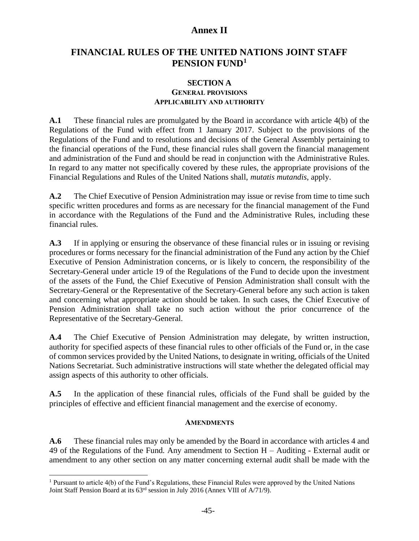# **Annex II**

# **FINANCIAL RULES OF THE UNITED NATIONS JOINT STAFF PENSION FUND<sup>1</sup>**

## **SECTION A GENERAL PROVISIONS APPLICABILITY AND AUTHORITY**

**A.1** These financial rules are promulgated by the Board in accordance with article 4(b) of the Regulations of the Fund with effect from 1 January 2017. Subject to the provisions of the Regulations of the Fund and to resolutions and decisions of the General Assembly pertaining to the financial operations of the Fund, these financial rules shall govern the financial management and administration of the Fund and should be read in conjunction with the Administrative Rules. In regard to any matter not specifically covered by these rules, the appropriate provisions of the Financial Regulations and Rules of the United Nations shall, *mutatis mutandis*, apply.

**A.2** The Chief Executive of Pension Administration may issue or revise from time to time such specific written procedures and forms as are necessary for the financial management of the Fund in accordance with the Regulations of the Fund and the Administrative Rules, including these financial rules.

**A.3** If in applying or ensuring the observance of these financial rules or in issuing or revising procedures or forms necessary for the financial administration of the Fund any action by the Chief Executive of Pension Administration concerns, or is likely to concern, the responsibility of the Secretary-General under article 19 of the Regulations of the Fund to decide upon the investment of the assets of the Fund, the Chief Executive of Pension Administration shall consult with the Secretary-General or the Representative of the Secretary-General before any such action is taken and concerning what appropriate action should be taken. In such cases, the Chief Executive of Pension Administration shall take no such action without the prior concurrence of the Representative of the Secretary-General.

**A.4** The Chief Executive of Pension Administration may delegate, by written instruction, authority for specified aspects of these financial rules to other officials of the Fund or, in the case of common services provided by the United Nations, to designate in writing, officials of the United Nations Secretariat. Such administrative instructions will state whether the delegated official may assign aspects of this authority to other officials.

**A.5** In the application of these financial rules, officials of the Fund shall be guided by the principles of effective and efficient financial management and the exercise of economy.

#### **AMENDMENTS**

**A.6** These financial rules may only be amended by the Board in accordance with articles 4 and 49 of the Regulations of the Fund. Any amendment to Section H – Auditing - External audit or amendment to any other section on any matter concerning external audit shall be made with the

<sup>&</sup>lt;sup>1</sup> Pursuant to article 4(b) of the Fund's Regulations, these Financial Rules were approved by the United Nations Joint Staff Pension Board at its 63rd session in July 2016 (Annex VIII of A/71/9).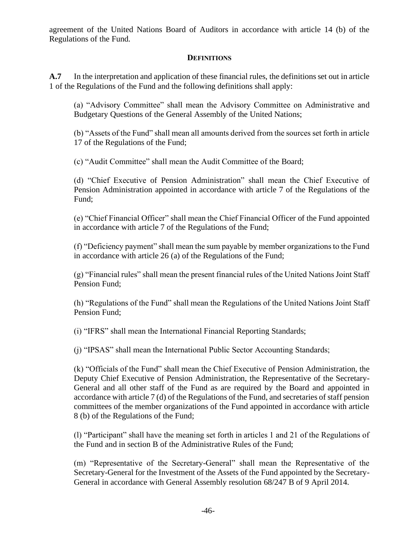agreement of the United Nations Board of Auditors in accordance with article 14 (b) of the Regulations of the Fund.

## **DEFINITIONS**

**A.7** In the interpretation and application of these financial rules, the definitions set out in article 1 of the Regulations of the Fund and the following definitions shall apply:

(a) "Advisory Committee" shall mean the Advisory Committee on Administrative and Budgetary Questions of the General Assembly of the United Nations;

(b) "Assets of the Fund" shall mean all amounts derived from the sources set forth in article 17 of the Regulations of the Fund;

(c) "Audit Committee" shall mean the Audit Committee of the Board;

(d) "Chief Executive of Pension Administration" shall mean the Chief Executive of Pension Administration appointed in accordance with article 7 of the Regulations of the Fund;

(e) "Chief Financial Officer" shall mean the Chief Financial Officer of the Fund appointed in accordance with article 7 of the Regulations of the Fund;

(f) "Deficiency payment" shall mean the sum payable by member organizations to the Fund in accordance with article 26 (a) of the Regulations of the Fund;

(g) "Financial rules" shall mean the present financial rules of the United Nations Joint Staff Pension Fund;

(h) "Regulations of the Fund" shall mean the Regulations of the United Nations Joint Staff Pension Fund;

(i) "IFRS" shall mean the International Financial Reporting Standards;

(j) "IPSAS" shall mean the International Public Sector Accounting Standards;

(k) "Officials of the Fund" shall mean the Chief Executive of Pension Administration, the Deputy Chief Executive of Pension Administration, the Representative of the Secretary-General and all other staff of the Fund as are required by the Board and appointed in accordance with article 7 (d) of the Regulations of the Fund, and secretaries of staff pension committees of the member organizations of the Fund appointed in accordance with article 8 (b) of the Regulations of the Fund;

(l) "Participant" shall have the meaning set forth in articles 1 and 21 of the Regulations of the Fund and in section B of the Administrative Rules of the Fund;

(m) "Representative of the Secretary-General" shall mean the Representative of the Secretary-General for the Investment of the Assets of the Fund appointed by the Secretary-General in accordance with General Assembly resolution 68/247 B of 9 April 2014.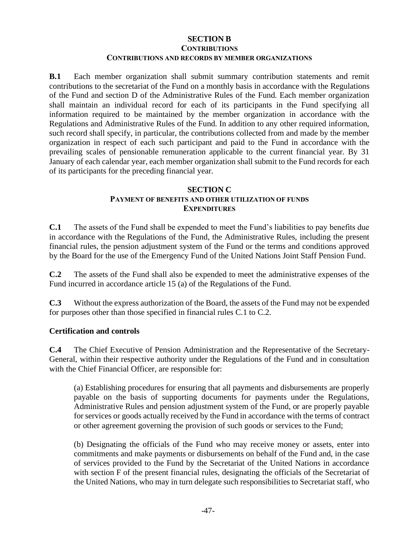## **SECTION B CONTRIBUTIONS CONTRIBUTIONS AND RECORDS BY MEMBER ORGANIZATIONS**

**B.1** Each member organization shall submit summary contribution statements and remit contributions to the secretariat of the Fund on a monthly basis in accordance with the Regulations of the Fund and section D of the Administrative Rules of the Fund. Each member organization shall maintain an individual record for each of its participants in the Fund specifying all information required to be maintained by the member organization in accordance with the Regulations and Administrative Rules of the Fund. In addition to any other required information, such record shall specify, in particular, the contributions collected from and made by the member organization in respect of each such participant and paid to the Fund in accordance with the prevailing scales of pensionable remuneration applicable to the current financial year. By 31 January of each calendar year, each member organization shall submit to the Fund records for each of its participants for the preceding financial year.

## **SECTION C PAYMENT OF BENEFITS AND OTHER UTILIZATION OF FUNDS EXPENDITURES**

**C.1** The assets of the Fund shall be expended to meet the Fund's liabilities to pay benefits due in accordance with the Regulations of the Fund, the Administrative Rules, including the present financial rules, the pension adjustment system of the Fund or the terms and conditions approved by the Board for the use of the Emergency Fund of the United Nations Joint Staff Pension Fund.

**C.2** The assets of the Fund shall also be expended to meet the administrative expenses of the Fund incurred in accordance article 15 (a) of the Regulations of the Fund.

**C.3** Without the express authorization of the Board, the assets of the Fund may not be expended for purposes other than those specified in financial rules C.1 to C.2.

#### **Certification and controls**

**C.4** The Chief Executive of Pension Administration and the Representative of the Secretary-General, within their respective authority under the Regulations of the Fund and in consultation with the Chief Financial Officer, are responsible for:

(a) Establishing procedures for ensuring that all payments and disbursements are properly payable on the basis of supporting documents for payments under the Regulations, Administrative Rules and pension adjustment system of the Fund, or are properly payable for services or goods actually received by the Fund in accordance with the terms of contract or other agreement governing the provision of such goods or services to the Fund;

(b) Designating the officials of the Fund who may receive money or assets, enter into commitments and make payments or disbursements on behalf of the Fund and, in the case of services provided to the Fund by the Secretariat of the United Nations in accordance with section F of the present financial rules, designating the officials of the Secretariat of the United Nations, who may in turn delegate such responsibilities to Secretariat staff, who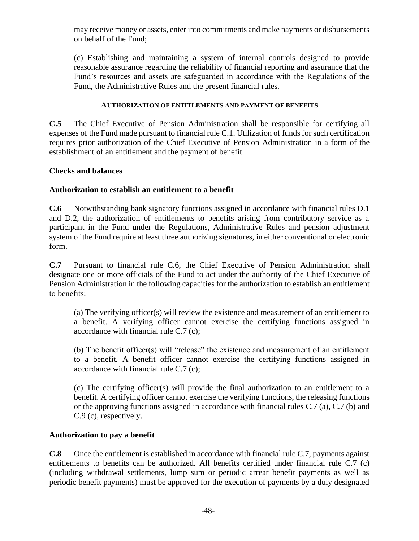may receive money or assets, enter into commitments and make payments or disbursements on behalf of the Fund;

(c) Establishing and maintaining a system of internal controls designed to provide reasonable assurance regarding the reliability of financial reporting and assurance that the Fund's resources and assets are safeguarded in accordance with the Regulations of the Fund, the Administrative Rules and the present financial rules.

## **AUTHORIZATION OF ENTITLEMENTS AND PAYMENT OF BENEFITS**

**C.5** The Chief Executive of Pension Administration shall be responsible for certifying all expenses of the Fund made pursuant to financial rule C.1. Utilization of funds for such certification requires prior authorization of the Chief Executive of Pension Administration in a form of the establishment of an entitlement and the payment of benefit.

## **Checks and balances**

## **Authorization to establish an entitlement to a benefit**

**C.6** Notwithstanding bank signatory functions assigned in accordance with financial rules D.1 and D.2, the authorization of entitlements to benefits arising from contributory service as a participant in the Fund under the Regulations, Administrative Rules and pension adjustment system of the Fund require at least three authorizing signatures, in either conventional or electronic form.

**C.7** Pursuant to financial rule C.6, the Chief Executive of Pension Administration shall designate one or more officials of the Fund to act under the authority of the Chief Executive of Pension Administration in the following capacities for the authorization to establish an entitlement to benefits:

(a) The verifying officer(s) will review the existence and measurement of an entitlement to a benefit. A verifying officer cannot exercise the certifying functions assigned in accordance with financial rule C.7 (c);

(b) The benefit officer(s) will "release" the existence and measurement of an entitlement to a benefit. A benefit officer cannot exercise the certifying functions assigned in accordance with financial rule C.7 (c);

(c) The certifying officer(s) will provide the final authorization to an entitlement to a benefit. A certifying officer cannot exercise the verifying functions, the releasing functions or the approving functions assigned in accordance with financial rules C.7 (a), C.7 (b) and C.9 (c), respectively.

## **Authorization to pay a benefit**

**C.8** Once the entitlement is established in accordance with financial rule C.7, payments against entitlements to benefits can be authorized. All benefits certified under financial rule C.7 (c) (including withdrawal settlements, lump sum or periodic arrear benefit payments as well as periodic benefit payments) must be approved for the execution of payments by a duly designated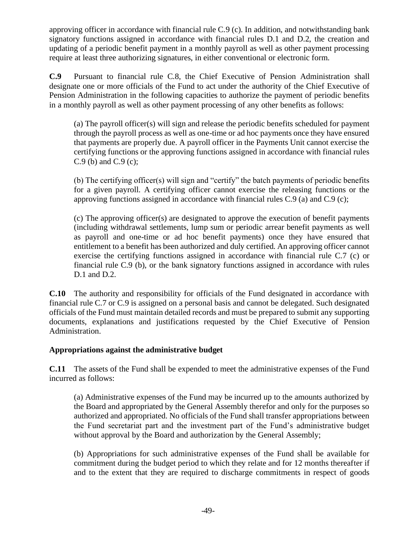approving officer in accordance with financial rule C.9 (c). In addition, and notwithstanding bank signatory functions assigned in accordance with financial rules D.1 and D.2, the creation and updating of a periodic benefit payment in a monthly payroll as well as other payment processing require at least three authorizing signatures, in either conventional or electronic form.

**C.9** Pursuant to financial rule C.8, the Chief Executive of Pension Administration shall designate one or more officials of the Fund to act under the authority of the Chief Executive of Pension Administration in the following capacities to authorize the payment of periodic benefits in a monthly payroll as well as other payment processing of any other benefits as follows:

(a) The payroll officer(s) will sign and release the periodic benefits scheduled for payment through the payroll process as well as one-time or ad hoc payments once they have ensured that payments are properly due. A payroll officer in the Payments Unit cannot exercise the certifying functions or the approving functions assigned in accordance with financial rules C.9 (b) and C.9 (c);

(b) The certifying officer(s) will sign and "certify" the batch payments of periodic benefits for a given payroll. A certifying officer cannot exercise the releasing functions or the approving functions assigned in accordance with financial rules C.9 (a) and C.9 (c);

(c) The approving officer(s) are designated to approve the execution of benefit payments (including withdrawal settlements, lump sum or periodic arrear benefit payments as well as payroll and one-time or ad hoc benefit payments) once they have ensured that entitlement to a benefit has been authorized and duly certified. An approving officer cannot exercise the certifying functions assigned in accordance with financial rule C.7 (c) or financial rule C.9 (b), or the bank signatory functions assigned in accordance with rules D.1 and D.2.

**C.10** The authority and responsibility for officials of the Fund designated in accordance with financial rule C.7 or C.9 is assigned on a personal basis and cannot be delegated. Such designated officials of the Fund must maintain detailed records and must be prepared to submit any supporting documents, explanations and justifications requested by the Chief Executive of Pension Administration.

## **Appropriations against the administrative budget**

**C.11** The assets of the Fund shall be expended to meet the administrative expenses of the Fund incurred as follows:

(a) Administrative expenses of the Fund may be incurred up to the amounts authorized by the Board and appropriated by the General Assembly therefor and only for the purposes so authorized and appropriated. No officials of the Fund shall transfer appropriations between the Fund secretariat part and the investment part of the Fund's administrative budget without approval by the Board and authorization by the General Assembly;

(b) Appropriations for such administrative expenses of the Fund shall be available for commitment during the budget period to which they relate and for 12 months thereafter if and to the extent that they are required to discharge commitments in respect of goods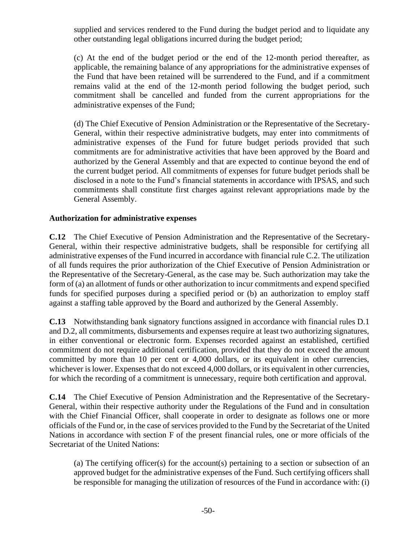supplied and services rendered to the Fund during the budget period and to liquidate any other outstanding legal obligations incurred during the budget period;

(c) At the end of the budget period or the end of the 12-month period thereafter, as applicable, the remaining balance of any appropriations for the administrative expenses of the Fund that have been retained will be surrendered to the Fund, and if a commitment remains valid at the end of the 12-month period following the budget period, such commitment shall be cancelled and funded from the current appropriations for the administrative expenses of the Fund;

(d) The Chief Executive of Pension Administration or the Representative of the Secretary-General, within their respective administrative budgets, may enter into commitments of administrative expenses of the Fund for future budget periods provided that such commitments are for administrative activities that have been approved by the Board and authorized by the General Assembly and that are expected to continue beyond the end of the current budget period. All commitments of expenses for future budget periods shall be disclosed in a note to the Fund's financial statements in accordance with IPSAS, and such commitments shall constitute first charges against relevant appropriations made by the General Assembly.

## **Authorization for administrative expenses**

**C.12** The Chief Executive of Pension Administration and the Representative of the Secretary-General, within their respective administrative budgets, shall be responsible for certifying all administrative expenses of the Fund incurred in accordance with financial rule C.2. The utilization of all funds requires the prior authorization of the Chief Executive of Pension Administration or the Representative of the Secretary-General, as the case may be. Such authorization may take the form of (a) an allotment of funds or other authorization to incur commitments and expend specified funds for specified purposes during a specified period or (b) an authorization to employ staff against a staffing table approved by the Board and authorized by the General Assembly.

**C.13** Notwithstanding bank signatory functions assigned in accordance with financial rules D.1 and D.2, all commitments, disbursements and expenses require at least two authorizing signatures, in either conventional or electronic form. Expenses recorded against an established, certified commitment do not require additional certification, provided that they do not exceed the amount committed by more than 10 per cent or 4,000 dollars, or its equivalent in other currencies, whichever is lower. Expenses that do not exceed 4,000 dollars, or its equivalent in other currencies, for which the recording of a commitment is unnecessary, require both certification and approval.

**C.14** The Chief Executive of Pension Administration and the Representative of the Secretary-General, within their respective authority under the Regulations of the Fund and in consultation with the Chief Financial Officer, shall cooperate in order to designate as follows one or more officials of the Fund or, in the case of services provided to the Fund by the Secretariat of the United Nations in accordance with section F of the present financial rules, one or more officials of the Secretariat of the United Nations:

(a) The certifying officer(s) for the account(s) pertaining to a section or subsection of an approved budget for the administrative expenses of the Fund. Such certifying officers shall be responsible for managing the utilization of resources of the Fund in accordance with: (i)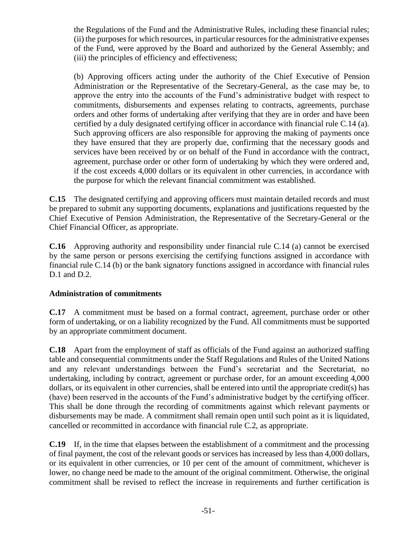the Regulations of the Fund and the Administrative Rules, including these financial rules; (ii) the purposes for which resources, in particular resources for the administrative expenses of the Fund, were approved by the Board and authorized by the General Assembly; and (iii) the principles of efficiency and effectiveness;

(b) Approving officers acting under the authority of the Chief Executive of Pension Administration or the Representative of the Secretary-General, as the case may be, to approve the entry into the accounts of the Fund's administrative budget with respect to commitments, disbursements and expenses relating to contracts, agreements, purchase orders and other forms of undertaking after verifying that they are in order and have been certified by a duly designated certifying officer in accordance with financial rule C.14 (a). Such approving officers are also responsible for approving the making of payments once they have ensured that they are properly due, confirming that the necessary goods and services have been received by or on behalf of the Fund in accordance with the contract, agreement, purchase order or other form of undertaking by which they were ordered and, if the cost exceeds 4,000 dollars or its equivalent in other currencies, in accordance with the purpose for which the relevant financial commitment was established.

**C.15** The designated certifying and approving officers must maintain detailed records and must be prepared to submit any supporting documents, explanations and justifications requested by the Chief Executive of Pension Administration, the Representative of the Secretary-General or the Chief Financial Officer, as appropriate.

**C.16** Approving authority and responsibility under financial rule C.14 (a) cannot be exercised by the same person or persons exercising the certifying functions assigned in accordance with financial rule C.14 (b) or the bank signatory functions assigned in accordance with financial rules D.1 and D.2.

## **Administration of commitments**

**C.17** A commitment must be based on a formal contract, agreement, purchase order or other form of undertaking, or on a liability recognized by the Fund. All commitments must be supported by an appropriate commitment document.

**C.18** Apart from the employment of staff as officials of the Fund against an authorized staffing table and consequential commitments under the Staff Regulations and Rules of the United Nations and any relevant understandings between the Fund's secretariat and the Secretariat, no undertaking, including by contract, agreement or purchase order, for an amount exceeding 4,000 dollars, or its equivalent in other currencies, shall be entered into until the appropriate credit(s) has (have) been reserved in the accounts of the Fund's administrative budget by the certifying officer. This shall be done through the recording of commitments against which relevant payments or disbursements may be made. A commitment shall remain open until such point as it is liquidated, cancelled or recommitted in accordance with financial rule C.2, as appropriate.

**C.19** If, in the time that elapses between the establishment of a commitment and the processing of final payment, the cost of the relevant goods or services has increased by less than 4,000 dollars, or its equivalent in other currencies, or 10 per cent of the amount of commitment, whichever is lower, no change need be made to the amount of the original commitment. Otherwise, the original commitment shall be revised to reflect the increase in requirements and further certification is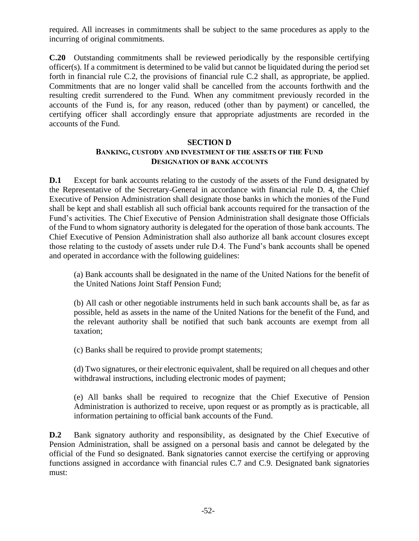required. All increases in commitments shall be subject to the same procedures as apply to the incurring of original commitments.

**C.20** Outstanding commitments shall be reviewed periodically by the responsible certifying officer(s). If a commitment is determined to be valid but cannot be liquidated during the period set forth in financial rule C.2, the provisions of financial rule C.2 shall, as appropriate, be applied. Commitments that are no longer valid shall be cancelled from the accounts forthwith and the resulting credit surrendered to the Fund. When any commitment previously recorded in the accounts of the Fund is, for any reason, reduced (other than by payment) or cancelled, the certifying officer shall accordingly ensure that appropriate adjustments are recorded in the accounts of the Fund.

#### **SECTION D**

## **BANKING, CUSTODY AND INVESTMENT OF THE ASSETS OF THE FUND DESIGNATION OF BANK ACCOUNTS**

**D.1** Except for bank accounts relating to the custody of the assets of the Fund designated by the Representative of the Secretary-General in accordance with financial rule D. 4, the Chief Executive of Pension Administration shall designate those banks in which the monies of the Fund shall be kept and shall establish all such official bank accounts required for the transaction of the Fund's activities. The Chief Executive of Pension Administration shall designate those Officials of the Fund to whom signatory authority is delegated for the operation of those bank accounts. The Chief Executive of Pension Administration shall also authorize all bank account closures except those relating to the custody of assets under rule D.4. The Fund's bank accounts shall be opened and operated in accordance with the following guidelines:

(a) Bank accounts shall be designated in the name of the United Nations for the benefit of the United Nations Joint Staff Pension Fund;

(b) All cash or other negotiable instruments held in such bank accounts shall be, as far as possible, held as assets in the name of the United Nations for the benefit of the Fund, and the relevant authority shall be notified that such bank accounts are exempt from all taxation;

(c) Banks shall be required to provide prompt statements;

(d) Two signatures, or their electronic equivalent, shall be required on all cheques and other withdrawal instructions, including electronic modes of payment;

(e) All banks shall be required to recognize that the Chief Executive of Pension Administration is authorized to receive, upon request or as promptly as is practicable, all information pertaining to official bank accounts of the Fund.

**D.2** Bank signatory authority and responsibility, as designated by the Chief Executive of Pension Administration, shall be assigned on a personal basis and cannot be delegated by the official of the Fund so designated. Bank signatories cannot exercise the certifying or approving functions assigned in accordance with financial rules C.7 and C.9. Designated bank signatories must: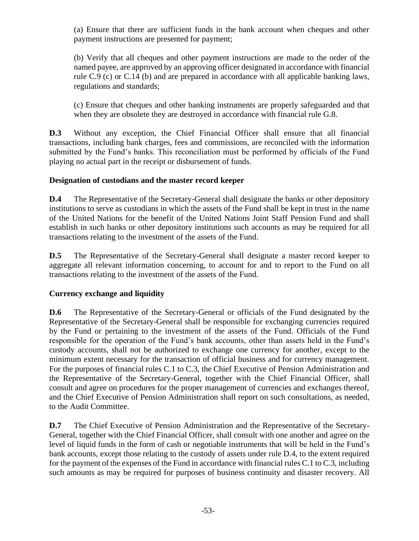(a) Ensure that there are sufficient funds in the bank account when cheques and other payment instructions are presented for payment;

(b) Verify that all cheques and other payment instructions are made to the order of the named payee, are approved by an approving officer designated in accordance with financial rule C.9 (c) or C.14 (b) and are prepared in accordance with all applicable banking laws, regulations and standards;

(c) Ensure that cheques and other banking instruments are properly safeguarded and that when they are obsolete they are destroyed in accordance with financial rule G.8.

**D.3** Without any exception, the Chief Financial Officer shall ensure that all financial transactions, including bank charges, fees and commissions, are reconciled with the information submitted by the Fund's banks. This reconciliation must be performed by officials of the Fund playing no actual part in the receipt or disbursement of funds.

## **Designation of custodians and the master record keeper**

**D.4** The Representative of the Secretary-General shall designate the banks or other depository institutions to serve as custodians in which the assets of the Fund shall be kept in trust in the name of the United Nations for the benefit of the United Nations Joint Staff Pension Fund and shall establish in such banks or other depository institutions such accounts as may be required for all transactions relating to the investment of the assets of the Fund.

**D.5** The Representative of the Secretary-General shall designate a master record keeper to aggregate all relevant information concerning, to account for and to report to the Fund on all transactions relating to the investment of the assets of the Fund.

## **Currency exchange and liquidity**

**D.6** The Representative of the Secretary-General or officials of the Fund designated by the Representative of the Secretary-General shall be responsible for exchanging currencies required by the Fund or pertaining to the investment of the assets of the Fund. Officials of the Fund responsible for the operation of the Fund's bank accounts, other than assets held in the Fund's custody accounts, shall not be authorized to exchange one currency for another, except to the minimum extent necessary for the transaction of official business and for currency management. For the purposes of financial rules C.1 to C.3, the Chief Executive of Pension Administration and the Representative of the Secretary-General, together with the Chief Financial Officer, shall consult and agree on procedures for the proper management of currencies and exchanges thereof, and the Chief Executive of Pension Administration shall report on such consultations, as needed, to the Audit Committee.

**D.7** The Chief Executive of Pension Administration and the Representative of the Secretary-General, together with the Chief Financial Officer, shall consult with one another and agree on the level of liquid funds in the form of cash or negotiable instruments that will be held in the Fund's bank accounts, except those relating to the custody of assets under rule D.4, to the extent required for the payment of the expenses of the Fund in accordance with financial rules C.1 to C.3, including such amounts as may be required for purposes of business continuity and disaster recovery. All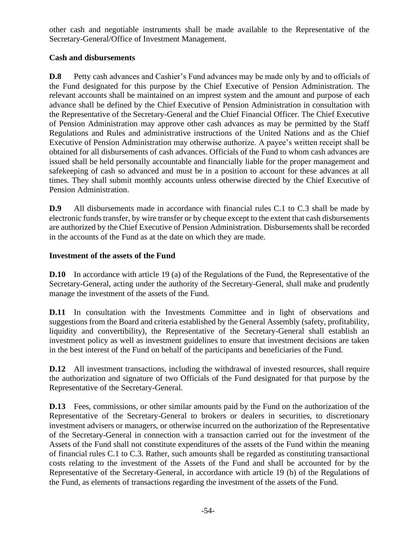other cash and negotiable instruments shall be made available to the Representative of the Secretary-General/Office of Investment Management.

## **Cash and disbursements**

**D.8** Petty cash advances and Cashier's Fund advances may be made only by and to officials of the Fund designated for this purpose by the Chief Executive of Pension Administration. The relevant accounts shall be maintained on an imprest system and the amount and purpose of each advance shall be defined by the Chief Executive of Pension Administration in consultation with the Representative of the Secretary-General and the Chief Financial Officer. The Chief Executive of Pension Administration may approve other cash advances as may be permitted by the Staff Regulations and Rules and administrative instructions of the United Nations and as the Chief Executive of Pension Administration may otherwise authorize. A payee's written receipt shall be obtained for all disbursements of cash advances. Officials of the Fund to whom cash advances are issued shall be held personally accountable and financially liable for the proper management and safekeeping of cash so advanced and must be in a position to account for these advances at all times. They shall submit monthly accounts unless otherwise directed by the Chief Executive of Pension Administration.

**D.9** All disbursements made in accordance with financial rules C.1 to C.3 shall be made by electronic funds transfer, by wire transfer or by cheque except to the extent that cash disbursements are authorized by the Chief Executive of Pension Administration. Disbursements shall be recorded in the accounts of the Fund as at the date on which they are made.

## **Investment of the assets of the Fund**

**D.10** In accordance with article 19 (a) of the Regulations of the Fund, the Representative of the Secretary-General, acting under the authority of the Secretary-General, shall make and prudently manage the investment of the assets of the Fund.

**D.11** In consultation with the Investments Committee and in light of observations and suggestions from the Board and criteria established by the General Assembly (safety, profitability, liquidity and convertibility), the Representative of the Secretary-General shall establish an investment policy as well as investment guidelines to ensure that investment decisions are taken in the best interest of the Fund on behalf of the participants and beneficiaries of the Fund.

**D.12** All investment transactions, including the withdrawal of invested resources, shall require the authorization and signature of two Officials of the Fund designated for that purpose by the Representative of the Secretary-General.

**D.13** Fees, commissions, or other similar amounts paid by the Fund on the authorization of the Representative of the Secretary-General to brokers or dealers in securities, to discretionary investment advisers or managers, or otherwise incurred on the authorization of the Representative of the Secretary-General in connection with a transaction carried out for the investment of the Assets of the Fund shall not constitute expenditures of the assets of the Fund within the meaning of financial rules C.1 to C.3. Rather, such amounts shall be regarded as constituting transactional costs relating to the investment of the Assets of the Fund and shall be accounted for by the Representative of the Secretary-General, in accordance with article 19 (b) of the Regulations of the Fund, as elements of transactions regarding the investment of the assets of the Fund.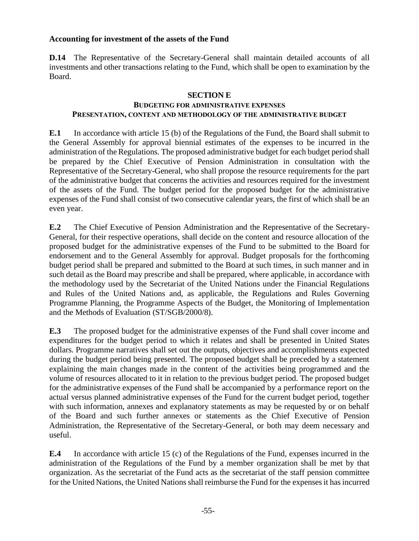## **Accounting for investment of the assets of the Fund**

**D.14** The Representative of the Secretary-General shall maintain detailed accounts of all investments and other transactions relating to the Fund, which shall be open to examination by the Board.

## **SECTION E**

## **BUDGETING FOR ADMINISTRATIVE EXPENSES PRESENTATION, CONTENT AND METHODOLOGY OF THE ADMINISTRATIVE BUDGET**

**E.1** In accordance with article 15 (b) of the Regulations of the Fund, the Board shall submit to the General Assembly for approval biennial estimates of the expenses to be incurred in the administration of the Regulations. The proposed administrative budget for each budget period shall be prepared by the Chief Executive of Pension Administration in consultation with the Representative of the Secretary-General, who shall propose the resource requirements for the part of the administrative budget that concerns the activities and resources required for the investment of the assets of the Fund. The budget period for the proposed budget for the administrative expenses of the Fund shall consist of two consecutive calendar years, the first of which shall be an even year.

**E.2** The Chief Executive of Pension Administration and the Representative of the Secretary-General, for their respective operations, shall decide on the content and resource allocation of the proposed budget for the administrative expenses of the Fund to be submitted to the Board for endorsement and to the General Assembly for approval. Budget proposals for the forthcoming budget period shall be prepared and submitted to the Board at such times, in such manner and in such detail as the Board may prescribe and shall be prepared, where applicable, in accordance with the methodology used by the Secretariat of the United Nations under the Financial Regulations and Rules of the United Nations and, as applicable, the Regulations and Rules Governing Programme Planning, the Programme Aspects of the Budget, the Monitoring of Implementation and the Methods of Evaluation (ST/SGB/2000/8).

**E.3** The proposed budget for the administrative expenses of the Fund shall cover income and expenditures for the budget period to which it relates and shall be presented in United States dollars. Programme narratives shall set out the outputs, objectives and accomplishments expected during the budget period being presented. The proposed budget shall be preceded by a statement explaining the main changes made in the content of the activities being programmed and the volume of resources allocated to it in relation to the previous budget period. The proposed budget for the administrative expenses of the Fund shall be accompanied by a performance report on the actual versus planned administrative expenses of the Fund for the current budget period, together with such information, annexes and explanatory statements as may be requested by or on behalf of the Board and such further annexes or statements as the Chief Executive of Pension Administration, the Representative of the Secretary-General, or both may deem necessary and useful.

**E.4** In accordance with article 15 (c) of the Regulations of the Fund, expenses incurred in the administration of the Regulations of the Fund by a member organization shall be met by that organization. As the secretariat of the Fund acts as the secretariat of the staff pension committee for the United Nations, the United Nations shall reimburse the Fund for the expenses it has incurred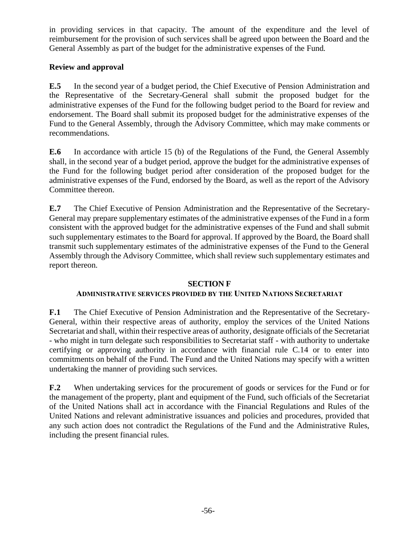in providing services in that capacity. The amount of the expenditure and the level of reimbursement for the provision of such services shall be agreed upon between the Board and the General Assembly as part of the budget for the administrative expenses of the Fund.

## **Review and approval**

**E.5** In the second year of a budget period, the Chief Executive of Pension Administration and the Representative of the Secretary-General shall submit the proposed budget for the administrative expenses of the Fund for the following budget period to the Board for review and endorsement. The Board shall submit its proposed budget for the administrative expenses of the Fund to the General Assembly, through the Advisory Committee, which may make comments or recommendations.

**E.6** In accordance with article 15 (b) of the Regulations of the Fund, the General Assembly shall, in the second year of a budget period, approve the budget for the administrative expenses of the Fund for the following budget period after consideration of the proposed budget for the administrative expenses of the Fund, endorsed by the Board, as well as the report of the Advisory Committee thereon.

**E.7** The Chief Executive of Pension Administration and the Representative of the Secretary-General may prepare supplementary estimates of the administrative expenses of the Fund in a form consistent with the approved budget for the administrative expenses of the Fund and shall submit such supplementary estimates to the Board for approval. If approved by the Board, the Board shall transmit such supplementary estimates of the administrative expenses of the Fund to the General Assembly through the Advisory Committee, which shall review such supplementary estimates and report thereon.

#### **SECTION F**

#### **ADMINISTRATIVE SERVICES PROVIDED BY THE UNITED NATIONS SECRETARIAT**

**F.1** The Chief Executive of Pension Administration and the Representative of the Secretary-General, within their respective areas of authority, employ the services of the United Nations Secretariat and shall, within their respective areas of authority, designate officials of the Secretariat - who might in turn delegate such responsibilities to Secretariat staff - with authority to undertake certifying or approving authority in accordance with financial rule C.14 or to enter into commitments on behalf of the Fund. The Fund and the United Nations may specify with a written undertaking the manner of providing such services.

**F.2** When undertaking services for the procurement of goods or services for the Fund or for the management of the property, plant and equipment of the Fund, such officials of the Secretariat of the United Nations shall act in accordance with the Financial Regulations and Rules of the United Nations and relevant administrative issuances and policies and procedures, provided that any such action does not contradict the Regulations of the Fund and the Administrative Rules, including the present financial rules.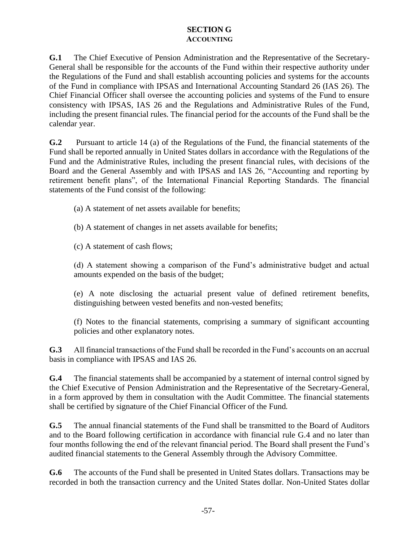## **SECTION G ACCOUNTING**

**G.1** The Chief Executive of Pension Administration and the Representative of the Secretary-General shall be responsible for the accounts of the Fund within their respective authority under the Regulations of the Fund and shall establish accounting policies and systems for the accounts of the Fund in compliance with IPSAS and International Accounting Standard 26 (IAS 26). The Chief Financial Officer shall oversee the accounting policies and systems of the Fund to ensure consistency with IPSAS, IAS 26 and the Regulations and Administrative Rules of the Fund, including the present financial rules. The financial period for the accounts of the Fund shall be the calendar year.

**G.2** Pursuant to article 14 (a) of the Regulations of the Fund, the financial statements of the Fund shall be reported annually in United States dollars in accordance with the Regulations of the Fund and the Administrative Rules, including the present financial rules, with decisions of the Board and the General Assembly and with IPSAS and IAS 26, "Accounting and reporting by retirement benefit plans", of the International Financial Reporting Standards. The financial statements of the Fund consist of the following:

(a) A statement of net assets available for benefits;

- (b) A statement of changes in net assets available for benefits;
- (c) A statement of cash flows;

(d) A statement showing a comparison of the Fund's administrative budget and actual amounts expended on the basis of the budget;

(e) A note disclosing the actuarial present value of defined retirement benefits, distinguishing between vested benefits and non-vested benefits;

(f) Notes to the financial statements, comprising a summary of significant accounting policies and other explanatory notes.

**G.3** All financial transactions of the Fund shall be recorded in the Fund's accounts on an accrual basis in compliance with IPSAS and IAS 26.

**G.4** The financial statements shall be accompanied by a statement of internal control signed by the Chief Executive of Pension Administration and the Representative of the Secretary-General, in a form approved by them in consultation with the Audit Committee. The financial statements shall be certified by signature of the Chief Financial Officer of the Fund.

**G.5** The annual financial statements of the Fund shall be transmitted to the Board of Auditors and to the Board following certification in accordance with financial rule G.4 and no later than four months following the end of the relevant financial period. The Board shall present the Fund's audited financial statements to the General Assembly through the Advisory Committee.

**G.6** The accounts of the Fund shall be presented in United States dollars. Transactions may be recorded in both the transaction currency and the United States dollar. Non-United States dollar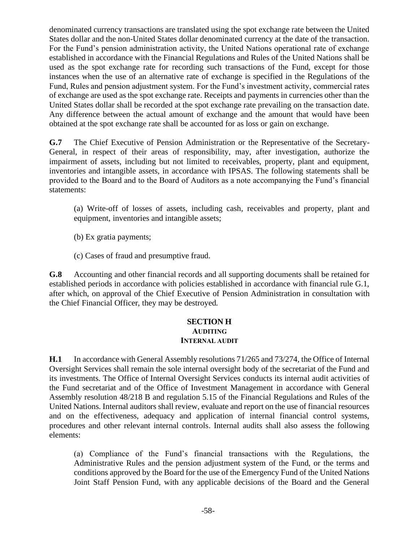denominated currency transactions are translated using the spot exchange rate between the United States dollar and the non-United States dollar denominated currency at the date of the transaction. For the Fund's pension administration activity, the United Nations operational rate of exchange established in accordance with the Financial Regulations and Rules of the United Nations shall be used as the spot exchange rate for recording such transactions of the Fund, except for those instances when the use of an alternative rate of exchange is specified in the Regulations of the Fund, Rules and pension adjustment system. For the Fund's investment activity, commercial rates of exchange are used as the spot exchange rate. Receipts and payments in currencies other than the United States dollar shall be recorded at the spot exchange rate prevailing on the transaction date. Any difference between the actual amount of exchange and the amount that would have been obtained at the spot exchange rate shall be accounted for as loss or gain on exchange.

**G.7** The Chief Executive of Pension Administration or the Representative of the Secretary-General, in respect of their areas of responsibility, may, after investigation, authorize the impairment of assets, including but not limited to receivables, property, plant and equipment, inventories and intangible assets, in accordance with IPSAS. The following statements shall be provided to the Board and to the Board of Auditors as a note accompanying the Fund's financial statements:

(a) Write-off of losses of assets, including cash, receivables and property, plant and equipment, inventories and intangible assets;

- (b) Ex gratia payments;
- (c) Cases of fraud and presumptive fraud.

**G.8** Accounting and other financial records and all supporting documents shall be retained for established periods in accordance with policies established in accordance with financial rule G.1, after which, on approval of the Chief Executive of Pension Administration in consultation with the Chief Financial Officer, they may be destroyed.

#### **SECTION H AUDITING INTERNAL AUDIT**

**H.1** In accordance with General Assembly resolutions 71/265 and 73/274, the Office of Internal Oversight Services shall remain the sole internal oversight body of the secretariat of the Fund and its investments. The Office of Internal Oversight Services conducts its internal audit activities of the Fund secretariat and of the Office of Investment Management in accordance with General Assembly resolution 48/218 B and regulation 5.15 of the Financial Regulations and Rules of the United Nations. Internal auditors shall review, evaluate and report on the use of financial resources and on the effectiveness, adequacy and application of internal financial control systems, procedures and other relevant internal controls. Internal audits shall also assess the following elements:

(a) Compliance of the Fund's financial transactions with the Regulations, the Administrative Rules and the pension adjustment system of the Fund, or the terms and conditions approved by the Board for the use of the Emergency Fund of the United Nations Joint Staff Pension Fund, with any applicable decisions of the Board and the General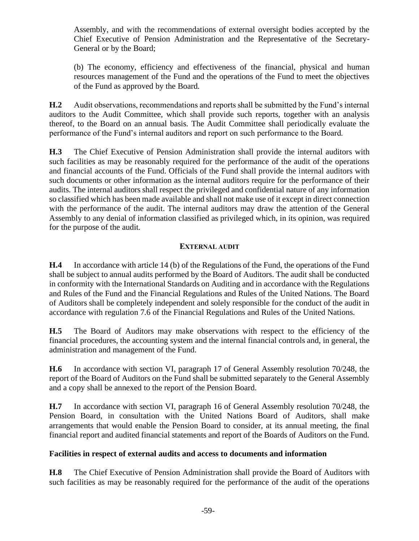Assembly, and with the recommendations of external oversight bodies accepted by the Chief Executive of Pension Administration and the Representative of the Secretary-General or by the Board;

(b) The economy, efficiency and effectiveness of the financial, physical and human resources management of the Fund and the operations of the Fund to meet the objectives of the Fund as approved by the Board.

**H.2** Audit observations, recommendations and reports shall be submitted by the Fund's internal auditors to the Audit Committee, which shall provide such reports, together with an analysis thereof, to the Board on an annual basis. The Audit Committee shall periodically evaluate the performance of the Fund's internal auditors and report on such performance to the Board.

**H.3** The Chief Executive of Pension Administration shall provide the internal auditors with such facilities as may be reasonably required for the performance of the audit of the operations and financial accounts of the Fund. Officials of the Fund shall provide the internal auditors with such documents or other information as the internal auditors require for the performance of their audits. The internal auditors shall respect the privileged and confidential nature of any information so classified which has been made available and shall not make use of it except in direct connection with the performance of the audit. The internal auditors may draw the attention of the General Assembly to any denial of information classified as privileged which, in its opinion, was required for the purpose of the audit.

## **EXTERNAL AUDIT**

**H.4** In accordance with article 14 (b) of the Regulations of the Fund, the operations of the Fund shall be subject to annual audits performed by the Board of Auditors. The audit shall be conducted in conformity with the International Standards on Auditing and in accordance with the Regulations and Rules of the Fund and the Financial Regulations and Rules of the United Nations. The Board of Auditors shall be completely independent and solely responsible for the conduct of the audit in accordance with regulation 7.6 of the Financial Regulations and Rules of the United Nations.

**H.5** The Board of Auditors may make observations with respect to the efficiency of the financial procedures, the accounting system and the internal financial controls and, in general, the administration and management of the Fund.

**H.6** In accordance with section VI, paragraph 17 of General Assembly resolution 70/248, the report of the Board of Auditors on the Fund shall be submitted separately to the General Assembly and a copy shall be annexed to the report of the Pension Board.

**H.7** In accordance with section VI, paragraph 16 of General Assembly resolution 70/248, the Pension Board, in consultation with the United Nations Board of Auditors, shall make arrangements that would enable the Pension Board to consider, at its annual meeting, the final financial report and audited financial statements and report of the Boards of Auditors on the Fund.

## **Facilities in respect of external audits and access to documents and information**

**H.8** The Chief Executive of Pension Administration shall provide the Board of Auditors with such facilities as may be reasonably required for the performance of the audit of the operations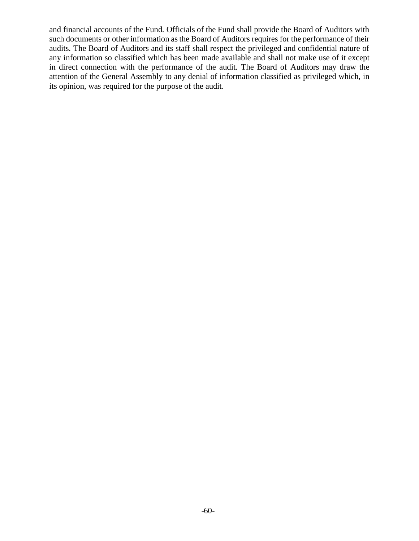and financial accounts of the Fund. Officials of the Fund shall provide the Board of Auditors with such documents or other information as the Board of Auditors requires for the performance of their audits. The Board of Auditors and its staff shall respect the privileged and confidential nature of any information so classified which has been made available and shall not make use of it except in direct connection with the performance of the audit. The Board of Auditors may draw the attention of the General Assembly to any denial of information classified as privileged which, in its opinion, was required for the purpose of the audit.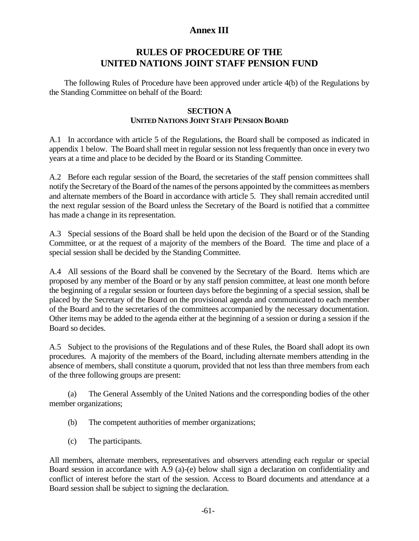# **Annex III**

# **RULES OF PROCEDURE OF THE UNITED NATIONS JOINT STAFF PENSION FUND**

The following Rules of Procedure have been approved under article 4(b) of the Regulations by the Standing Committee on behalf of the Board:

## **SECTION A UNITED NATIONS JOINT STAFF PENSION BOARD**

A.1 In accordance with article 5 of the Regulations, the Board shall be composed as indicated in appendix 1 below. The Board shall meet in regular session not less frequently than once in every two years at a time and place to be decided by the Board or its Standing Committee.

A.2 Before each regular session of the Board, the secretaries of the staff pension committees shall notify the Secretary of the Board of the names of the persons appointed by the committees as members and alternate members of the Board in accordance with article 5. They shall remain accredited until the next regular session of the Board unless the Secretary of the Board is notified that a committee has made a change in its representation.

A.3 Special sessions of the Board shall be held upon the decision of the Board or of the Standing Committee, or at the request of a majority of the members of the Board. The time and place of a special session shall be decided by the Standing Committee.

A.4 All sessions of the Board shall be convened by the Secretary of the Board. Items which are proposed by any member of the Board or by any staff pension committee, at least one month before the beginning of a regular session or fourteen days before the beginning of a special session, shall be placed by the Secretary of the Board on the provisional agenda and communicated to each member of the Board and to the secretaries of the committees accompanied by the necessary documentation. Other items may be added to the agenda either at the beginning of a session or during a session if the Board so decides.

A.5 Subject to the provisions of the Regulations and of these Rules, the Board shall adopt its own procedures. A majority of the members of the Board, including alternate members attending in the absence of members, shall constitute a quorum, provided that not less than three members from each of the three following groups are present:

(a) The General Assembly of the United Nations and the corresponding bodies of the other member organizations;

- (b) The competent authorities of member organizations;
- (c) The participants.

All members, alternate members, representatives and observers attending each regular or special Board session in accordance with A.9 (a)-(e) below shall sign a declaration on confidentiality and conflict of interest before the start of the session. Access to Board documents and attendance at a Board session shall be subject to signing the declaration.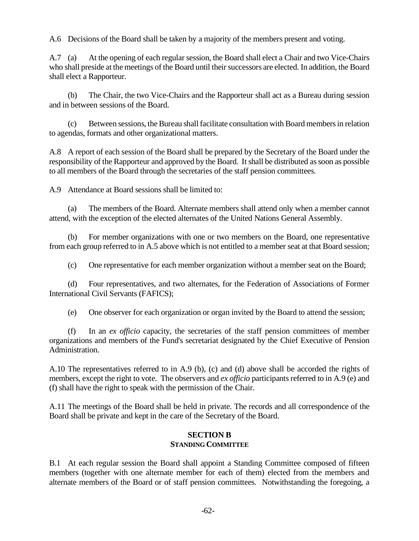A.6 Decisions of the Board shall be taken by a majority of the members present and voting.

A.7 (a) At the opening of each regular session, the Board shall elect a Chair and two Vice-Chairs who shall preside at the meetings of the Board until their successors are elected. In addition, the Board shall elect a Rapporteur.

(b) The Chair, the two Vice-Chairs and the Rapporteur shall act as a Bureau during session and in between sessions of the Board.

(c) Between sessions, the Bureau shall facilitate consultation with Board members in relation to agendas, formats and other organizational matters.

A.8 A report of each session of the Board shall be prepared by the Secretary of the Board under the responsibility of the Rapporteur and approved by the Board. It shall be distributed as soon as possible to all members of the Board through the secretaries of the staff pension committees.

A.9 Attendance at Board sessions shall be limited to:

(a) The members of the Board. Alternate members shall attend only when a member cannot attend, with the exception of the elected alternates of the United Nations General Assembly.

(b) For member organizations with one or two members on the Board, one representative from each group referred to in A.5 above which is not entitled to a member seat at that Board session;

(c) One representative for each member organization without a member seat on the Board;

(d) Four representatives, and two alternates, for the Federation of Associations of Former International Civil Servants (FAFICS);

(e) One observer for each organization or organ invited by the Board to attend the session;

(f) In an *ex officio* capacity, the secretaries of the staff pension committees of member organizations and members of the Fund's secretariat designated by the Chief Executive of Pension Administration.

A.10 The representatives referred to in A.9 (b), (c) and (d) above shall be accorded the rights of members, except the right to vote. The observers and *ex officio* participants referred to in A.9 (e) and (f) shall have the right to speak with the permission of the Chair.

A.11 The meetings of the Board shall be held in private. The records and all correspondence of the Board shall be private and kept in the care of the Secretary of the Board.

#### **SECTION B STANDING COMMITTEE**

B.1 At each regular session the Board shall appoint a Standing Committee composed of fifteen members (together with one alternate member for each of them) elected from the members and alternate members of the Board or of staff pension committees. Notwithstanding the foregoing, a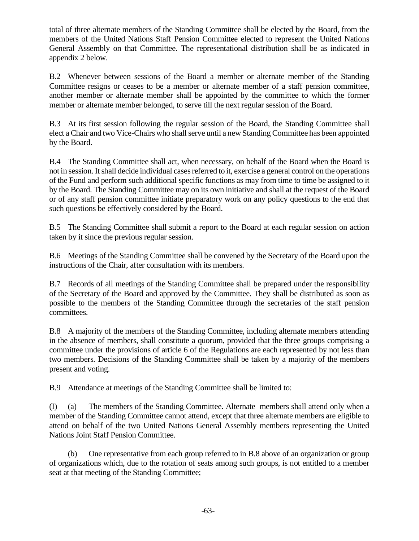total of three alternate members of the Standing Committee shall be elected by the Board, from the members of the United Nations Staff Pension Committee elected to represent the United Nations General Assembly on that Committee. The representational distribution shall be as indicated in appendix 2 below.

B.2 Whenever between sessions of the Board a member or alternate member of the Standing Committee resigns or ceases to be a member or alternate member of a staff pension committee, another member or alternate member shall be appointed by the committee to which the former member or alternate member belonged, to serve till the next regular session of the Board.

B.3 At its first session following the regular session of the Board, the Standing Committee shall elect a Chair and two Vice-Chairs who shall serve until a new Standing Committee has been appointed by the Board.

B.4 The Standing Committee shall act, when necessary, on behalf of the Board when the Board is not in session. It shall decide individual cases referred to it, exercise a general control on the operations of the Fund and perform such additional specific functions as may from time to time be assigned to it by the Board. The Standing Committee may on its own initiative and shall at the request of the Board or of any staff pension committee initiate preparatory work on any policy questions to the end that such questions be effectively considered by the Board.

B.5 The Standing Committee shall submit a report to the Board at each regular session on action taken by it since the previous regular session.

B.6 Meetings of the Standing Committee shall be convened by the Secretary of the Board upon the instructions of the Chair, after consultation with its members.

B.7 Records of all meetings of the Standing Committee shall be prepared under the responsibility of the Secretary of the Board and approved by the Committee. They shall be distributed as soon as possible to the members of the Standing Committee through the secretaries of the staff pension committees.

B.8 A majority of the members of the Standing Committee, including alternate members attending in the absence of members, shall constitute a quorum, provided that the three groups comprising a committee under the provisions of article 6 of the Regulations are each represented by not less than two members. Decisions of the Standing Committee shall be taken by a majority of the members present and voting.

B.9 Attendance at meetings of the Standing Committee shall be limited to:

(I) (a) The members of the Standing Committee. Alternate members shall attend only when a member of the Standing Committee cannot attend, except that three alternate members are eligible to attend on behalf of the two United Nations General Assembly members representing the United Nations Joint Staff Pension Committee.

(b) One representative from each group referred to in B.8 above of an organization or group of organizations which, due to the rotation of seats among such groups, is not entitled to a member seat at that meeting of the Standing Committee;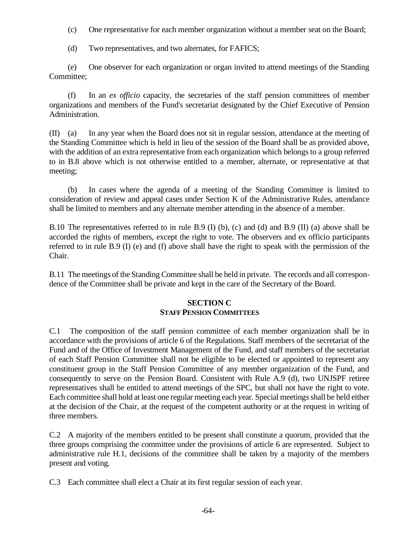- (c) One representative for each member organization without a member seat on the Board;
- (d) Two representatives, and two alternates, for FAFICS;

(e) One observer for each organization or organ invited to attend meetings of the Standing Committee;

(f) In an *ex officio* capacity, the secretaries of the staff pension committees of member organizations and members of the Fund's secretariat designated by the Chief Executive of Pension Administration.

(II) (a) In any year when the Board does not sit in regular session, attendance at the meeting of the Standing Committee which is held in lieu of the session of the Board shall be as provided above, with the addition of an extra representative from each organization which belongs to a group referred to in B.8 above which is not otherwise entitled to a member, alternate, or representative at that meeting;

(b) In cases where the agenda of a meeting of the Standing Committee is limited to consideration of review and appeal cases under Section K of the Administrative Rules, attendance shall be limited to members and any alternate member attending in the absence of a member.

B.10 The representatives referred to in rule B.9 (I) (b), (c) and (d) and B.9 (II) (a) above shall be accorded the rights of members, except the right to vote. The observers and ex officio participants referred to in rule B.9 (I) (e) and (f) above shall have the right to speak with the permission of the Chair.

B.11 The meetings of the Standing Committee shall be held in private. The records and all correspondence of the Committee shall be private and kept in the care of the Secretary of the Board.

## **SECTION C STAFF PENSION COMMITTEES**

C.1 The composition of the staff pension committee of each member organization shall be in accordance with the provisions of article 6 of the Regulations. Staff members of the secretariat of the Fund and of the Office of Investment Management of the Fund, and staff members of the secretariat of each Staff Pension Committee shall not be eligible to be elected or appointed to represent any constituent group in the Staff Pension Committee of any member organization of the Fund, and consequently to serve on the Pension Board. Consistent with Rule A.9 (d), two UNJSPF retiree representatives shall be entitled to attend meetings of the SPC, but shall not have the right to vote. Each committee shall hold at least one regular meeting each year. Special meetings shall be held either at the decision of the Chair, at the request of the competent authority or at the request in writing of three members.

C.2 A majority of the members entitled to be present shall constitute a quorum, provided that the three groups comprising the committee under the provisions of article 6 are represented. Subject to administrative rule H.1, decisions of the committee shall be taken by a majority of the members present and voting.

C.3 Each committee shall elect a Chair at its first regular session of each year.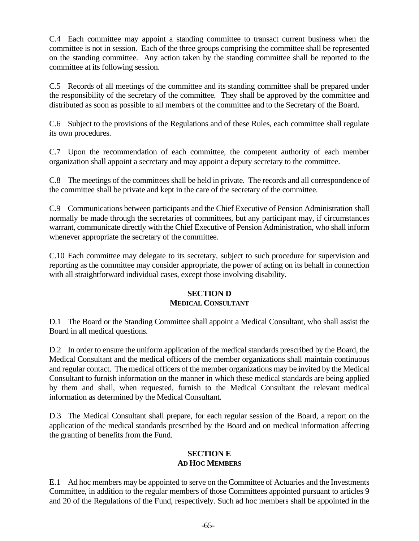C.4 Each committee may appoint a standing committee to transact current business when the committee is not in session. Each of the three groups comprising the committee shall be represented on the standing committee. Any action taken by the standing committee shall be reported to the committee at its following session.

C.5 Records of all meetings of the committee and its standing committee shall be prepared under the responsibility of the secretary of the committee. They shall be approved by the committee and distributed as soon as possible to all members of the committee and to the Secretary of the Board.

C.6 Subject to the provisions of the Regulations and of these Rules, each committee shall regulate its own procedures.

C.7 Upon the recommendation of each committee, the competent authority of each member organization shall appoint a secretary and may appoint a deputy secretary to the committee.

C.8 The meetings of the committees shall be held in private. The records and all correspondence of the committee shall be private and kept in the care of the secretary of the committee.

C.9 Communications between participants and the Chief Executive of Pension Administration shall normally be made through the secretaries of committees, but any participant may, if circumstances warrant, communicate directly with the Chief Executive of Pension Administration, who shall inform whenever appropriate the secretary of the committee.

C.10 Each committee may delegate to its secretary, subject to such procedure for supervision and reporting as the committee may consider appropriate, the power of acting on its behalf in connection with all straightforward individual cases, except those involving disability.

## **SECTION D MEDICAL CONSULTANT**

D.1 The Board or the Standing Committee shall appoint a Medical Consultant, who shall assist the Board in all medical questions.

D.2 In order to ensure the uniform application of the medical standards prescribed by the Board, the Medical Consultant and the medical officers of the member organizations shall maintain continuous and regular contact. The medical officers of the member organizations may be invited by the Medical Consultant to furnish information on the manner in which these medical standards are being applied by them and shall, when requested, furnish to the Medical Consultant the relevant medical information as determined by the Medical Consultant.

D.3 The Medical Consultant shall prepare, for each regular session of the Board, a report on the application of the medical standards prescribed by the Board and on medical information affecting the granting of benefits from the Fund.

#### **SECTION E AD HOC MEMBERS**

E.1 Ad hoc members may be appointed to serve on the Committee of Actuaries and the Investments Committee, in addition to the regular members of those Committees appointed pursuant to articles 9 and 20 of the Regulations of the Fund, respectively. Such ad hoc members shall be appointed in the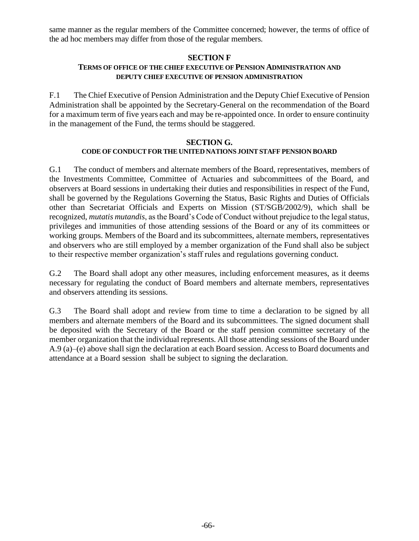same manner as the regular members of the Committee concerned; however, the terms of office of the ad hoc members may differ from those of the regular members.

## **SECTION F**

## **TERMS OF OFFICE OF THE CHIEF EXECUTIVE OF PENSION ADMINISTRATION AND DEPUTY CHIEF EXECUTIVE OF PENSION ADMINISTRATION**

F.1 The Chief Executive of Pension Administration and the Deputy Chief Executive of Pension Administration shall be appointed by the Secretary-General on the recommendation of the Board for a maximum term of five years each and may be re-appointed once. In order to ensure continuity in the management of the Fund, the terms should be staggered.

#### **SECTION G. CODE OF CONDUCT FOR THE UNITED NATIONS JOINT STAFF PENSION BOARD**

G.1 The conduct of members and alternate members of the Board, representatives, members of the Investments Committee, Committee of Actuaries and subcommittees of the Board, and observers at Board sessions in undertaking their duties and responsibilities in respect of the Fund, shall be governed by the Regulations Governing the Status, Basic Rights and Duties of Officials other than Secretariat Officials and Experts on Mission [\(ST/SGB/2002/9\)](https://undocs.org/en/ST/SGB/2002/9), which shall be recognized, *mutatis mutandis*, as the Board's Code of Conduct without prejudice to the legal status, privileges and immunities of those attending sessions of the Board or any of its committees or working groups. Members of the Board and its subcommittees, alternate members, representatives and observers who are still employed by a member organization of the Fund shall also be subject to their respective member organization's staff rules and regulations governing conduct.

G.2 The Board shall adopt any other measures, including enforcement measures, as it deems necessary for regulating the conduct of Board members and alternate members, representatives and observers attending its sessions.

G.3 The Board shall adopt and review from time to time a declaration to be signed by all members and alternate members of the Board and its subcommittees. The signed document shall be deposited with the Secretary of the Board or the staff pension committee secretary of the member organization that the individual represents. All those attending sessions of the Board under A.9 (a)–(e) above shall sign the declaration at each Board session. Access to Board documents and attendance at a Board session shall be subject to signing the declaration.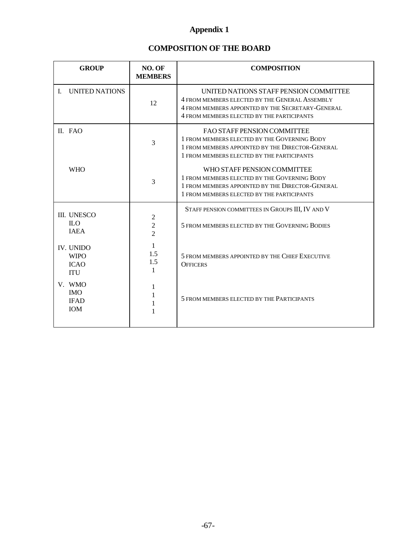# **Appendix 1**

# **COMPOSITION OF THE BOARD**

| <b>GROUP</b>                                                 | NO. OF<br><b>MEMBERS</b>                           | <b>COMPOSITION</b>                                                                                                                                                                          |
|--------------------------------------------------------------|----------------------------------------------------|---------------------------------------------------------------------------------------------------------------------------------------------------------------------------------------------|
| <b>UNITED NATIONS</b><br>$\mathbf{L}$                        | 12                                                 | UNITED NATIONS STAFF PENSION COMMITTEE<br>4 FROM MEMBERS ELECTED BY THE GENERAL ASSEMBLY<br>4 FROM MEMBERS APPOINTED BY THE SECRETARY-GENERAL<br>4 FROM MEMBERS ELECTED BY THE PARTICIPANTS |
| II. FAO                                                      | 3                                                  | <b>FAO STAFF PENSION COMMITTEE</b><br>1 FROM MEMBERS ELECTED BY THE GOVERNING BODY<br>1 FROM MEMBERS APPOINTED BY THE DIRECTOR-GENERAL<br>1 FROM MEMBERS ELECTED BY THE PARTICIPANTS        |
| <b>WHO</b>                                                   | 3                                                  | WHO STAFF PENSION COMMITTEE<br>1 FROM MEMBERS ELECTED BY THE GOVERNING BODY<br>1 FROM MEMBERS APPOINTED BY THE DIRECTOR-GENERAL<br>1 FROM MEMBERS ELECTED BY THE PARTICIPANTS               |
| III. UNESCO<br><b>ILO</b><br><b>IAEA</b>                     | $\mathfrak{2}$<br>$\overline{2}$<br>$\overline{2}$ | STAFF PENSION COMMITTEES IN GROUPS III, IV AND V<br>5 FROM MEMBERS ELECTED BY THE GOVERNING BODIES                                                                                          |
| <b>IV. UNIDO</b><br><b>WIPO</b><br><b>ICAO</b><br><b>ITU</b> | 1<br>1.5<br>1.5<br>1                               | 5 FROM MEMBERS APPOINTED BY THE CHIEF EXECUTIVE<br><b>OFFICERS</b>                                                                                                                          |
| V. WMO<br><b>IMO</b><br><b>IFAD</b><br>IOM                   | 1                                                  | 5 FROM MEMBERS ELECTED BY THE PARTICIPANTS                                                                                                                                                  |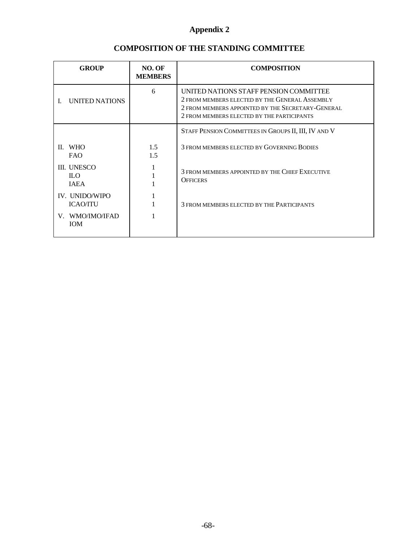| <b>GROUP</b>                                    | NO. OF<br><b>MEMBERS</b> | <b>COMPOSITION</b>                                                                                                                                                                          |
|-------------------------------------------------|--------------------------|---------------------------------------------------------------------------------------------------------------------------------------------------------------------------------------------|
| UNITED NATIONS                                  | 6                        | UNITED NATIONS STAFF PENSION COMMITTEE<br>2 FROM MEMBERS ELECTED BY THE GENERAL ASSEMBLY<br>2 FROM MEMBERS APPOINTED BY THE SECRETARY-GENERAL<br>2 FROM MEMBERS ELECTED BY THE PARTICIPANTS |
|                                                 |                          | STAFF PENSION COMMITTEES IN GROUPS II, III, IV AND V                                                                                                                                        |
| II. WHO<br><b>FAO</b>                           | 1.5<br>1.5               | 3 FROM MEMBERS ELECTED BY GOVERNING BODIES                                                                                                                                                  |
| <b>III. UNESCO</b><br><b>ILO</b><br><b>IAEA</b> |                          | 3 FROM MEMBERS APPOINTED BY THE CHIEF EXECUTIVE<br><b>OFFICERS</b>                                                                                                                          |
| IV. UNIDO/WIPO<br><b>ICAO/ITU</b>               |                          | 3 FROM MEMBERS ELECTED BY THE PARTICIPANTS                                                                                                                                                  |
| V. WMO/IMO/IFAD<br><b>IOM</b>                   |                          |                                                                                                                                                                                             |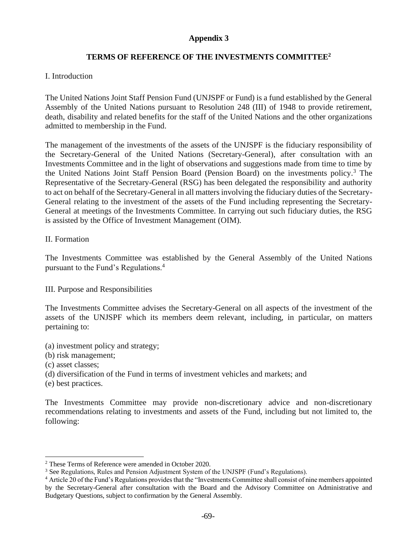# **TERMS OF REFERENCE OF THE INVESTMENTS COMMITTEE<sup>2</sup>**

### I. Introduction

The United Nations Joint Staff Pension Fund (UNJSPF or Fund) is a fund established by the General Assembly of the United Nations pursuant to Resolution 248 (III) of 1948 to provide retirement, death, disability and related benefits for the staff of the United Nations and the other organizations admitted to membership in the Fund.

The management of the investments of the assets of the UNJSPF is the fiduciary responsibility of the Secretary-General of the United Nations (Secretary-General), after consultation with an Investments Committee and in the light of observations and suggestions made from time to time by the United Nations Joint Staff Pension Board (Pension Board) on the investments policy.<sup>3</sup> The Representative of the Secretary-General (RSG) has been delegated the responsibility and authority to act on behalf of the Secretary-General in all matters involving the fiduciary duties of the Secretary-General relating to the investment of the assets of the Fund including representing the Secretary-General at meetings of the Investments Committee. In carrying out such fiduciary duties, the RSG is assisted by the Office of Investment Management (OIM).

### II. Formation

The Investments Committee was established by the General Assembly of the United Nations pursuant to the Fund's Regulations.<sup>4</sup>

### III. Purpose and Responsibilities

The Investments Committee advises the Secretary-General on all aspects of the investment of the assets of the UNJSPF which its members deem relevant, including, in particular, on matters pertaining to:

- (a) investment policy and strategy;
- (b) risk management;
- (c) asset classes;
- (d) diversification of the Fund in terms of investment vehicles and markets; and
- (e) best practices.

The Investments Committee may provide non-discretionary advice and non-discretionary recommendations relating to investments and assets of the Fund, including but not limited to, the following:

<sup>2</sup> These Terms of Reference were amended in October 2020.

<sup>3</sup> See Regulations, Rules and Pension Adjustment System of the UNJSPF (Fund's Regulations).

<sup>4</sup> Article 20 of the Fund's Regulations provides that the "Investments Committee shall consist of nine members appointed by the Secretary-General after consultation with the Board and the Advisory Committee on Administrative and Budgetary Questions, subject to confirmation by the General Assembly.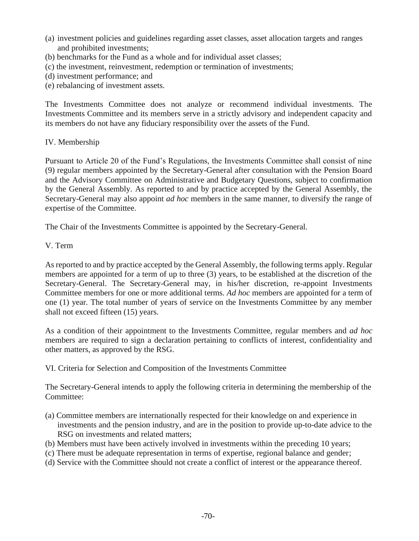- (a) investment policies and guidelines regarding asset classes, asset allocation targets and ranges and prohibited investments;
- (b) benchmarks for the Fund as a whole and for individual asset classes;
- (c) the investment, reinvestment, redemption or termination of investments;
- (d) investment performance; and
- (e) rebalancing of investment assets.

The Investments Committee does not analyze or recommend individual investments. The Investments Committee and its members serve in a strictly advisory and independent capacity and its members do not have any fiduciary responsibility over the assets of the Fund.

### IV. Membership

Pursuant to Article 20 of the Fund's Regulations, the Investments Committee shall consist of nine (9) regular members appointed by the Secretary-General after consultation with the Pension Board and the Advisory Committee on Administrative and Budgetary Questions, subject to confirmation by the General Assembly. As reported to and by practice accepted by the General Assembly, the Secretary-General may also appoint *ad hoc* members in the same manner, to diversify the range of expertise of the Committee.

The Chair of the Investments Committee is appointed by the Secretary-General.

### V. Term

As reported to and by practice accepted by the General Assembly, the following terms apply. Regular members are appointed for a term of up to three (3) years, to be established at the discretion of the Secretary-General. The Secretary-General may, in his/her discretion, re-appoint Investments Committee members for one or more additional terms. *Ad hoc* members are appointed for a term of one (1) year. The total number of years of service on the Investments Committee by any member shall not exceed fifteen (15) years.

As a condition of their appointment to the Investments Committee, regular members and *ad hoc* members are required to sign a declaration pertaining to conflicts of interest, confidentiality and other matters, as approved by the RSG.

VI. Criteria for Selection and Composition of the Investments Committee

The Secretary-General intends to apply the following criteria in determining the membership of the Committee:

- (a) Committee members are internationally respected for their knowledge on and experience in investments and the pension industry, and are in the position to provide up-to-date advice to the RSG on investments and related matters;
- (b) Members must have been actively involved in investments within the preceding 10 years;
- (c) There must be adequate representation in terms of expertise, regional balance and gender;
- (d) Service with the Committee should not create a conflict of interest or the appearance thereof.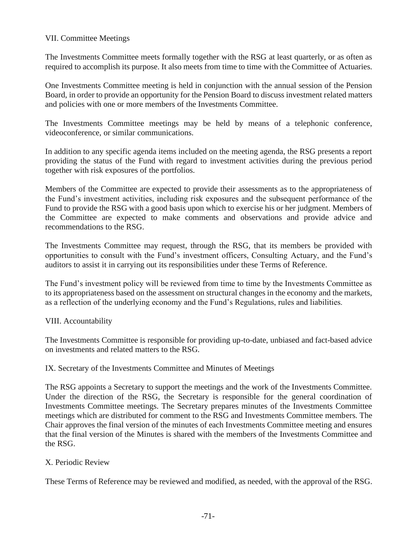### VII. Committee Meetings

The Investments Committee meets formally together with the RSG at least quarterly, or as often as required to accomplish its purpose. It also meets from time to time with the Committee of Actuaries.

One Investments Committee meeting is held in conjunction with the annual session of the Pension Board, in order to provide an opportunity for the Pension Board to discuss investment related matters and policies with one or more members of the Investments Committee.

The Investments Committee meetings may be held by means of a telephonic conference, videoconference, or similar communications.

In addition to any specific agenda items included on the meeting agenda, the RSG presents a report providing the status of the Fund with regard to investment activities during the previous period together with risk exposures of the portfolios.

Members of the Committee are expected to provide their assessments as to the appropriateness of the Fund's investment activities, including risk exposures and the subsequent performance of the Fund to provide the RSG with a good basis upon which to exercise his or her judgment. Members of the Committee are expected to make comments and observations and provide advice and recommendations to the RSG.

The Investments Committee may request, through the RSG, that its members be provided with opportunities to consult with the Fund's investment officers, Consulting Actuary, and the Fund's auditors to assist it in carrying out its responsibilities under these Terms of Reference.

The Fund's investment policy will be reviewed from time to time by the Investments Committee as to its appropriateness based on the assessment on structural changes in the economy and the markets, as a reflection of the underlying economy and the Fund's Regulations, rules and liabilities.

### VIII. Accountability

The Investments Committee is responsible for providing up-to-date, unbiased and fact-based advice on investments and related matters to the RSG.

IX. Secretary of the Investments Committee and Minutes of Meetings

The RSG appoints a Secretary to support the meetings and the work of the Investments Committee. Under the direction of the RSG, the Secretary is responsible for the general coordination of Investments Committee meetings. The Secretary prepares minutes of the Investments Committee meetings which are distributed for comment to the RSG and Investments Committee members. The Chair approves the final version of the minutes of each Investments Committee meeting and ensures that the final version of the Minutes is shared with the members of the Investments Committee and the RSG.

#### X. Periodic Review

These Terms of Reference may be reviewed and modified, as needed, with the approval of the RSG.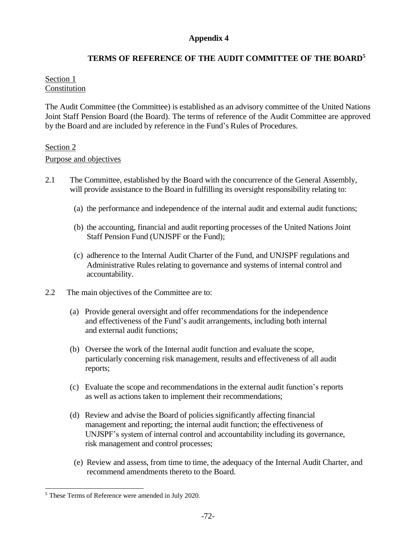# **TERMS OF REFERENCE OF THE AUDIT COMMITTEE OF THE BOARD 5**

### Section 1 Constitution

The Audit Committee (the Committee) is established as an advisory committee of the United Nations Joint Staff Pension Board (the Board). The terms of reference of the Audit Committee are approved by the Board and are included by reference in the Fund's Rules of Procedures.

### Section 2

#### Purpose and objectives

- 2.1 The Committee, established by the Board with the concurrence of the General Assembly, will provide assistance to the Board in fulfilling its oversight responsibility relating to:
	- (a) the performance and independence of the internal audit and external audit functions;
	- (b) the accounting, financial and audit reporting processes of the United Nations Joint Staff Pension Fund (UNJSPF or the Fund);
	- (c) adherence to the Internal Audit Charter of the Fund, and UNJSPF regulations and Administrative Rules relating to governance and systems of internal control and accountability.
- 2.2 The main objectives of the Committee are to:
	- (a) Provide general oversight and offer recommendations for the independence and effectiveness of the Fund's audit arrangements, including both internal and external audit functions;
	- (b) Oversee the work of the Internal audit function and evaluate the scope, particularly concerning risk management, results and effectiveness of all audit reports;
	- (c) Evaluate the scope and recommendations in the external audit function's reports as well as actions taken to implement their recommendations;
	- (d) Review and advise the Board of policies significantly affecting financial management and reporting; the internal audit function; the effectiveness of UNJSPF's system of internal control and accountability including its governance, risk management and control processes;
	- (e) Review and assess, from time to time, the adequacy of the Internal Audit Charter, and recommend amendments thereto to the Board.

<sup>5</sup> These Terms of Reference were amended in July 2020.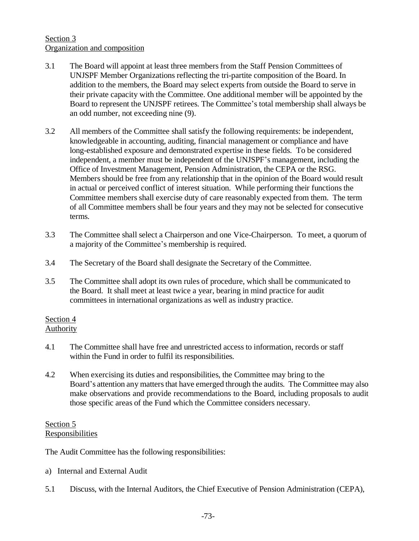# Section 3 Organization and composition

- 3.1 The Board will appoint at least three members from the Staff Pension Committees of UNJSPF Member Organizations reflecting the tri-partite composition of the Board. In addition to the members, the Board may select experts from outside the Board to serve in their private capacity with the Committee. One additional member will be appointed by the Board to represent the UNJSPF retirees. The Committee's total membership shall always be an odd number, not exceeding nine (9).
- 3.2 All members of the Committee shall satisfy the following requirements: be independent, knowledgeable in accounting, auditing, financial management or compliance and have long-established exposure and demonstrated expertise in these fields. To be considered independent, a member must be independent of the UNJSPF's management, including the Office of Investment Management, Pension Administration, the CEPA or the RSG. Members should be free from any relationship that in the opinion of the Board would result in actual or perceived conflict of interest situation. While performing their functions the Committee members shall exercise duty of care reasonably expected from them. The term of all Committee members shall be four years and they may not be selected for consecutive terms.
- 3.3 The Committee shall select a Chairperson and one Vice-Chairperson. To meet, a quorum of a majority of the Committee's membership is required.
- 3.4 The Secretary of the Board shall designate the Secretary of the Committee.
- 3.5 The Committee shall adopt its own rules of procedure, which shall be communicated to the Board. It shall meet at least twice a year, bearing in mind practice for audit committees in international organizations as well as industry practice.

#### Section 4 **Authority**

- 4.1 The Committee shall have free and unrestricted access to information, records or staff within the Fund in order to fulfil its responsibilities.
- 4.2 When exercising its duties and responsibilities, the Committee may bring to the Board's attention any matters that have emerged through the audits. The Committee may also make observations and provide recommendations to the Board, including proposals to audit those specific areas of the Fund which the Committee considers necessary.

### Section 5 Responsibilities

The Audit Committee has the following responsibilities:

- a) Internal and External Audit
- 5.1 Discuss, with the Internal Auditors, the Chief Executive of Pension Administration (CEPA),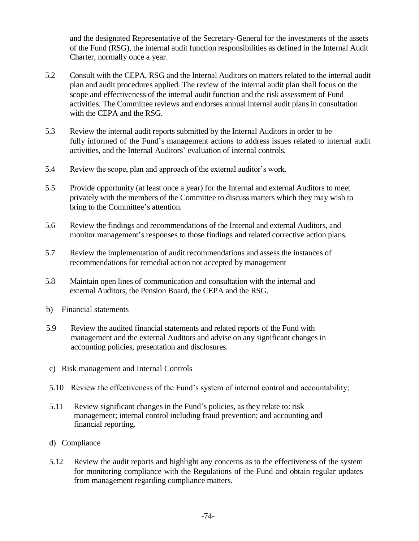and the designated Representative of the Secretary-General for the investments of the assets of the Fund (RSG), the internal audit function responsibilities as defined in the Internal Audit Charter, normally once a year.

- 5.2 Consult with the CEPA, RSG and the Internal Auditors on matters related to the internal audit plan and audit procedures applied. The review of the internal audit plan shall focus on the scope and effectiveness of the internal audit function and the risk assessment of Fund activities. The Committee reviews and endorses annual internal audit plans in consultation with the CEPA and the RSG.
- 5.3 Review the internal audit reports submitted by the Internal Auditors in order to be fully informed of the Fund's management actions to address issues related to internal audit activities, and the Internal Auditors' evaluation of internal controls.
- 5.4 Review the scope, plan and approach of the external auditor's work.
- 5.5 Provide opportunity (at least once a year) for the Internal and external Auditors to meet privately with the members of the Committee to discuss matters which they may wish to bring to the Committee's attention.
- 5.6 Review the findings and recommendations of the Internal and external Auditors, and monitor management's responses to those findings and related corrective action plans.
- 5.7 Review the implementation of audit recommendations and assess the instances of recommendations for remedial action not accepted by management
- 5.8 Maintain open lines of communication and consultation with the internal and external Auditors, the Pension Board, the CEPA and the RSG.
- b) Financial statements
- 5.9 Review the audited financial statements and related reports of the Fund with management and the external Auditors and advise on any significant changes in accounting policies, presentation and disclosures.
- c) Risk management and Internal Controls
- 5.10 Review the effectiveness of the Fund's system of internal control and accountability;
- 5.11 Review significant changes in the Fund's policies, as they relate to: risk management; internal control including fraud prevention; and accounting and financial reporting.
- d) Compliance
- 5.12 Review the audit reports and highlight any concerns as to the effectiveness of the system for monitoring compliance with the Regulations of the Fund and obtain regular updates from management regarding compliance matters.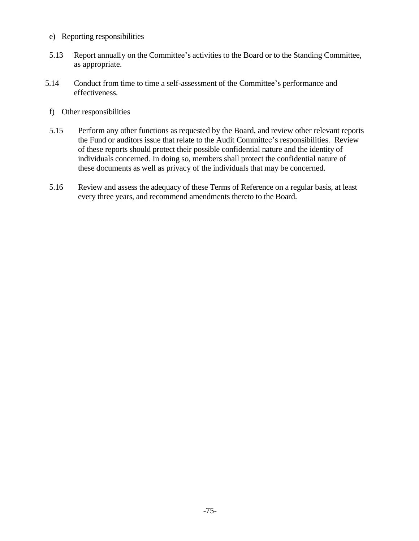- e) Reporting responsibilities
- 5.13 Report annually on the Committee's activities to the Board or to the Standing Committee, as appropriate.
- 5.14 Conduct from time to time a self-assessment of the Committee's performance and effectiveness.
- f) Other responsibilities
- 5.15 Perform any other functions as requested by the Board, and review other relevant reports the Fund or auditors issue that relate to the Audit Committee's responsibilities. Review of these reports should protect their possible confidential nature and the identity of individuals concerned. In doing so, members shall protect the confidential nature of these documents as well as privacy of the individuals that may be concerned.
- 5.16 Review and assess the adequacy of these Terms of Reference on a regular basis, at least every three years, and recommend amendments thereto to the Board.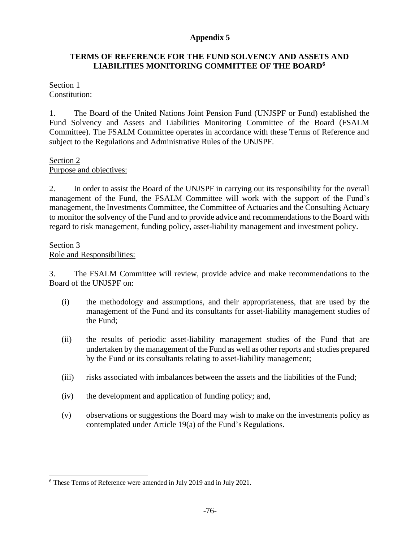### **TERMS OF REFERENCE FOR THE FUND SOLVENCY AND ASSETS AND LIABILITIES MONITORING COMMITTEE OF THE BOARD<sup>6</sup>**

#### Section 1 Constitution:

1. The Board of the United Nations Joint Pension Fund (UNJSPF or Fund) established the Fund Solvency and Assets and Liabilities Monitoring Committee of the Board (FSALM Committee). The FSALM Committee operates in accordance with these Terms of Reference and subject to the Regulations and Administrative Rules of the UNJSPF.

### Section 2

Purpose and objectives:

2. In order to assist the Board of the UNJSPF in carrying out its responsibility for the overall management of the Fund, the FSALM Committee will work with the support of the Fund's management, the Investments Committee, the Committee of Actuaries and the Consulting Actuary to monitor the solvency of the Fund and to provide advice and recommendations to the Board with regard to risk management, funding policy, asset-liability management and investment policy.

#### Section 3

#### Role and Responsibilities:

3. The FSALM Committee will review, provide advice and make recommendations to the Board of the UNJSPF on:

- (i) the methodology and assumptions, and their appropriateness, that are used by the management of the Fund and its consultants for asset-liability management studies of the Fund;
- (ii) the results of periodic asset-liability management studies of the Fund that are undertaken by the management of the Fund as well as other reports and studies prepared by the Fund or its consultants relating to asset-liability management;
- (iii) risks associated with imbalances between the assets and the liabilities of the Fund;
- (iv) the development and application of funding policy; and,
- (v) observations or suggestions the Board may wish to make on the investments policy as contemplated under Article 19(a) of the Fund's Regulations.

<sup>6</sup> These Terms of Reference were amended in July 2019 and in July 2021.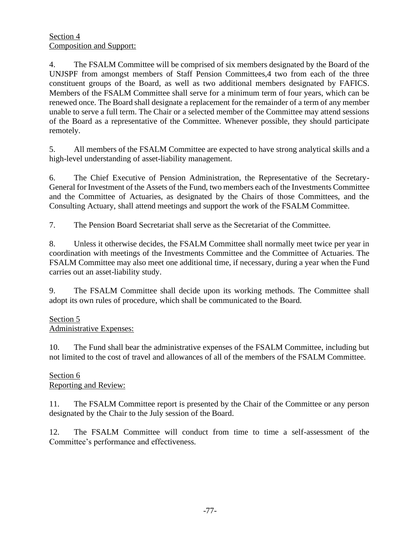4. The FSALM Committee will be comprised of six members designated by the Board of the UNJSPF from amongst members of Staff Pension Committees,4 two from each of the three constituent groups of the Board, as well as two additional members designated by FAFICS. Members of the FSALM Committee shall serve for a minimum term of four years, which can be renewed once. The Board shall designate a replacement for the remainder of a term of any member unable to serve a full term. The Chair or a selected member of the Committee may attend sessions of the Board as a representative of the Committee. Whenever possible, they should participate remotely.

5. All members of the FSALM Committee are expected to have strong analytical skills and a high-level understanding of asset-liability management.

6. The Chief Executive of Pension Administration, the Representative of the Secretary-General for Investment of the Assets of the Fund, two members each of the Investments Committee and the Committee of Actuaries, as designated by the Chairs of those Committees, and the Consulting Actuary, shall attend meetings and support the work of the FSALM Committee.

7. The Pension Board Secretariat shall serve as the Secretariat of the Committee.

8. Unless it otherwise decides, the FSALM Committee shall normally meet twice per year in coordination with meetings of the Investments Committee and the Committee of Actuaries. The FSALM Committee may also meet one additional time, if necessary, during a year when the Fund carries out an asset-liability study.

9. The FSALM Committee shall decide upon its working methods. The Committee shall adopt its own rules of procedure, which shall be communicated to the Board.

# Section 5

Administrative Expenses:

10. The Fund shall bear the administrative expenses of the FSALM Committee, including but not limited to the cost of travel and allowances of all of the members of the FSALM Committee.

#### Section 6 Reporting and Review:

11. The FSALM Committee report is presented by the Chair of the Committee or any person designated by the Chair to the July session of the Board.

12. The FSALM Committee will conduct from time to time a self-assessment of the Committee's performance and effectiveness.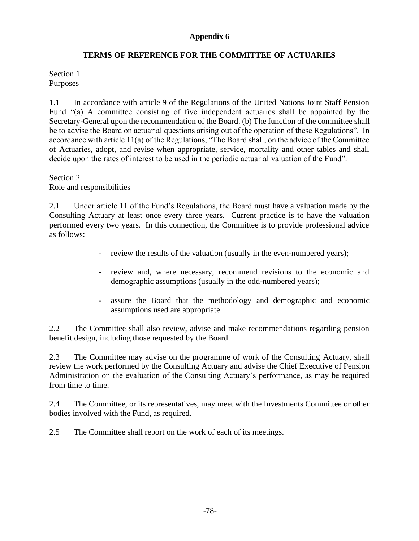# **TERMS OF REFERENCE FOR THE COMMITTEE OF ACTUARIES**

### Section 1 **Purposes**

1.1 In accordance with article 9 of the Regulations of the United Nations Joint Staff Pension Fund "(a) A committee consisting of five independent actuaries shall be appointed by the Secretary-General upon the recommendation of the Board. (b) The function of the committee shall be to advise the Board on actuarial questions arising out of the operation of these Regulations". In accordance with article 11(a) of the Regulations, "The Board shall, on the advice of the Committee of Actuaries, adopt, and revise when appropriate, service, mortality and other tables and shall decide upon the rates of interest to be used in the periodic actuarial valuation of the Fund".

#### Section 2 Role and responsibilities

2.1 Under article 11 of the Fund's Regulations, the Board must have a valuation made by the Consulting Actuary at least once every three years. Current practice is to have the valuation performed every two years. In this connection, the Committee is to provide professional advice as follows:

- review the results of the valuation (usually in the even-numbered years);
- review and, where necessary, recommend revisions to the economic and demographic assumptions (usually in the odd-numbered years);
- assure the Board that the methodology and demographic and economic assumptions used are appropriate.

2.2 The Committee shall also review, advise and make recommendations regarding pension benefit design, including those requested by the Board.

2.3 The Committee may advise on the programme of work of the Consulting Actuary, shall review the work performed by the Consulting Actuary and advise the Chief Executive of Pension Administration on the evaluation of the Consulting Actuary's performance, as may be required from time to time.

2.4 The Committee, or its representatives, may meet with the Investments Committee or other bodies involved with the Fund, as required.

2.5 The Committee shall report on the work of each of its meetings.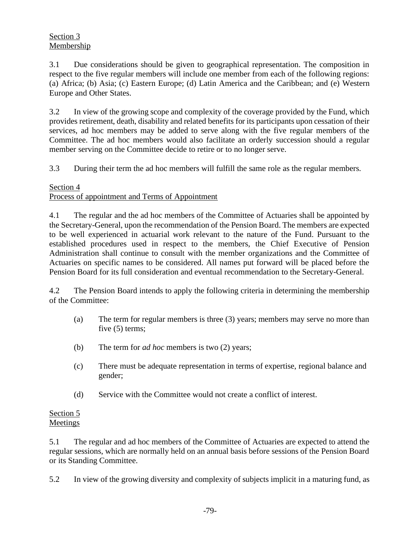3.1 Due considerations should be given to geographical representation. The composition in respect to the five regular members will include one member from each of the following regions: (a) Africa; (b) Asia; (c) Eastern Europe; (d) Latin America and the Caribbean; and (e) Western Europe and Other States.

3.2 In view of the growing scope and complexity of the coverage provided by the Fund, which provides retirement, death, disability and related benefits for its participants upon cessation of their services, ad hoc members may be added to serve along with the five regular members of the Committee. The ad hoc members would also facilitate an orderly succession should a regular member serving on the Committee decide to retire or to no longer serve.

3.3 During their term the ad hoc members will fulfill the same role as the regular members.

### Section 4 Process of appointment and Terms of Appointment

4.1 The regular and the ad hoc members of the Committee of Actuaries shall be appointed by the Secretary-General, upon the recommendation of the Pension Board. The members are expected to be well experienced in actuarial work relevant to the nature of the Fund. Pursuant to the established procedures used in respect to the members, the Chief Executive of Pension Administration shall continue to consult with the member organizations and the Committee of Actuaries on specific names to be considered. All names put forward will be placed before the Pension Board for its full consideration and eventual recommendation to the Secretary-General.

4.2 The Pension Board intends to apply the following criteria in determining the membership of the Committee:

- (a) The term for regular members is three (3) years; members may serve no more than five (5) terms;
- (b) The term for *ad hoc* members is two (2) years;
- (c) There must be adequate representation in terms of expertise, regional balance and gender;
- (d) Service with the Committee would not create a conflict of interest.

# Section 5 Meetings

5.1 The regular and ad hoc members of the Committee of Actuaries are expected to attend the regular sessions, which are normally held on an annual basis before sessions of the Pension Board or its Standing Committee.

5.2 In view of the growing diversity and complexity of subjects implicit in a maturing fund, as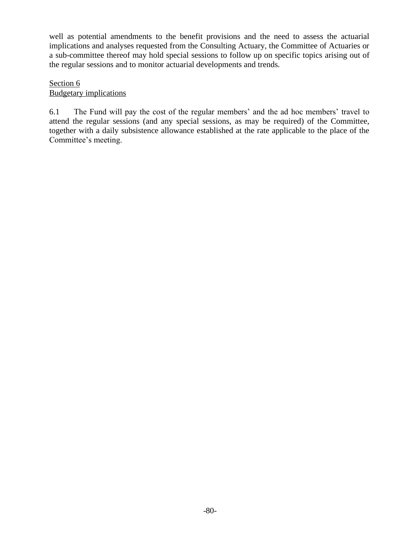well as potential amendments to the benefit provisions and the need to assess the actuarial implications and analyses requested from the Consulting Actuary, the Committee of Actuaries or a sub-committee thereof may hold special sessions to follow up on specific topics arising out of the regular sessions and to monitor actuarial developments and trends.

### Section 6 Budgetary implications

6.1 The Fund will pay the cost of the regular members' and the ad hoc members' travel to attend the regular sessions (and any special sessions, as may be required) of the Committee, together with a daily subsistence allowance established at the rate applicable to the place of the Committee's meeting.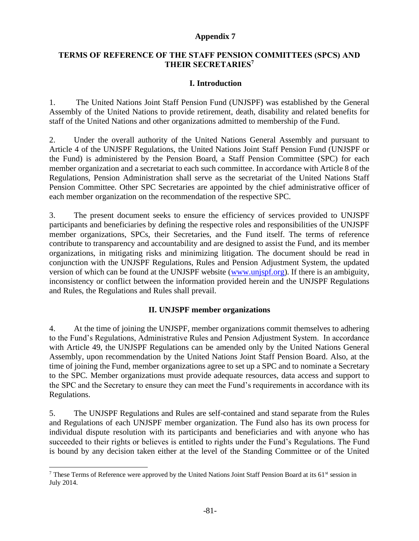### **TERMS OF REFERENCE OF THE STAFF PENSION COMMITTEES (SPCS) AND THEIR SECRETARIES<sup>7</sup>**

### **I. Introduction**

1. The United Nations Joint Staff Pension Fund (UNJSPF) was established by the General Assembly of the United Nations to provide retirement, death, disability and related benefits for staff of the United Nations and other organizations admitted to membership of the Fund.

2. Under the overall authority of the United Nations General Assembly and pursuant to Article 4 of the UNJSPF Regulations, the United Nations Joint Staff Pension Fund (UNJSPF or the Fund) is administered by the Pension Board, a Staff Pension Committee (SPC) for each member organization and a secretariat to each such committee. In accordance with Article 8 of the Regulations, Pension Administration shall serve as the secretariat of the United Nations Staff Pension Committee. Other SPC Secretaries are appointed by the chief administrative officer of each member organization on the recommendation of the respective SPC.

3. The present document seeks to ensure the efficiency of services provided to UNJSPF participants and beneficiaries by defining the respective roles and responsibilities of the UNJSPF member organizations, SPCs, their Secretaries, and the Fund itself. The terms of reference contribute to transparency and accountability and are designed to assist the Fund, and its member organizations, in mitigating risks and minimizing litigation. The document should be read in conjunction with the UNJSPF Regulations, Rules and Pension Adjustment System, the updated version of which can be found at the UNJSPF website [\(www.unjspf.org\)](http://www.unjspf.org/). If there is an ambiguity, inconsistency or conflict between the information provided herein and the UNJSPF Regulations and Rules, the Regulations and Rules shall prevail.

### **II. UNJSPF member organizations**

4. At the time of joining the UNJSPF, member organizations commit themselves to adhering to the Fund's Regulations, Administrative Rules and Pension Adjustment System. In accordance with Article 49, the UNJSPF Regulations can be amended only by the United Nations General Assembly, upon recommendation by the United Nations Joint Staff Pension Board. Also, at the time of joining the Fund, member organizations agree to set up a SPC and to nominate a Secretary to the SPC*.* Member organizations must provide adequate resources, data access and support to the SPC and the Secretary to ensure they can meet the Fund's requirements in accordance with its Regulations.

5. The UNJSPF Regulations and Rules are self-contained and stand separate from the Rules and Regulations of each UNJSPF member organization. The Fund also has its own process for individual dispute resolution with its participants and beneficiaries and with anyone who has succeeded to their rights or believes is entitled to rights under the Fund's Regulations. The Fund is bound by any decision taken either at the level of the Standing Committee or of the United

<sup>&</sup>lt;sup>7</sup> These Terms of Reference were approved by the United Nations Joint Staff Pension Board at its 61<sup>st</sup> session in July 2014.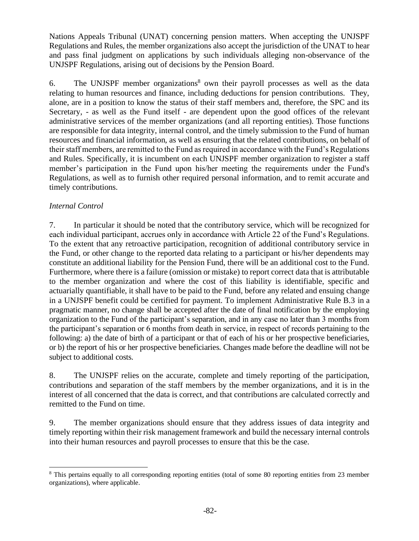Nations Appeals Tribunal (UNAT) concerning pension matters. When accepting the UNJSPF Regulations and Rules, the member organizations also accept the jurisdiction of the UNAT to hear and pass final judgment on applications by such individuals alleging non-observance of the UNJSPF Regulations, arising out of decisions by the Pension Board.

6. The UNJSPF member organizations<sup>8</sup> own their payroll processes as well as the data relating to human resources and finance, including deductions for pension contributions. They, alone, are in a position to know the status of their staff members and, therefore, the SPC and its Secretary, - as well as the Fund itself - are dependent upon the good offices of the relevant administrative services of the member organizations (and all reporting entities). Those functions are responsible for data integrity, internal control, and the timely submission to the Fund of human resources and financial information, as well as ensuring that the related contributions, on behalf of their staff members, are remitted to the Fund as required in accordance with the Fund's Regulations and Rules. Specifically, it is incumbent on each UNJSPF member organization to register a staff member's participation in the Fund upon his/her meeting the requirements under the Fund's Regulations, as well as to furnish other required personal information, and to remit accurate and timely contributions.

### *Internal Control*

7. In particular it should be noted that the contributory service, which will be recognized for each individual participant, accrues only in accordance with Article 22 of the Fund's Regulations. To the extent that any retroactive participation, recognition of additional contributory service in the Fund, or other change to the reported data relating to a participant or his/her dependents may constitute an additional liability for the Pension Fund, there will be an additional cost to the Fund. Furthermore, where there is a failure (omission or mistake) to report correct data that is attributable to the member organization and where the cost of this liability is identifiable, specific and actuarially quantifiable, it shall have to be paid to the Fund, before any related and ensuing change in a UNJSPF benefit could be certified for payment. To implement Administrative Rule B.3 in a pragmatic manner, no change shall be accepted after the date of final notification by the employing organization to the Fund of the participant's separation, and in any case no later than 3 months from the participant's separation or 6 months from death in service, in respect of records pertaining to the following: a) the date of birth of a participant or that of each of his or her prospective beneficiaries, or b) the report of his or her prospective beneficiaries. Changes made before the deadline will not be subject to additional costs.

8. The UNJSPF relies on the accurate, complete and timely reporting of the participation, contributions and separation of the staff members by the member organizations, and it is in the interest of all concerned that the data is correct, and that contributions are calculated correctly and remitted to the Fund on time.

9. The member organizations should ensure that they address issues of data integrity and timely reporting within their risk management framework and build the necessary internal controls into their human resources and payroll processes to ensure that this be the case.

<sup>&</sup>lt;sup>8</sup> This pertains equally to all corresponding reporting entities (total of some 80 reporting entities from 23 member organizations), where applicable.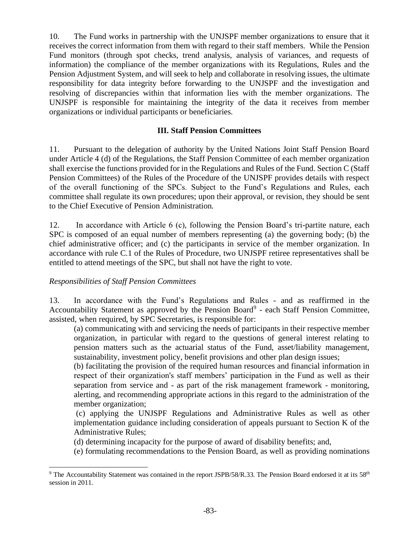10. The Fund works in partnership with the UNJSPF member organizations to ensure that it receives the correct information from them with regard to their staff members. While the Pension Fund monitors (through spot checks, trend analysis, analysis of variances, and requests of information) the compliance of the member organizations with its Regulations, Rules and the Pension Adjustment System, and will seek to help and collaborate in resolving issues, the ultimate responsibility for data integrity before forwarding to the UNJSPF and the investigation and resolving of discrepancies within that information lies with the member organizations. The UNJSPF is responsible for maintaining the integrity of the data it receives from member organizations or individual participants or beneficiaries.

### **III. Staff Pension Committees**

11. Pursuant to the delegation of authority by the United Nations Joint Staff Pension Board under Article 4 (d) of the Regulations, the Staff Pension Committee of each member organization shall exercise the functions provided for in the Regulations and Rules of the Fund. Section C (Staff Pension Committees) of the Rules of the Procedure of the UNJSPF provides details with respect of the overall functioning of the SPCs. Subject to the Fund's Regulations and Rules, each committee shall regulate its own procedures; upon their approval, or revision, they should be sent to the Chief Executive of Pension Administration.

12. In accordance with Article 6 (c), following the Pension Board's tri-partite nature, each SPC is composed of an equal number of members representing (a) the governing body; (b) the chief administrative officer; and (c) the participants in service of the member organization. In accordance with rule C.1 of the Rules of Procedure, two UNJSPF retiree representatives shall be entitled to attend meetings of the SPC, but shall not have the right to vote.

### *Responsibilities of Staff Pension Committees*

13. In accordance with the Fund's Regulations and Rules - and as reaffirmed in the Accountability Statement as approved by the Pension Board<sup>9</sup> - each Staff Pension Committee, assisted, when required, by SPC Secretaries, is responsible for:

(a) communicating with and servicing the needs of participants in their respective member organization, in particular with regard to the questions of general interest relating to pension matters such as the actuarial status of the Fund, asset/liability management, sustainability, investment policy, benefit provisions and other plan design issues;

(b) facilitating the provision of the required human resources and financial information in respect of their organization's staff members' participation in the Fund as well as their separation from service and - as part of the risk management framework - monitoring, alerting, and recommending appropriate actions in this regard to the administration of the member organization;

(c) applying the UNJSPF Regulations and Administrative Rules as well as other implementation guidance including consideration of appeals pursuant to Section K of the Administrative Rules;

(d) determining incapacity for the purpose of award of disability benefits; and,

(e) formulating recommendations to the Pension Board, as well as providing nominations

<sup>&</sup>lt;sup>9</sup> The Accountability Statement was contained in the report JSPB/58/R.33. The Pension Board endorsed it at its 58<sup>th</sup> session in 2011.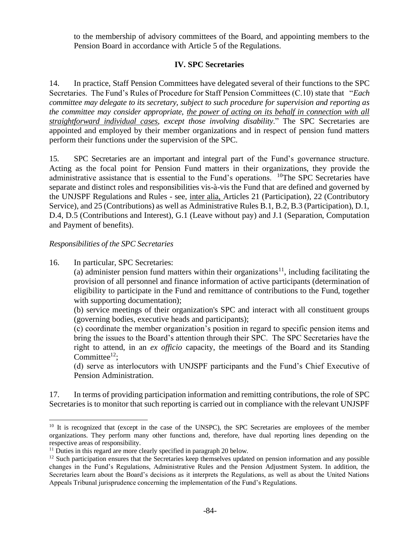to the membership of advisory committees of the Board, and appointing members to the Pension Board in accordance with Article 5 of the Regulations.

# **IV. SPC Secretaries**

14. In practice, Staff Pension Committees have delegated several of their functions to the SPC Secretaries. The Fund's Rules of Procedure for Staff Pension Committees (C.10) state that "*Each committee may delegate to its secretary, subject to such procedure for supervision and reporting as the committee may consider appropriate, the power of acting on its behalf in connection with all straightforward individual cases, except those involving disability*." The SPC Secretaries are appointed and employed by their member organizations and in respect of pension fund matters perform their functions under the supervision of the SPC.

15. SPC Secretaries are an important and integral part of the Fund's governance structure. Acting as the focal point for Pension Fund matters in their organizations, they provide the administrative assistance that is essential to the Fund's operations. <sup>10</sup>The SPC Secretaries have separate and distinct roles and responsibilities vis-à-vis the Fund that are defined and governed by the UNJSPF Regulations and Rules - see, inter alia, Articles 21 (Participation), 22 (Contributory Service), and 25 (Contributions) as well as Administrative Rules B.1, B.2, B.3 (Participation), D.1, D.4, D.5 (Contributions and Interest), G.1 (Leave without pay) and J.1 (Separation, Computation and Payment of benefits).

### *Responsibilities of the SPC Secretaries*

16. In particular, SPC Secretaries:

(a) administer pension fund matters within their organizations<sup>11</sup>, including facilitating the provision of all personnel and finance information of active participants (determination of eligibility to participate in the Fund and remittance of contributions to the Fund, together with supporting documentation);

(b) service meetings of their organization's SPC and interact with all constituent groups (governing bodies, executive heads and participants);

(c) coordinate the member organization's position in regard to specific pension items and bring the issues to the Board's attention through their SPC. The SPC Secretaries have the right to attend, in an *ex officio* capacity, the meetings of the Board and its Standing Committee $12$ :

(d) serve as interlocutors with UNJSPF participants and the Fund's Chief Executive of Pension Administration.

17. In terms of providing participation information and remitting contributions, the role of SPC Secretaries is to monitor that such reporting is carried out in compliance with the relevant UNJSPF

<sup>&</sup>lt;sup>10</sup> It is recognized that (except in the case of the UNSPC), the SPC Secretaries are employees of the member organizations. They perform many other functions and, therefore, have dual reporting lines depending on the respective areas of responsibility.

<sup>&</sup>lt;sup>11</sup> Duties in this regard are more clearly specified in paragraph 20 below.

<sup>&</sup>lt;sup>12</sup> Such participation ensures that the Secretaries keep themselves updated on pension information and any possible changes in the Fund's Regulations, Administrative Rules and the Pension Adjustment System. In addition, the Secretaries learn about the Board's decisions as it interprets the Regulations, as well as about the United Nations Appeals Tribunal jurisprudence concerning the implementation of the Fund's Regulations.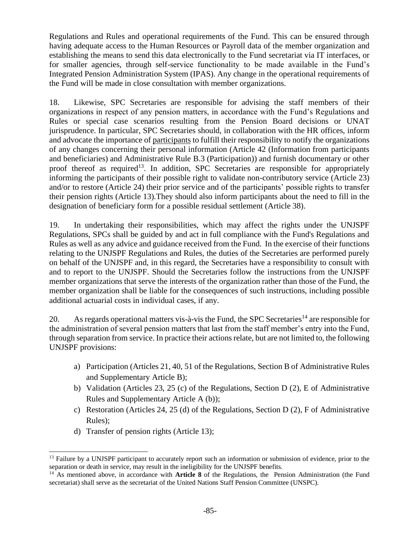Regulations and Rules and operational requirements of the Fund. This can be ensured through having adequate access to the Human Resources or Payroll data of the member organization and establishing the means to send this data electronically to the Fund secretariat via IT interfaces, or for smaller agencies, through self-service functionality to be made available in the Fund's Integrated Pension Administration System (IPAS). Any change in the operational requirements of the Fund will be made in close consultation with member organizations.

18. Likewise, SPC Secretaries are responsible for advising the staff members of their organizations in respect of any pension matters, in accordance with the Fund's Regulations and Rules or special case scenarios resulting from the Pension Board decisions or UNAT jurisprudence. In particular, SPC Secretaries should, in collaboration with the HR offices, inform and advocate the importance of participants to fulfill their responsibility to notify the organizations of any changes concerning their personal information (Article 42 (Information from participants and beneficiaries) and Administrative Rule B.3 (Participation)) and furnish documentary or other proof thereof as required<sup>13</sup>. In addition, SPC Secretaries are responsible for appropriately informing the participants of their possible right to validate non-contributory service (Article 23) and/or to restore (Article 24) their prior service and of the participants' possible rights to transfer their pension rights (Article 13).They should also inform participants about the need to fill in the designation of beneficiary form for a possible residual settlement (Article 38).

19. In undertaking their responsibilities, which may affect the rights under the UNJSPF Regulations, SPCs shall be guided by and act in full compliance with the Fund's Regulations and Rules as well as any advice and guidance received from the Fund. In the exercise of their functions relating to the UNJSPF Regulations and Rules, the duties of the Secretaries are performed purely on behalf of the UNJSPF and, in this regard, the Secretaries have a responsibility to consult with and to report to the UNJSPF. Should the Secretaries follow the instructions from the UNJSPF member organizations that serve the interests of the organization rather than those of the Fund, the member organization shall be liable for the consequences of such instructions, including possible additional actuarial costs in individual cases, if any.

20. As regards operational matters vis-à-vis the Fund, the SPC Secretaries<sup>14</sup> are responsible for the administration of several pension matters that last from the staff member's entry into the Fund, through separation from service. In practice their actions relate, but are not limited to, the following UNJSPF provisions:

- a) Participation (Articles 21, 40, 51 of the Regulations, Section B of Administrative Rules and Supplementary Article B);
- b) Validation (Articles 23, 25 (c) of the Regulations, Section D (2), E of Administrative Rules and Supplementary Article A (b));
- c) Restoration (Articles 24, 25 (d) of the Regulations, Section D (2), F of Administrative Rules);
- d) Transfer of pension rights (Article 13);

<sup>&</sup>lt;sup>13</sup> Failure by a UNJSPF participant to accurately report such an information or submission of evidence, prior to the separation or death in service, may result in the ineligibility for the UNJSPF benefits.

<sup>&</sup>lt;sup>14</sup> As mentioned above, in accordance with **Article 8** of the Regulations, the Pension Administration (the Fund secretariat) shall serve as the secretariat of the United Nations Staff Pension Committee (UNSPC).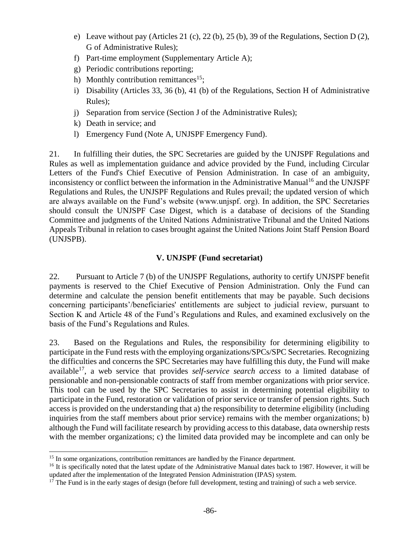- e) Leave without pay (Articles 21 (c), 22 (b), 25 (b), 39 of the Regulations, Section D (2), G of Administrative Rules);
- f) Part-time employment (Supplementary Article A);
- g) Periodic contributions reporting;
- h) Monthly contribution remittances<sup>15</sup>;
- i) Disability (Articles 33, 36 (b), 41 (b) of the Regulations, Section H of Administrative Rules);
- j) Separation from service (Section J of the Administrative Rules);
- k) Death in service; and
- l) Emergency Fund (Note A, UNJSPF Emergency Fund).

21. In fulfilling their duties, the SPC Secretaries are guided by the UNJSPF Regulations and Rules as well as implementation guidance and advice provided by the Fund, including Circular Letters of the Fund's Chief Executive of Pension Administration. In case of an ambiguity, inconsistency or conflict between the information in the Administrative Manual<sup>16</sup> and the UNJSPF Regulations and Rules, the UNJSPF Regulations and Rules prevail; the updated version of which are always available on the Fund's website (www.unjspf. org). In addition, the SPC Secretaries should consult the UNJSPF Case Digest, which is a database of decisions of the Standing Committee and judgments of the United Nations Administrative Tribunal and the United Nations Appeals Tribunal in relation to cases brought against the United Nations Joint Staff Pension Board (UNJSPB).

# **V. UNJSPF (Fund secretariat)**

22. Pursuant to Article 7 (b) of the UNJSPF Regulations, authority to certify UNJSPF benefit payments is reserved to the Chief Executive of Pension Administration. Only the Fund can determine and calculate the pension benefit entitlements that may be payable. Such decisions concerning participants'/beneficiaries' entitlements are subject to judicial review, pursuant to Section K and Article 48 of the Fund's Regulations and Rules, and examined exclusively on the basis of the Fund's Regulations and Rules.

23. Based on the Regulations and Rules, the responsibility for determining eligibility to participate in the Fund rests with the employing organizations/SPCs/SPC Secretaries. Recognizing the difficulties and concerns the SPC Secretaries may have fulfilling this duty, the Fund will make available<sup>17</sup>, a web service that provides *self-service search access* to a limited database of pensionable and non-pensionable contracts of staff from member organizations with prior service. This tool can be used by the SPC Secretaries to assist in determining potential eligibility to participate in the Fund, restoration or validation of prior service or transfer of pension rights. Such access is provided on the understanding that a) the responsibility to determine eligibility (including inquiries from the staff members about prior service) remains with the member organizations; b) although the Fund will facilitate research by providing access to this database, data ownership rests with the member organizations; c) the limited data provided may be incomplete and can only be

<sup>&</sup>lt;sup>15</sup> In some organizations, contribution remittances are handled by the Finance department.

<sup>&</sup>lt;sup>16</sup> It is specifically noted that the latest update of the Administrative Manual dates back to 1987. However, it will be updated after the implementation of the Integrated Pension Administration (IPAS) system.

 $17$  The Fund is in the early stages of design (before full development, testing and training) of such a web service.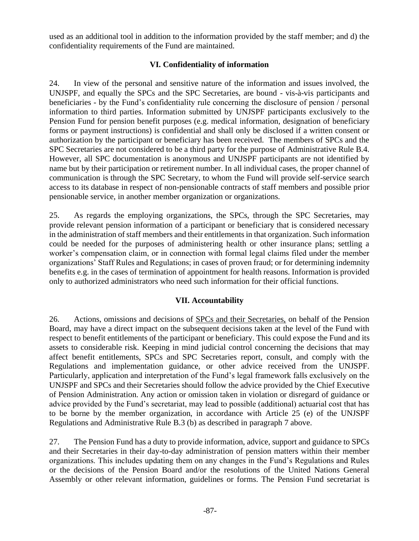used as an additional tool in addition to the information provided by the staff member; and d) the confidentiality requirements of the Fund are maintained.

# **VI. Confidentiality of information**

24. In view of the personal and sensitive nature of the information and issues involved, the UNJSPF, and equally the SPCs and the SPC Secretaries, are bound - vis-à-vis participants and beneficiaries - by the Fund's confidentiality rule concerning the disclosure of pension / personal information to third parties. Information submitted by UNJSPF participants exclusively to the Pension Fund for pension benefit purposes (e.g. medical information, designation of beneficiary forms or payment instructions) is confidential and shall only be disclosed if a written consent or authorization by the participant or beneficiary has been received. The members of SPCs and the SPC Secretaries are not considered to be a third party for the purpose of Administrative Rule B.4. However, all SPC documentation is anonymous and UNJSPF participants are not identified by name but by their participation or retirement number. In all individual cases, the proper channel of communication is through the SPC Secretary, to whom the Fund will provide self-service search access to its database in respect of non-pensionable contracts of staff members and possible prior pensionable service, in another member organization or organizations.

25. As regards the employing organizations, the SPCs, through the SPC Secretaries, may provide relevant pension information of a participant or beneficiary that is considered necessary in the administration of staff members and their entitlements in that organization. Such information could be needed for the purposes of administering health or other insurance plans; settling a worker's compensation claim, or in connection with formal legal claims filed under the member organizations' Staff Rules and Regulations; in cases of proven fraud; or for determining indemnity benefits e.g. in the cases of termination of appointment for health reasons. Information is provided only to authorized administrators who need such information for their official functions.

# **VII. Accountability**

26. Actions, omissions and decisions of SPCs and their Secretaries, on behalf of the Pension Board, may have a direct impact on the subsequent decisions taken at the level of the Fund with respect to benefit entitlements of the participant or beneficiary. This could expose the Fund and its assets to considerable risk. Keeping in mind judicial control concerning the decisions that may affect benefit entitlements, SPCs and SPC Secretaries report, consult, and comply with the Regulations and implementation guidance, or other advice received from the UNJSPF. Particularly, application and interpretation of the Fund's legal framework falls exclusively on the UNJSPF and SPCs and their Secretaries should follow the advice provided by the Chief Executive of Pension Administration. Any action or omission taken in violation or disregard of guidance or advice provided by the Fund's secretariat, may lead to possible (additional) actuarial cost that has to be borne by the member organization, in accordance with Article 25 (e) of the UNJSPF Regulations and Administrative Rule B.3 (b) as described in paragraph 7 above.

27. The Pension Fund has a duty to provide information, advice, support and guidance to SPCs and their Secretaries in their day-to-day administration of pension matters within their member organizations. This includes updating them on any changes in the Fund's Regulations and Rules or the decisions of the Pension Board and/or the resolutions of the United Nations General Assembly or other relevant information, guidelines or forms. The Pension Fund secretariat is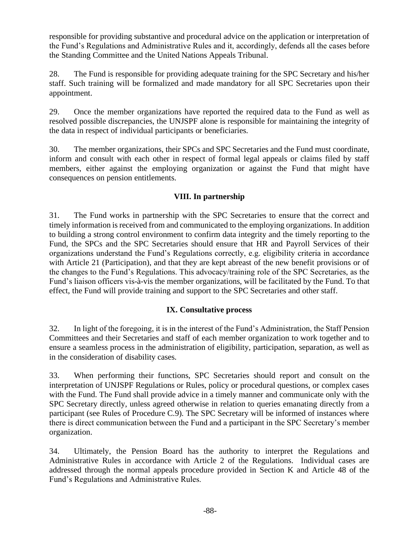responsible for providing substantive and procedural advice on the application or interpretation of the Fund's Regulations and Administrative Rules and it, accordingly, defends all the cases before the Standing Committee and the United Nations Appeals Tribunal.

28. The Fund is responsible for providing adequate training for the SPC Secretary and his/her staff. Such training will be formalized and made mandatory for all SPC Secretaries upon their appointment.

29. Once the member organizations have reported the required data to the Fund as well as resolved possible discrepancies, the UNJSPF alone is responsible for maintaining the integrity of the data in respect of individual participants or beneficiaries.

30. The member organizations, their SPCs and SPC Secretaries and the Fund must coordinate, inform and consult with each other in respect of formal legal appeals or claims filed by staff members, either against the employing organization or against the Fund that might have consequences on pension entitlements.

# **VIII. In partnership**

31. The Fund works in partnership with the SPC Secretaries to ensure that the correct and timely information is received from and communicated to the employing organizations. In addition to building a strong control environment to confirm data integrity and the timely reporting to the Fund, the SPCs and the SPC Secretaries should ensure that HR and Payroll Services of their organizations understand the Fund's Regulations correctly, e.g. eligibility criteria in accordance with Article 21 (Participation), and that they are kept abreast of the new benefit provisions or of the changes to the Fund's Regulations. This advocacy/training role of the SPC Secretaries, as the Fund's liaison officers vis-à-vis the member organizations, will be facilitated by the Fund. To that effect, the Fund will provide training and support to the SPC Secretaries and other staff.

### **IX. Consultative process**

32. In light of the foregoing, it is in the interest of the Fund's Administration, the Staff Pension Committees and their Secretaries and staff of each member organization to work together and to ensure a seamless process in the administration of eligibility, participation, separation, as well as in the consideration of disability cases.

33. When performing their functions, SPC Secretaries should report and consult on the interpretation of UNJSPF Regulations or Rules, policy or procedural questions, or complex cases with the Fund. The Fund shall provide advice in a timely manner and communicate only with the SPC Secretary directly, unless agreed otherwise in relation to queries emanating directly from a participant (see Rules of Procedure C.9). The SPC Secretary will be informed of instances where there is direct communication between the Fund and a participant in the SPC Secretary's member organization.

34. Ultimately, the Pension Board has the authority to interpret the Regulations and Administrative Rules in accordance with Article 2 of the Regulations. Individual cases are addressed through the normal appeals procedure provided in Section K and Article 48 of the Fund's Regulations and Administrative Rules.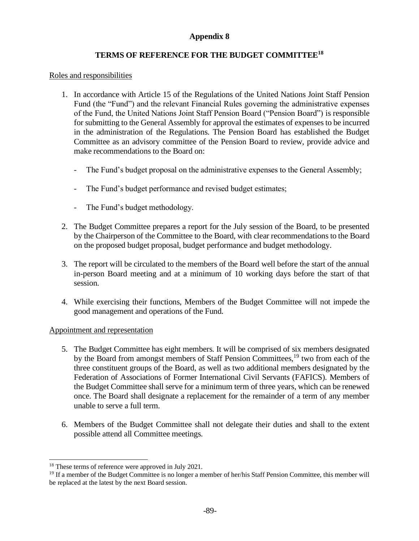# **TERMS OF REFERENCE FOR THE BUDGET COMMITTEE<sup>18</sup>**

#### Roles and responsibilities

- 1. In accordance with Article 15 of the Regulations of the United Nations Joint Staff Pension Fund (the "Fund") and the relevant Financial Rules governing the administrative expenses of the Fund, the United Nations Joint Staff Pension Board ("Pension Board") is responsible for submitting to the General Assembly for approval the estimates of expenses to be incurred in the administration of the Regulations. The Pension Board has established the Budget Committee as an advisory committee of the Pension Board to review, provide advice and make recommendations to the Board on:
	- The Fund's budget proposal on the administrative expenses to the General Assembly;
	- The Fund's budget performance and revised budget estimates;
	- The Fund's budget methodology.
- 2. The Budget Committee prepares a report for the July session of the Board, to be presented by the Chairperson of the Committee to the Board, with clear recommendations to the Board on the proposed budget proposal, budget performance and budget methodology.
- 3. The report will be circulated to the members of the Board well before the start of the annual in-person Board meeting and at a minimum of 10 working days before the start of that session.
- 4. While exercising their functions, Members of the Budget Committee will not impede the good management and operations of the Fund.

### Appointment and representation

- 5. The Budget Committee has eight members. It will be comprised of six members designated by the Board from amongst members of Staff Pension Committees,<sup>19</sup> two from each of the three constituent groups of the Board, as well as two additional members designated by the Federation of Associations of Former International Civil Servants (FAFICS). Members of the Budget Committee shall serve for a minimum term of three years, which can be renewed once. The Board shall designate a replacement for the remainder of a term of any member unable to serve a full term.
- 6. Members of the Budget Committee shall not delegate their duties and shall to the extent possible attend all Committee meetings.

<sup>&</sup>lt;sup>18</sup> These terms of reference were approved in July 2021.

<sup>&</sup>lt;sup>19</sup> If a member of the Budget Committee is no longer a member of her/his Staff Pension Committee, this member will be replaced at the latest by the next Board session.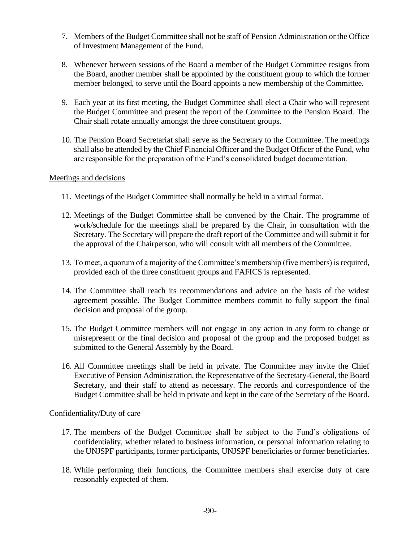- 7. Members of the Budget Committee shall not be staff of Pension Administration or the Office of Investment Management of the Fund.
- 8. Whenever between sessions of the Board a member of the Budget Committee resigns from the Board, another member shall be appointed by the constituent group to which the former member belonged, to serve until the Board appoints a new membership of the Committee.
- 9. Each year at its first meeting, the Budget Committee shall elect a Chair who will represent the Budget Committee and present the report of the Committee to the Pension Board. The Chair shall rotate annually amongst the three constituent groups.
- 10. The Pension Board Secretariat shall serve as the Secretary to the Committee. The meetings shall also be attended by the Chief Financial Officer and the Budget Officer of the Fund, who are responsible for the preparation of the Fund's consolidated budget documentation.

### Meetings and decisions

- 11. Meetings of the Budget Committee shall normally be held in a virtual format.
- 12. Meetings of the Budget Committee shall be convened by the Chair. The programme of work/schedule for the meetings shall be prepared by the Chair, in consultation with the Secretary. The Secretary will prepare the draft report of the Committee and will submit it for the approval of the Chairperson, who will consult with all members of the Committee.
- 13. To meet, a quorum of a majority of the Committee's membership (five members) is required, provided each of the three constituent groups and FAFICS is represented.
- 14. The Committee shall reach its recommendations and advice on the basis of the widest agreement possible. The Budget Committee members commit to fully support the final decision and proposal of the group.
- 15. The Budget Committee members will not engage in any action in any form to change or misrepresent or the final decision and proposal of the group and the proposed budget as submitted to the General Assembly by the Board.
- 16. All Committee meetings shall be held in private. The Committee may invite the Chief Executive of Pension Administration, the Representative of the Secretary-General, the Board Secretary, and their staff to attend as necessary. The records and correspondence of the Budget Committee shall be held in private and kept in the care of the Secretary of the Board.

#### Confidentiality/Duty of care

- 17. The members of the Budget Committee shall be subject to the Fund's obligations of confidentiality, whether related to business information, or personal information relating to the UNJSPF participants, former participants, UNJSPF beneficiaries or former beneficiaries.
- 18. While performing their functions, the Committee members shall exercise duty of care reasonably expected of them.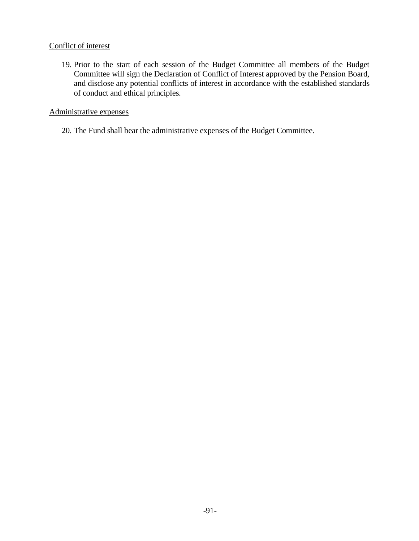### Conflict of interest

19. Prior to the start of each session of the Budget Committee all members of the Budget Committee will sign the Declaration of Conflict of Interest approved by the Pension Board, and disclose any potential conflicts of interest in accordance with the established standards of conduct and ethical principles.

### Administrative expenses

20. The Fund shall bear the administrative expenses of the Budget Committee.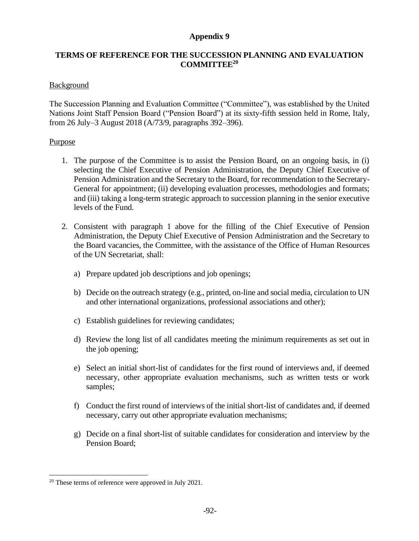### **TERMS OF REFERENCE FOR THE SUCCESSION PLANNING AND EVALUATION COMMITTEE<sup>20</sup>**

### Background

The Succession Planning and Evaluation Committee ("Committee"), was established by the United Nations Joint Staff Pension Board ("Pension Board") at its sixty-fifth session held in Rome, Italy, from 26 July–3 August 2018 (A/73/9, paragraphs 392–396).

#### Purpose

- 1. The purpose of the Committee is to assist the Pension Board, on an ongoing basis, in (i) selecting the Chief Executive of Pension Administration, the Deputy Chief Executive of Pension Administration and the Secretary to the Board, for recommendation to the Secretary-General for appointment; (ii) developing evaluation processes, methodologies and formats; and (iii) taking a long-term strategic approach to succession planning in the senior executive levels of the Fund.
- 2. Consistent with paragraph 1 above for the filling of the Chief Executive of Pension Administration, the Deputy Chief Executive of Pension Administration and the Secretary to the Board vacancies, the Committee, with the assistance of the Office of Human Resources of the UN Secretariat, shall:
	- a) Prepare updated job descriptions and job openings;
	- b) Decide on the outreach strategy (e.g., printed, on-line and social media, circulation to UN and other international organizations, professional associations and other);
	- c) Establish guidelines for reviewing candidates;
	- d) Review the long list of all candidates meeting the minimum requirements as set out in the job opening;
	- e) Select an initial short-list of candidates for the first round of interviews and, if deemed necessary, other appropriate evaluation mechanisms, such as written tests or work samples;
	- f) Conduct the first round of interviews of the initial short-list of candidates and, if deemed necessary, carry out other appropriate evaluation mechanisms;
	- g) Decide on a final short-list of suitable candidates for consideration and interview by the Pension Board;

<sup>20</sup> These terms of reference were approved in July 2021.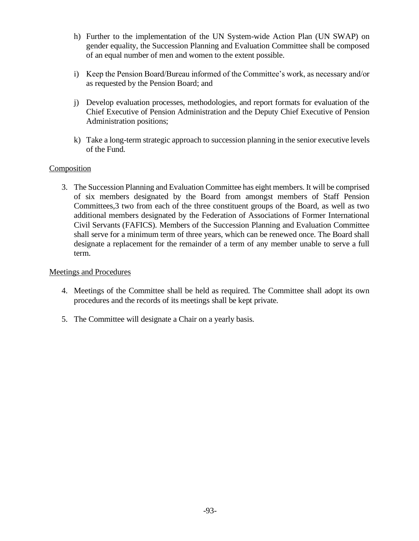- h) Further to the implementation of the UN System-wide Action Plan (UN SWAP) on gender equality, the Succession Planning and Evaluation Committee shall be composed of an equal number of men and women to the extent possible.
- i) Keep the Pension Board/Bureau informed of the Committee's work, as necessary and/or as requested by the Pension Board; and
- j) Develop evaluation processes, methodologies, and report formats for evaluation of the Chief Executive of Pension Administration and the Deputy Chief Executive of Pension Administration positions;
- k) Take a long-term strategic approach to succession planning in the senior executive levels of the Fund.

### **Composition**

3. The Succession Planning and Evaluation Committee has eight members. It will be comprised of six members designated by the Board from amongst members of Staff Pension Committees,3 two from each of the three constituent groups of the Board, as well as two additional members designated by the Federation of Associations of Former International Civil Servants (FAFICS). Members of the Succession Planning and Evaluation Committee shall serve for a minimum term of three years, which can be renewed once. The Board shall designate a replacement for the remainder of a term of any member unable to serve a full term.

#### Meetings and Procedures

- 4. Meetings of the Committee shall be held as required. The Committee shall adopt its own procedures and the records of its meetings shall be kept private.
- 5. The Committee will designate a Chair on a yearly basis.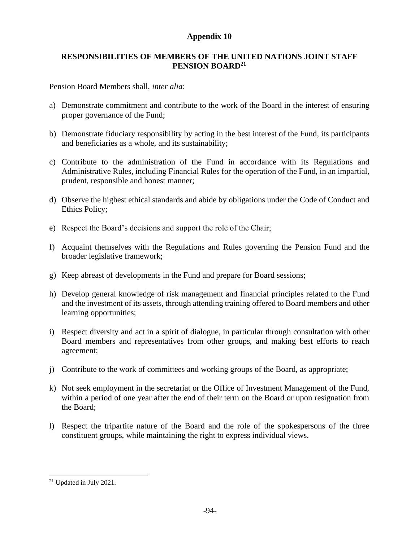### **RESPONSIBILITIES OF MEMBERS OF THE UNITED NATIONS JOINT STAFF PENSION BOARD<sup>21</sup>**

Pension Board Members shall, *inter alia*:

- a) Demonstrate commitment and contribute to the work of the Board in the interest of ensuring proper governance of the Fund;
- b) Demonstrate fiduciary responsibility by acting in the best interest of the Fund, its participants and beneficiaries as a whole, and its sustainability;
- c) Contribute to the administration of the Fund in accordance with its Regulations and Administrative Rules, including Financial Rules for the operation of the Fund, in an impartial, prudent, responsible and honest manner;
- d) Observe the highest ethical standards and abide by obligations under the Code of Conduct and Ethics Policy;
- e) Respect the Board's decisions and support the role of the Chair;
- f) Acquaint themselves with the Regulations and Rules governing the Pension Fund and the broader legislative framework;
- g) Keep abreast of developments in the Fund and prepare for Board sessions;
- h) Develop general knowledge of risk management and financial principles related to the Fund and the investment of its assets, through attending training offered to Board members and other learning opportunities;
- i) Respect diversity and act in a spirit of dialogue, in particular through consultation with other Board members and representatives from other groups, and making best efforts to reach agreement;
- j) Contribute to the work of committees and working groups of the Board, as appropriate;
- k) Not seek employment in the secretariat or the Office of Investment Management of the Fund, within a period of one year after the end of their term on the Board or upon resignation from the Board;
- l) Respect the tripartite nature of the Board and the role of the spokespersons of the three constituent groups, while maintaining the right to express individual views.

<sup>21</sup> Updated in July 2021.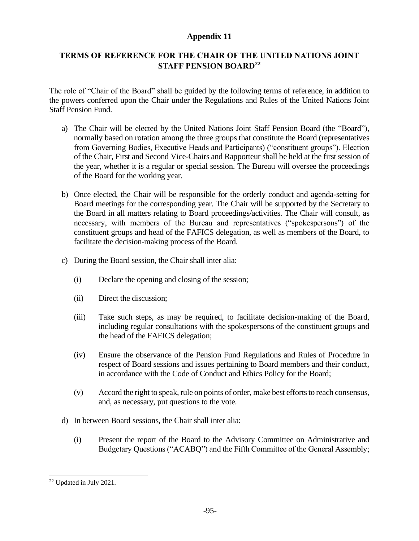# **TERMS OF REFERENCE FOR THE CHAIR OF THE UNITED NATIONS JOINT STAFF PENSION BOARD<sup>22</sup>**

The role of "Chair of the Board" shall be guided by the following terms of reference, in addition to the powers conferred upon the Chair under the Regulations and Rules of the United Nations Joint Staff Pension Fund.

- a) The Chair will be elected by the United Nations Joint Staff Pension Board (the "Board"), normally based on rotation among the three groups that constitute the Board (representatives from Governing Bodies, Executive Heads and Participants) ("constituent groups"). Election of the Chair, First and Second Vice-Chairs and Rapporteur shall be held at the first session of the year, whether it is a regular or special session. The Bureau will oversee the proceedings of the Board for the working year.
- b) Once elected, the Chair will be responsible for the orderly conduct and agenda-setting for Board meetings for the corresponding year. The Chair will be supported by the Secretary to the Board in all matters relating to Board proceedings/activities. The Chair will consult, as necessary, with members of the Bureau and representatives ("spokespersons") of the constituent groups and head of the FAFICS delegation, as well as members of the Board, to facilitate the decision-making process of the Board.
- c) During the Board session, the Chair shall inter alia:
	- (i) Declare the opening and closing of the session;
	- (ii) Direct the discussion;
	- (iii) Take such steps, as may be required, to facilitate decision-making of the Board, including regular consultations with the spokespersons of the constituent groups and the head of the FAFICS delegation;
	- (iv) Ensure the observance of the Pension Fund Regulations and Rules of Procedure in respect of Board sessions and issues pertaining to Board members and their conduct, in accordance with the Code of Conduct and Ethics Policy for the Board;
	- (v) Accord the right to speak, rule on points of order, make best efforts to reach consensus, and, as necessary, put questions to the vote.
- d) In between Board sessions, the Chair shall inter alia:
	- (i) Present the report of the Board to the Advisory Committee on Administrative and Budgetary Questions ("ACABQ") and the Fifth Committee of the General Assembly;

<sup>22</sup> Updated in July 2021.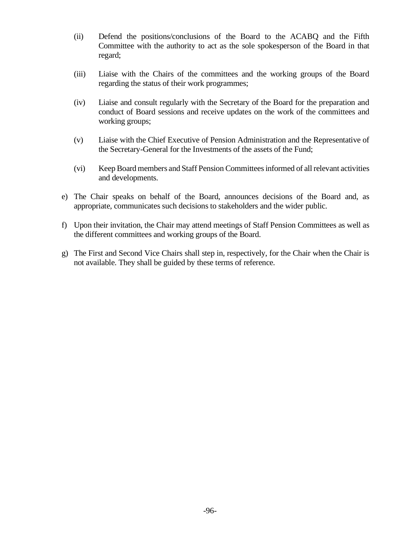- (ii) Defend the positions/conclusions of the Board to the ACABQ and the Fifth Committee with the authority to act as the sole spokesperson of the Board in that regard;
- (iii) Liaise with the Chairs of the committees and the working groups of the Board regarding the status of their work programmes;
- (iv) Liaise and consult regularly with the Secretary of the Board for the preparation and conduct of Board sessions and receive updates on the work of the committees and working groups;
- (v) Liaise with the Chief Executive of Pension Administration and the Representative of the Secretary-General for the Investments of the assets of the Fund;
- (vi) Keep Board members and Staff Pension Committees informed of all relevant activities and developments.
- e) The Chair speaks on behalf of the Board, announces decisions of the Board and, as appropriate, communicates such decisions to stakeholders and the wider public.
- f) Upon their invitation, the Chair may attend meetings of Staff Pension Committees as well as the different committees and working groups of the Board.
- g) The First and Second Vice Chairs shall step in, respectively, for the Chair when the Chair is not available. They shall be guided by these terms of reference.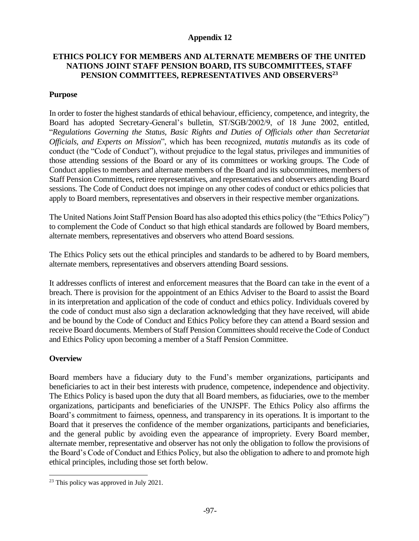### **ETHICS POLICY FOR MEMBERS AND ALTERNATE MEMBERS OF THE UNITED NATIONS JOINT STAFF PENSION BOARD, ITS SUBCOMMITTEES, STAFF PENSION COMMITTEES, REPRESENTATIVES AND OBSERVERS<sup>23</sup>**

#### **Purpose**

In order to foster the highest standards of ethical behaviour, efficiency, competence, and integrity, the Board has adopted Secretary-General's bulletin, ST/SGB/2002/9, of 18 June 2002, entitled, "*Regulations Governing the Status, Basic Rights and Duties of Officials other than Secretariat Officials, and Experts on Mission*", which has been recognized, *mutatis mutandis* as its code of conduct (the "Code of Conduct"), without prejudice to the legal status, privileges and immunities of those attending sessions of the Board or any of its committees or working groups. The Code of Conduct applies to members and alternate members of the Board and its subcommittees, members of Staff Pension Committees, retiree representatives, and representatives and observers attending Board sessions. The Code of Conduct does not impinge on any other codes of conduct or ethics policies that apply to Board members, representatives and observers in their respective member organizations.

The United Nations Joint Staff Pension Board has also adopted this ethics policy (the "Ethics Policy") to complement the Code of Conduct so that high ethical standards are followed by Board members, alternate members, representatives and observers who attend Board sessions.

The Ethics Policy sets out the ethical principles and standards to be adhered to by Board members, alternate members, representatives and observers attending Board sessions.

It addresses conflicts of interest and enforcement measures that the Board can take in the event of a breach. There is provision for the appointment of an Ethics Adviser to the Board to assist the Board in its interpretation and application of the code of conduct and ethics policy. Individuals covered by the code of conduct must also sign a declaration acknowledging that they have received, will abide and be bound by the Code of Conduct and Ethics Policy before they can attend a Board session and receive Board documents. Members of Staff Pension Committees should receive the Code of Conduct and Ethics Policy upon becoming a member of a Staff Pension Committee.

### **Overview**

Board members have a fiduciary duty to the Fund's member organizations, participants and beneficiaries to act in their best interests with prudence, competence, independence and objectivity. The Ethics Policy is based upon the duty that all Board members, as fiduciaries, owe to the member organizations, participants and beneficiaries of the UNJSPF. The Ethics Policy also affirms the Board's commitment to fairness, openness, and transparency in its operations. It is important to the Board that it preserves the confidence of the member organizations, participants and beneficiaries, and the general public by avoiding even the appearance of impropriety. Every Board member, alternate member, representative and observer has not only the obligation to follow the provisions of the Board's Code of Conduct and Ethics Policy, but also the obligation to adhere to and promote high ethical principles, including those set forth below.

<sup>&</sup>lt;sup>23</sup> This policy was approved in July 2021.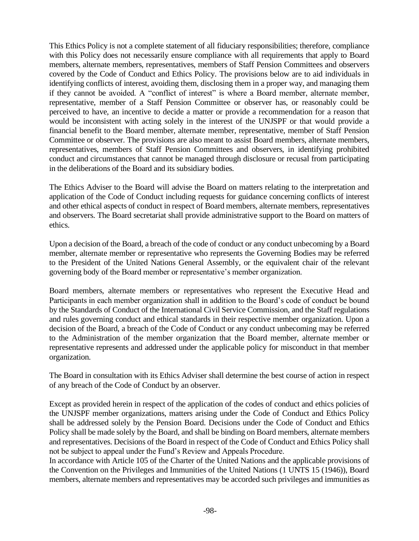This Ethics Policy is not a complete statement of all fiduciary responsibilities; therefore, compliance with this Policy does not necessarily ensure compliance with all requirements that apply to Board members, alternate members, representatives, members of Staff Pension Committees and observers covered by the Code of Conduct and Ethics Policy. The provisions below are to aid individuals in identifying conflicts of interest, avoiding them, disclosing them in a proper way, and managing them if they cannot be avoided. A "conflict of interest" is where a Board member, alternate member, representative, member of a Staff Pension Committee or observer has, or reasonably could be perceived to have, an incentive to decide a matter or provide a recommendation for a reason that would be inconsistent with acting solely in the interest of the UNJSPF or that would provide a financial benefit to the Board member, alternate member, representative, member of Staff Pension Committee or observer. The provisions are also meant to assist Board members, alternate members, representatives, members of Staff Pension Committees and observers, in identifying prohibited conduct and circumstances that cannot be managed through disclosure or recusal from participating in the deliberations of the Board and its subsidiary bodies.

The Ethics Adviser to the Board will advise the Board on matters relating to the interpretation and application of the Code of Conduct including requests for guidance concerning conflicts of interest and other ethical aspects of conduct in respect of Board members, alternate members, representatives and observers. The Board secretariat shall provide administrative support to the Board on matters of ethics.

Upon a decision of the Board, a breach of the code of conduct or any conduct unbecoming by a Board member, alternate member or representative who represents the Governing Bodies may be referred to the President of the United Nations General Assembly, or the equivalent chair of the relevant governing body of the Board member or representative's member organization.

Board members, alternate members or representatives who represent the Executive Head and Participants in each member organization shall in addition to the Board's code of conduct be bound by the Standards of Conduct of the International Civil Service Commission, and the Staff regulations and rules governing conduct and ethical standards in their respective member organization. Upon a decision of the Board, a breach of the Code of Conduct or any conduct unbecoming may be referred to the Administration of the member organization that the Board member, alternate member or representative represents and addressed under the applicable policy for misconduct in that member organization.

The Board in consultation with its Ethics Adviser shall determine the best course of action in respect of any breach of the Code of Conduct by an observer.

Except as provided herein in respect of the application of the codes of conduct and ethics policies of the UNJSPF member organizations, matters arising under the Code of Conduct and Ethics Policy shall be addressed solely by the Pension Board. Decisions under the Code of Conduct and Ethics Policy shall be made solely by the Board, and shall be binding on Board members, alternate members and representatives. Decisions of the Board in respect of the Code of Conduct and Ethics Policy shall not be subject to appeal under the Fund's Review and Appeals Procedure.

In accordance with Article 105 of the Charter of the United Nations and the applicable provisions of the Convention on the Privileges and Immunities of the United Nations (1 UNTS 15 (1946)), Board members, alternate members and representatives may be accorded such privileges and immunities as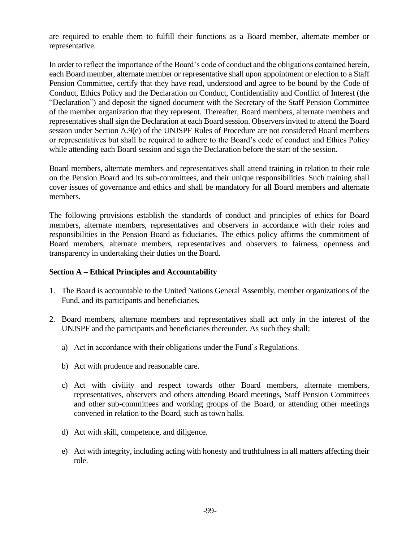are required to enable them to fulfill their functions as a Board member, alternate member or representative.

In order to reflect the importance of the Board's code of conduct and the obligations contained herein, each Board member, alternate member or representative shall upon appointment or election to a Staff Pension Committee, certify that they have read, understood and agree to be bound by the Code of Conduct, Ethics Policy and the Declaration on Conduct, Confidentiality and Conflict of Interest (the "Declaration") and deposit the signed document with the Secretary of the Staff Pension Committee of the member organization that they represent. Thereafter, Board members, alternate members and representatives shall sign the Declaration at each Board session. Observers invited to attend the Board session under Section A.9(e) of the UNJSPF Rules of Procedure are not considered Board members or representatives but shall be required to adhere to the Board's code of conduct and Ethics Policy while attending each Board session and sign the Declaration before the start of the session.

Board members, alternate members and representatives shall attend training in relation to their role on the Pension Board and its sub-committees, and their unique responsibilities. Such training shall cover issues of governance and ethics and shall be mandatory for all Board members and alternate members.

The following provisions establish the standards of conduct and principles of ethics for Board members, alternate members, representatives and observers in accordance with their roles and responsibilities in the Pension Board as fiduciaries. The ethics policy affirms the commitment of Board members, alternate members, representatives and observers to fairness, openness and transparency in undertaking their duties on the Board.

### **Section A – Ethical Principles and Accountability**

- 1. The Board is accountable to the United Nations General Assembly, member organizations of the Fund, and its participants and beneficiaries.
- 2. Board members, alternate members and representatives shall act only in the interest of the UNJSPF and the participants and beneficiaries thereunder. As such they shall:
	- a) Act in accordance with their obligations under the Fund's Regulations.
	- b) Act with prudence and reasonable care.
	- c) Act with civility and respect towards other Board members, alternate members, representatives, observers and others attending Board meetings, Staff Pension Committees and other sub-committees and working groups of the Board, or attending other meetings convened in relation to the Board, such as town halls.
	- d) Act with skill, competence, and diligence.
	- e) Act with integrity, including acting with honesty and truthfulness in all matters affecting their role.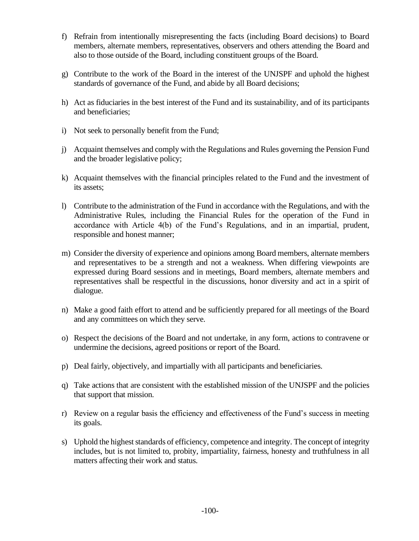- f) Refrain from intentionally misrepresenting the facts (including Board decisions) to Board members, alternate members, representatives, observers and others attending the Board and also to those outside of the Board, including constituent groups of the Board.
- g) Contribute to the work of the Board in the interest of the UNJSPF and uphold the highest standards of governance of the Fund, and abide by all Board decisions;
- h) Act as fiduciaries in the best interest of the Fund and its sustainability, and of its participants and beneficiaries;
- i) Not seek to personally benefit from the Fund;
- j) Acquaint themselves and comply with the Regulations and Rules governing the Pension Fund and the broader legislative policy;
- k) Acquaint themselves with the financial principles related to the Fund and the investment of its assets;
- l) Contribute to the administration of the Fund in accordance with the Regulations, and with the Administrative Rules, including the Financial Rules for the operation of the Fund in accordance with Article 4(b) of the Fund's Regulations, and in an impartial, prudent, responsible and honest manner;
- m) Consider the diversity of experience and opinions among Board members, alternate members and representatives to be a strength and not a weakness. When differing viewpoints are expressed during Board sessions and in meetings, Board members, alternate members and representatives shall be respectful in the discussions, honor diversity and act in a spirit of dialogue.
- n) Make a good faith effort to attend and be sufficiently prepared for all meetings of the Board and any committees on which they serve.
- o) Respect the decisions of the Board and not undertake, in any form, actions to contravene or undermine the decisions, agreed positions or report of the Board.
- p) Deal fairly, objectively, and impartially with all participants and beneficiaries.
- q) Take actions that are consistent with the established mission of the UNJSPF and the policies that support that mission.
- r) Review on a regular basis the efficiency and effectiveness of the Fund's success in meeting its goals.
- s) Uphold the highest standards of efficiency, competence and integrity. The concept of integrity includes, but is not limited to, probity, impartiality, fairness, honesty and truthfulness in all matters affecting their work and status.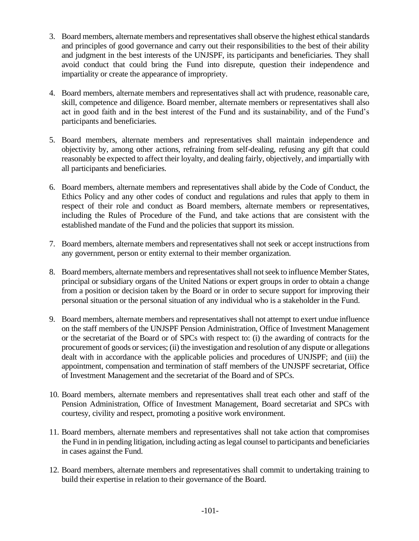- 3. Board members, alternate members and representatives shall observe the highest ethical standards and principles of good governance and carry out their responsibilities to the best of their ability and judgment in the best interests of the UNJSPF, its participants and beneficiaries. They shall avoid conduct that could bring the Fund into disrepute, question their independence and impartiality or create the appearance of impropriety.
- 4. Board members, alternate members and representatives shall act with prudence, reasonable care, skill, competence and diligence. Board member, alternate members or representatives shall also act in good faith and in the best interest of the Fund and its sustainability, and of the Fund's participants and beneficiaries.
- 5. Board members, alternate members and representatives shall maintain independence and objectivity by, among other actions, refraining from self-dealing, refusing any gift that could reasonably be expected to affect their loyalty, and dealing fairly, objectively, and impartially with all participants and beneficiaries.
- 6. Board members, alternate members and representatives shall abide by the Code of Conduct, the Ethics Policy and any other codes of conduct and regulations and rules that apply to them in respect of their role and conduct as Board members, alternate members or representatives, including the Rules of Procedure of the Fund, and take actions that are consistent with the established mandate of the Fund and the policies that support its mission.
- 7. Board members, alternate members and representatives shall not seek or accept instructions from any government, person or entity external to their member organization.
- 8. Board members, alternate members and representatives shall not seek to influence Member States, principal or subsidiary organs of the United Nations or expert groups in order to obtain a change from a position or decision taken by the Board or in order to secure support for improving their personal situation or the personal situation of any individual who is a stakeholder in the Fund.
- 9. Board members, alternate members and representatives shall not attempt to exert undue influence on the staff members of the UNJSPF Pension Administration, Office of Investment Management or the secretariat of the Board or of SPCs with respect to: (i) the awarding of contracts for the procurement of goods or services; (ii) the investigation and resolution of any dispute or allegations dealt with in accordance with the applicable policies and procedures of UNJSPF; and (iii) the appointment, compensation and termination of staff members of the UNJSPF secretariat, Office of Investment Management and the secretariat of the Board and of SPCs.
- 10. Board members, alternate members and representatives shall treat each other and staff of the Pension Administration, Office of Investment Management, Board secretariat and SPCs with courtesy, civility and respect, promoting a positive work environment.
- 11. Board members, alternate members and representatives shall not take action that compromises the Fund in in pending litigation, including acting as legal counsel to participants and beneficiaries in cases against the Fund.
- 12. Board members, alternate members and representatives shall commit to undertaking training to build their expertise in relation to their governance of the Board.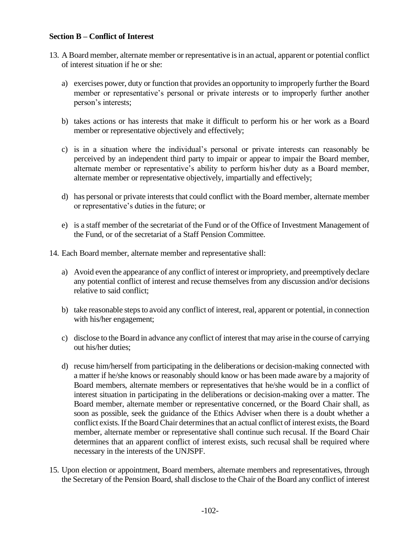### **Section B – Conflict of Interest**

- 13. A Board member, alternate member or representative is in an actual, apparent or potential conflict of interest situation if he or she:
	- a) exercises power, duty or function that provides an opportunity to improperly further the Board member or representative's personal or private interests or to improperly further another person's interests;
	- b) takes actions or has interests that make it difficult to perform his or her work as a Board member or representative objectively and effectively;
	- c) is in a situation where the individual's personal or private interests can reasonably be perceived by an independent third party to impair or appear to impair the Board member, alternate member or representative's ability to perform his/her duty as a Board member, alternate member or representative objectively, impartially and effectively;
	- d) has personal or private interests that could conflict with the Board member, alternate member or representative's duties in the future; or
	- e) is a staff member of the secretariat of the Fund or of the Office of Investment Management of the Fund, or of the secretariat of a Staff Pension Committee.
- 14. Each Board member, alternate member and representative shall:
	- a) Avoid even the appearance of any conflict of interest or impropriety, and preemptively declare any potential conflict of interest and recuse themselves from any discussion and/or decisions relative to said conflict;
	- b) take reasonable steps to avoid any conflict of interest, real, apparent or potential, in connection with his/her engagement;
	- c) disclose to the Board in advance any conflict of interest that may arise in the course of carrying out his/her duties;
	- d) recuse him/herself from participating in the deliberations or decision-making connected with a matter if he/she knows or reasonably should know or has been made aware by a majority of Board members, alternate members or representatives that he/she would be in a conflict of interest situation in participating in the deliberations or decision-making over a matter. The Board member, alternate member or representative concerned, or the Board Chair shall, as soon as possible, seek the guidance of the Ethics Adviser when there is a doubt whether a conflict exists. If the Board Chair determines that an actual conflict of interest exists, the Board member, alternate member or representative shall continue such recusal. If the Board Chair determines that an apparent conflict of interest exists, such recusal shall be required where necessary in the interests of the UNJSPF.
- 15. Upon election or appointment, Board members, alternate members and representatives, through the Secretary of the Pension Board, shall disclose to the Chair of the Board any conflict of interest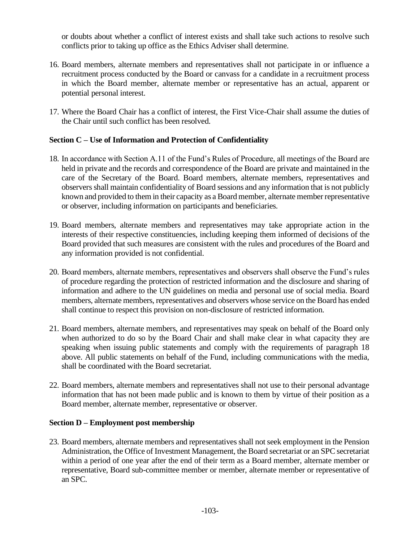or doubts about whether a conflict of interest exists and shall take such actions to resolve such conflicts prior to taking up office as the Ethics Adviser shall determine.

- 16. Board members, alternate members and representatives shall not participate in or influence a recruitment process conducted by the Board or canvass for a candidate in a recruitment process in which the Board member, alternate member or representative has an actual, apparent or potential personal interest.
- 17. Where the Board Chair has a conflict of interest, the First Vice-Chair shall assume the duties of the Chair until such conflict has been resolved.

# **Section C – Use of Information and Protection of Confidentiality**

- 18. In accordance with Section A.11 of the Fund's Rules of Procedure, all meetings of the Board are held in private and the records and correspondence of the Board are private and maintained in the care of the Secretary of the Board. Board members, alternate members, representatives and observers shall maintain confidentiality of Board sessions and any information that is not publicly known and provided to them in their capacity as a Board member, alternate member representative or observer, including information on participants and beneficiaries.
- 19. Board members, alternate members and representatives may take appropriate action in the interests of their respective constituencies, including keeping them informed of decisions of the Board provided that such measures are consistent with the rules and procedures of the Board and any information provided is not confidential.
- 20. Board members, alternate members, representatives and observers shall observe the Fund's rules of procedure regarding the protection of restricted information and the disclosure and sharing of information and adhere to the UN guidelines on media and personal use of social media. Board members, alternate members, representatives and observers whose service on the Board has ended shall continue to respect this provision on non-disclosure of restricted information.
- 21. Board members, alternate members, and representatives may speak on behalf of the Board only when authorized to do so by the Board Chair and shall make clear in what capacity they are speaking when issuing public statements and comply with the requirements of paragraph 18 above. All public statements on behalf of the Fund, including communications with the media, shall be coordinated with the Board secretariat.
- 22. Board members, alternate members and representatives shall not use to their personal advantage information that has not been made public and is known to them by virtue of their position as a Board member, alternate member, representative or observer.

### **Section D – Employment post membership**

23. Board members, alternate members and representatives shall not seek employment in the Pension Administration, the Office of Investment Management, the Board secretariat or an SPC secretariat within a period of one year after the end of their term as a Board member, alternate member or representative, Board sub-committee member or member, alternate member or representative of an SPC.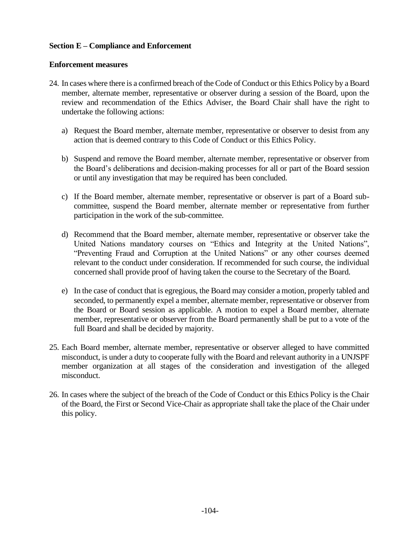# **Section E – Compliance and Enforcement**

# **Enforcement measures**

- 24. In cases where there is a confirmed breach of the Code of Conduct or this Ethics Policy by a Board member, alternate member, representative or observer during a session of the Board, upon the review and recommendation of the Ethics Adviser, the Board Chair shall have the right to undertake the following actions:
	- a) Request the Board member, alternate member, representative or observer to desist from any action that is deemed contrary to this Code of Conduct or this Ethics Policy.
	- b) Suspend and remove the Board member, alternate member, representative or observer from the Board's deliberations and decision-making processes for all or part of the Board session or until any investigation that may be required has been concluded.
	- c) If the Board member, alternate member, representative or observer is part of a Board subcommittee, suspend the Board member, alternate member or representative from further participation in the work of the sub-committee.
	- d) Recommend that the Board member, alternate member, representative or observer take the United Nations mandatory courses on "Ethics and Integrity at the United Nations", "Preventing Fraud and Corruption at the United Nations" or any other courses deemed relevant to the conduct under consideration. If recommended for such course, the individual concerned shall provide proof of having taken the course to the Secretary of the Board.
	- e) In the case of conduct that is egregious, the Board may consider a motion, properly tabled and seconded, to permanently expel a member, alternate member, representative or observer from the Board or Board session as applicable. A motion to expel a Board member, alternate member, representative or observer from the Board permanently shall be put to a vote of the full Board and shall be decided by majority.
- 25. Each Board member, alternate member, representative or observer alleged to have committed misconduct, is under a duty to cooperate fully with the Board and relevant authority in a UNJSPF member organization at all stages of the consideration and investigation of the alleged misconduct.
- 26. In cases where the subject of the breach of the Code of Conduct or this Ethics Policy is the Chair of the Board, the First or Second Vice-Chair as appropriate shall take the place of the Chair under this policy.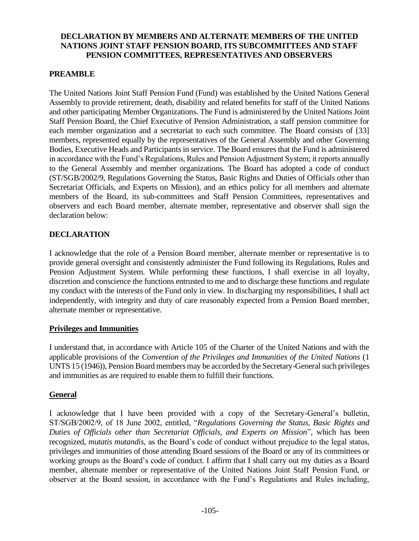# **DECLARATION BY MEMBERS AND ALTERNATE MEMBERS OF THE UNITED NATIONS JOINT STAFF PENSION BOARD, ITS SUBCOMMITTEES AND STAFF PENSION COMMITTEES, REPRESENTATIVES AND OBSERVERS**

# **PREAMBLE**

The United Nations Joint Staff Pension Fund (Fund) was established by the United Nations General Assembly to provide retirement, death, disability and related benefits for staff of the United Nations and other participating Member Organizations. The Fund is administered by the United Nations Joint Staff Pension Board, the Chief Executive of Pension Administration, a staff pension committee for each member organization and a secretariat to each such committee. The Board consists of [33] members, represented equally by the representatives of the General Assembly and other Governing Bodies, Executive Heads and Participants in service. The Board ensures that the Fund is administered in accordance with the Fund's Regulations, Rules and Pension Adjustment System; it reports annually to the General Assembly and member organizations. The Board has adopted a code of conduct (ST/SGB/2002/9, Regulations Governing the Status, Basic Rights and Duties of Officials other than Secretariat Officials, and Experts on Mission), and an ethics policy for all members and alternate members of the Board, its sub-committees and Staff Pension Committees, representatives and observers and each Board member, alternate member, representative and observer shall sign the declaration below:

## **DECLARATION**

I acknowledge that the role of a Pension Board member, alternate member or representative is to provide general oversight and consistently administer the Fund following its Regulations, Rules and Pension Adjustment System. While performing these functions, I shall exercise in all loyalty, discretion and conscience the functions entrusted to me and to discharge these functions and regulate my conduct with the interests of the Fund only in view. In discharging my responsibilities, I shall act independently, with integrity and duty of care reasonably expected from a Pension Board member, alternate member or representative.

## **Privileges and Immunities**

I understand that, in accordance with Article 105 of the Charter of the United Nations and with the applicable provisions of the *Convention of the Privileges and Immunities of the United Nations* (1 UNTS 15 (1946)), Pension Board members may be accorded by the Secretary-General such privileges and immunities as are required to enable them to fulfill their functions.

# **General**

I acknowledge that I have been provided with a copy of the Secretary-General's bulletin, ST/SGB/2002/9, of 18 June 2002, entitled, "*Regulations Governing the Status, Basic Rights and Duties of Officials other than Secretariat Officials, and Experts on Mission*", which has been recognized, *mutatis mutandis*, as the Board's code of conduct without prejudice to the legal status, privileges and immunities of those attending Board sessions of the Board or any of its committees or working groups as the Board's code of conduct. I affirm that I shall carry out my duties as a Board member, alternate member or representative of the United Nations Joint Staff Pension Fund, or observer at the Board session, in accordance with the Fund's Regulations and Rules including,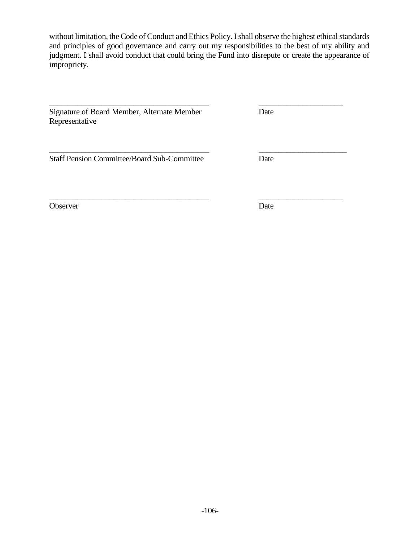without limitation, the Code of Conduct and Ethics Policy. I shall observe the highest ethical standards and principles of good governance and carry out my responsibilities to the best of my ability and judgment. I shall avoid conduct that could bring the Fund into disrepute or create the appearance of impropriety.

\_\_\_\_\_\_\_\_\_\_\_\_\_\_\_\_\_\_\_\_\_\_\_\_\_\_\_\_\_\_\_\_\_\_\_\_\_\_\_\_ \_\_\_\_\_\_\_\_\_\_\_\_\_\_\_\_\_\_\_\_\_

Signature of Board Member, Alternate Member Date Representative

\_\_\_\_\_\_\_\_\_\_\_\_\_\_\_\_\_\_\_\_\_\_\_\_\_\_\_\_\_\_\_\_\_\_\_\_\_\_\_\_ \_\_\_\_\_\_\_\_\_\_\_\_\_\_\_\_\_\_\_\_\_\_ Staff Pension Committee/Board Sub-Committee Date

Observer Date

\_\_\_\_\_\_\_\_\_\_\_\_\_\_\_\_\_\_\_\_\_\_\_\_\_\_\_\_\_\_\_\_\_\_\_\_\_\_\_\_ \_\_\_\_\_\_\_\_\_\_\_\_\_\_\_\_\_\_\_\_\_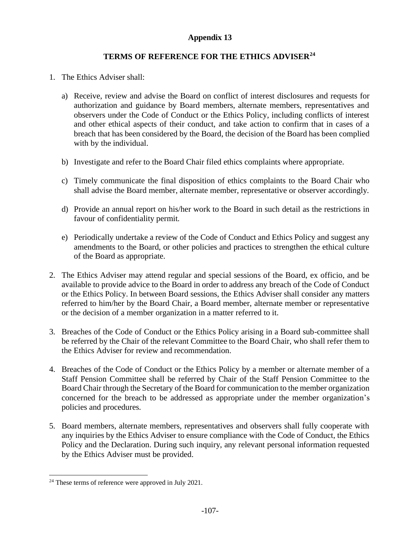# **Appendix 13**

# **TERMS OF REFERENCE FOR THE ETHICS ADVISER<sup>24</sup>**

- 1. The Ethics Adviser shall:
	- a) Receive, review and advise the Board on conflict of interest disclosures and requests for authorization and guidance by Board members, alternate members, representatives and observers under the Code of Conduct or the Ethics Policy, including conflicts of interest and other ethical aspects of their conduct, and take action to confirm that in cases of a breach that has been considered by the Board, the decision of the Board has been complied with by the individual.
	- b) Investigate and refer to the Board Chair filed ethics complaints where appropriate.
	- c) Timely communicate the final disposition of ethics complaints to the Board Chair who shall advise the Board member, alternate member, representative or observer accordingly.
	- d) Provide an annual report on his/her work to the Board in such detail as the restrictions in favour of confidentiality permit.
	- e) Periodically undertake a review of the Code of Conduct and Ethics Policy and suggest any amendments to the Board, or other policies and practices to strengthen the ethical culture of the Board as appropriate.
- 2. The Ethics Adviser may attend regular and special sessions of the Board, ex officio, and be available to provide advice to the Board in order to address any breach of the Code of Conduct or the Ethics Policy. In between Board sessions, the Ethics Adviser shall consider any matters referred to him/her by the Board Chair, a Board member, alternate member or representative or the decision of a member organization in a matter referred to it.
- 3. Breaches of the Code of Conduct or the Ethics Policy arising in a Board sub-committee shall be referred by the Chair of the relevant Committee to the Board Chair, who shall refer them to the Ethics Adviser for review and recommendation.
- 4. Breaches of the Code of Conduct or the Ethics Policy by a member or alternate member of a Staff Pension Committee shall be referred by Chair of the Staff Pension Committee to the Board Chair through the Secretary of the Board for communication to the member organization concerned for the breach to be addressed as appropriate under the member organization's policies and procedures.
- 5. Board members, alternate members, representatives and observers shall fully cooperate with any inquiries by the Ethics Adviser to ensure compliance with the Code of Conduct, the Ethics Policy and the Declaration. During such inquiry, any relevant personal information requested by the Ethics Adviser must be provided.

<sup>&</sup>lt;sup>24</sup> These terms of reference were approved in July 2021.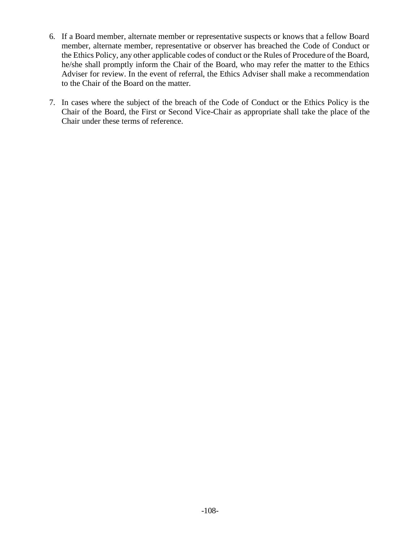- 6. If a Board member, alternate member or representative suspects or knows that a fellow Board member, alternate member, representative or observer has breached the Code of Conduct or the Ethics Policy, any other applicable codes of conduct or the Rules of Procedure of the Board, he/she shall promptly inform the Chair of the Board, who may refer the matter to the Ethics Adviser for review. In the event of referral, the Ethics Adviser shall make a recommendation to the Chair of the Board on the matter.
- 7. In cases where the subject of the breach of the Code of Conduct or the Ethics Policy is the Chair of the Board, the First or Second Vice-Chair as appropriate shall take the place of the Chair under these terms of reference.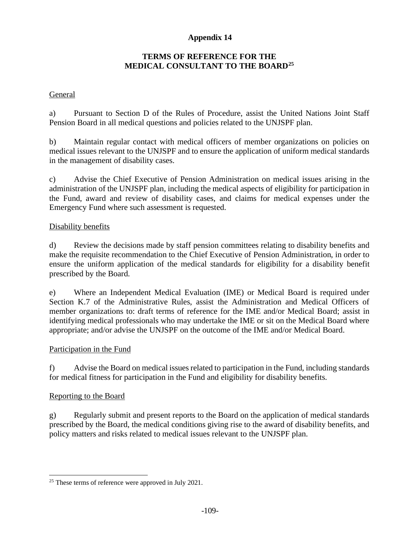# **Appendix 14**

# **TERMS OF REFERENCE FOR THE MEDICAL CONSULTANT TO THE BOARD<sup>25</sup>**

# General

a) Pursuant to Section D of the Rules of Procedure, assist the United Nations Joint Staff Pension Board in all medical questions and policies related to the UNJSPF plan.

b) Maintain regular contact with medical officers of member organizations on policies on medical issues relevant to the UNJSPF and to ensure the application of uniform medical standards in the management of disability cases.

c) Advise the Chief Executive of Pension Administration on medical issues arising in the administration of the UNJSPF plan, including the medical aspects of eligibility for participation in the Fund, award and review of disability cases, and claims for medical expenses under the Emergency Fund where such assessment is requested.

## Disability benefits

d) Review the decisions made by staff pension committees relating to disability benefits and make the requisite recommendation to the Chief Executive of Pension Administration, in order to ensure the uniform application of the medical standards for eligibility for a disability benefit prescribed by the Board.

e) Where an Independent Medical Evaluation (IME) or Medical Board is required under Section K.7 of the Administrative Rules, assist the Administration and Medical Officers of member organizations to: draft terms of reference for the IME and/or Medical Board; assist in identifying medical professionals who may undertake the IME or sit on the Medical Board where appropriate; and/or advise the UNJSPF on the outcome of the IME and/or Medical Board.

# Participation in the Fund

f) Advise the Board on medical issues related to participation in the Fund, including standards for medical fitness for participation in the Fund and eligibility for disability benefits.

# Reporting to the Board

g) Regularly submit and present reports to the Board on the application of medical standards prescribed by the Board, the medical conditions giving rise to the award of disability benefits, and policy matters and risks related to medical issues relevant to the UNJSPF plan.

<sup>&</sup>lt;sup>25</sup> These terms of reference were approved in July 2021.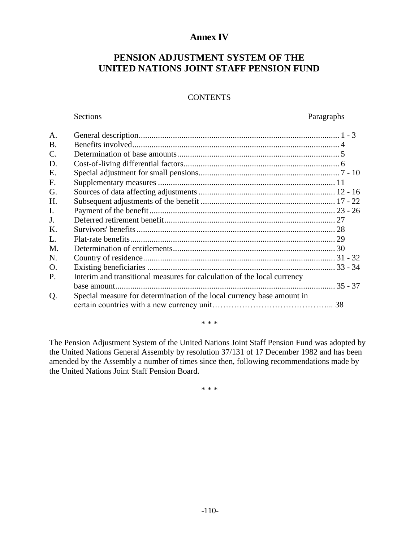## **Annex IV**

# **PENSION ADJUSTMENT SYSTEM OF THE UNITED NATIONS JOINT STAFF PENSION FUND**

## **CONTENTS**

#### Sections Paragraphs

| A.             |                                                                         |  |
|----------------|-------------------------------------------------------------------------|--|
| <b>B.</b>      |                                                                         |  |
| $\mathbf{C}$ . |                                                                         |  |
| D.             |                                                                         |  |
| E.             |                                                                         |  |
| F.             |                                                                         |  |
| G.             |                                                                         |  |
| H.             |                                                                         |  |
| $\mathbf{I}$ . |                                                                         |  |
| J.             |                                                                         |  |
| K.             |                                                                         |  |
| L.             |                                                                         |  |
| M.             |                                                                         |  |
| N.             |                                                                         |  |
| $\Omega$ .     |                                                                         |  |
| P.             | Interim and transitional measures for calculation of the local currency |  |
|                |                                                                         |  |
| Q.             | Special measure for determination of the local currency base amount in  |  |
|                |                                                                         |  |

\* \* \*

The Pension Adjustment System of the United Nations Joint Staff Pension Fund was adopted by the United Nations General Assembly by resolution 37/131 of 17 December 1982 and has been amended by the Assembly a number of times since then, following recommendations made by the United Nations Joint Staff Pension Board.

\* \* \*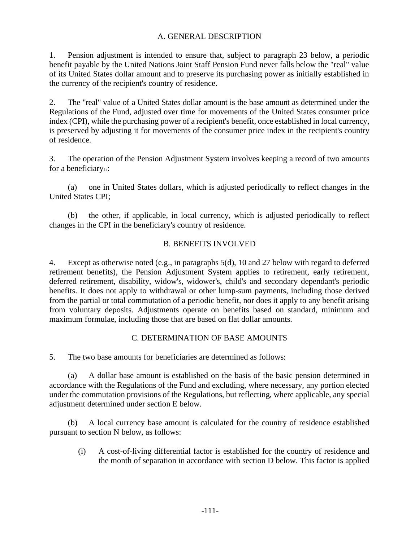# A. GENERAL DESCRIPTION

1. Pension adjustment is intended to ensure that, subject to paragraph 23 below, a periodic benefit payable by the United Nations Joint Staff Pension Fund never falls below the "real" value of its United States dollar amount and to preserve its purchasing power as initially established in the currency of the recipient's country of residence.

2. The "real" value of a United States dollar amount is the base amount as determined under the Regulations of the Fund, adjusted over time for movements of the United States consumer price index (CPI), while the purchasing power of a recipient's benefit, once established in local currency, is preserved by adjusting it for movements of the consumer price index in the recipient's country of residence.

3. The operation of the Pension Adjustment System involves keeping a record of two amounts for a beneficiary<sup>1</sup>.

(a) one in United States dollars, which is adjusted periodically to reflect changes in the United States CPI;

(b) the other, if applicable, in local currency, which is adjusted periodically to reflect changes in the CPI in the beneficiary's country of residence.

# B. BENEFITS INVOLVED

4. Except as otherwise noted (e.g., in paragraphs 5(d), 10 and 27 below with regard to deferred retirement benefits), the Pension Adjustment System applies to retirement, early retirement, deferred retirement, disability, widow's, widower's, child's and secondary dependant's periodic benefits. It does not apply to withdrawal or other lump-sum payments, including those derived from the partial or total commutation of a periodic benefit, nor does it apply to any benefit arising from voluntary deposits. Adjustments operate on benefits based on standard, minimum and maximum formulae, including those that are based on flat dollar amounts.

# C. DETERMINATION OF BASE AMOUNTS

5. The two base amounts for beneficiaries are determined as follows:

(a) A dollar base amount is established on the basis of the basic pension determined in accordance with the Regulations of the Fund and excluding, where necessary, any portion elected under the commutation provisions of the Regulations, but reflecting, where applicable, any special adjustment determined under section E below.

(b) A local currency base amount is calculated for the country of residence established pursuant to section N below, as follows:

 (i) A cost-of-living differential factor is established for the country of residence and the month of separation in accordance with section D below. This factor is applied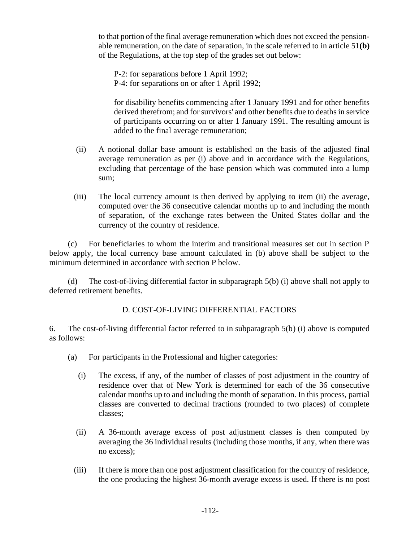to that portion of the final average remuneration which does not exceed the pensionable remuneration, on the date of separation, in the scale referred to in article 51**(b)** of the Regulations, at the top step of the grades set out below:

P-2: for separations before 1 April 1992;

P-4: for separations on or after 1 April 1992;

for disability benefits commencing after 1 January 1991 and for other benefits derived therefrom; and for survivors' and other benefits due to deaths in service of participants occurring on or after 1 January 1991. The resulting amount is added to the final average remuneration;

- (ii) A notional dollar base amount is established on the basis of the adjusted final average remuneration as per (i) above and in accordance with the Regulations, excluding that percentage of the base pension which was commuted into a lump sum;
- (iii) The local currency amount is then derived by applying to item (ii) the average, computed over the 36 consecutive calendar months up to and including the month of separation, of the exchange rates between the United States dollar and the currency of the country of residence.

(c) For beneficiaries to whom the interim and transitional measures set out in section P below apply, the local currency base amount calculated in (b) above shall be subject to the minimum determined in accordance with section P below.

(d) The cost-of-living differential factor in subparagraph 5(b) (i) above shall not apply to deferred retirement benefits.

# D. COST-OF-LIVING DIFFERENTIAL FACTORS

6. The cost-of-living differential factor referred to in subparagraph 5(b) (i) above is computed as follows:

- (a) For participants in the Professional and higher categories:
	- (i) The excess, if any, of the number of classes of post adjustment in the country of residence over that of New York is determined for each of the 36 consecutive calendar months up to and including the month of separation. In this process, partial classes are converted to decimal fractions (rounded to two places) of complete classes;
	- (ii) A 36-month average excess of post adjustment classes is then computed by averaging the 36 individual results (including those months, if any, when there was no excess);
	- (iii) If there is more than one post adjustment classification for the country of residence, the one producing the highest 36-month average excess is used. If there is no post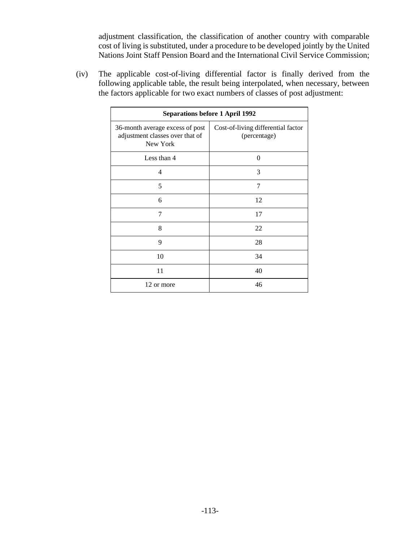adjustment classification, the classification of another country with comparable cost of living is substituted, under a procedure to be developed jointly by the United Nations Joint Staff Pension Board and the International Civil Service Commission;

(iv) The applicable cost-of-living differential factor is finally derived from the following applicable table, the result being interpolated, when necessary, between the factors applicable for two exact numbers of classes of post adjustment:

| <b>Separations before 1 April 1992</b>                                         |                                                    |  |
|--------------------------------------------------------------------------------|----------------------------------------------------|--|
| 36-month average excess of post<br>adjustment classes over that of<br>New York | Cost-of-living differential factor<br>(percentage) |  |
| Less than 4                                                                    | $\theta$                                           |  |
| $\overline{4}$                                                                 | 3                                                  |  |
| 5                                                                              | 7                                                  |  |
| 6                                                                              | 12                                                 |  |
| 7                                                                              | 17                                                 |  |
| 8                                                                              | 22                                                 |  |
| 9                                                                              | 28                                                 |  |
| 10                                                                             | 34                                                 |  |
| 11                                                                             | 40                                                 |  |
| 12 or more                                                                     | 46                                                 |  |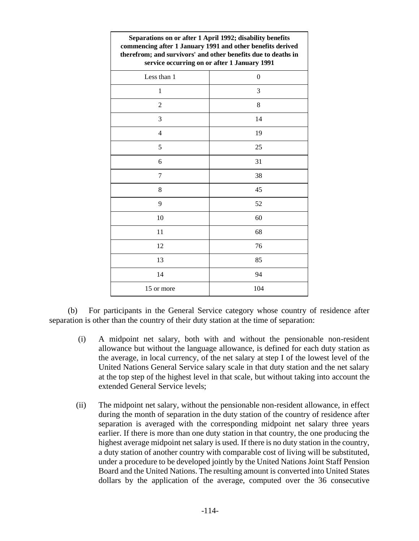| Separations on or after 1 April 1992; disability benefits<br>commencing after 1 January 1991 and other benefits derived<br>therefrom; and survivors' and other benefits due to deaths in<br>service occurring on or after 1 January 1991 |     |  |
|------------------------------------------------------------------------------------------------------------------------------------------------------------------------------------------------------------------------------------------|-----|--|
| Less than 1                                                                                                                                                                                                                              | 0   |  |
| 1                                                                                                                                                                                                                                        | 3   |  |
| $\overline{2}$                                                                                                                                                                                                                           | 8   |  |
| 3                                                                                                                                                                                                                                        | 14  |  |
| 4                                                                                                                                                                                                                                        | 19  |  |
| 5                                                                                                                                                                                                                                        | 25  |  |
| 6                                                                                                                                                                                                                                        | 31  |  |
| 7                                                                                                                                                                                                                                        | 38  |  |
| 8                                                                                                                                                                                                                                        | 45  |  |
| 9                                                                                                                                                                                                                                        | 52  |  |
| 10                                                                                                                                                                                                                                       | 60  |  |
| 11                                                                                                                                                                                                                                       | 68  |  |
| 12                                                                                                                                                                                                                                       | 76  |  |
| 13                                                                                                                                                                                                                                       | 85  |  |
| 14                                                                                                                                                                                                                                       | 94  |  |
| 15 or more                                                                                                                                                                                                                               | 104 |  |

(b) For participants in the General Service category whose country of residence after separation is other than the country of their duty station at the time of separation:

- (i) A midpoint net salary, both with and without the pensionable non-resident allowance but without the language allowance, is defined for each duty station as the average, in local currency, of the net salary at step I of the lowest level of the United Nations General Service salary scale in that duty station and the net salary at the top step of the highest level in that scale, but without taking into account the extended General Service levels;
- (ii) The midpoint net salary, without the pensionable non-resident allowance, in effect during the month of separation in the duty station of the country of residence after separation is averaged with the corresponding midpoint net salary three years earlier. If there is more than one duty station in that country, the one producing the highest average midpoint net salary is used. If there is no duty station in the country, a duty station of another country with comparable cost of living will be substituted, under a procedure to be developed jointly by the United Nations Joint Staff Pension Board and the United Nations. The resulting amount is converted into United States dollars by the application of the average, computed over the 36 consecutive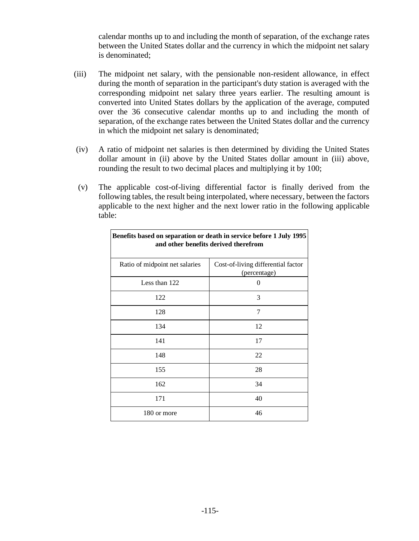calendar months up to and including the month of separation, of the exchange rates between the United States dollar and the currency in which the midpoint net salary is denominated;

- (iii) The midpoint net salary, with the pensionable non-resident allowance, in effect during the month of separation in the participant's duty station is averaged with the corresponding midpoint net salary three years earlier. The resulting amount is converted into United States dollars by the application of the average, computed over the 36 consecutive calendar months up to and including the month of separation, of the exchange rates between the United States dollar and the currency in which the midpoint net salary is denominated;
- (iv) A ratio of midpoint net salaries is then determined by dividing the United States dollar amount in (ii) above by the United States dollar amount in (iii) above, rounding the result to two decimal places and multiplying it by 100;
- (v) The applicable cost-of-living differential factor is finally derived from the following tables, the result being interpolated, where necessary, between the factors applicable to the next higher and the next lower ratio in the following applicable table:

| Denenis based on separation or acain in service before 1 0 aty 1990<br>and other benefits derived therefrom |                                                    |  |
|-------------------------------------------------------------------------------------------------------------|----------------------------------------------------|--|
| Ratio of midpoint net salaries                                                                              | Cost-of-living differential factor<br>(percentage) |  |
| Less than 122                                                                                               | 0                                                  |  |
| 122                                                                                                         | 3                                                  |  |
| 128                                                                                                         | 7                                                  |  |
| 134                                                                                                         | 12                                                 |  |
| 141                                                                                                         | 17                                                 |  |
| 148                                                                                                         | 22                                                 |  |
| 155                                                                                                         | 28                                                 |  |
| 162                                                                                                         | 34                                                 |  |
| 171                                                                                                         | 40                                                 |  |
| 180 or more                                                                                                 | 46                                                 |  |

**Benefits based on separation or death in service before 1 July 1995**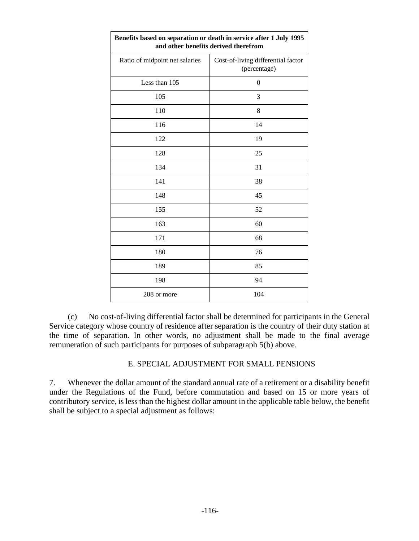| Benefits based on separation or death in service after 1 July 1995<br>and other benefits derived therefrom |                                                    |  |
|------------------------------------------------------------------------------------------------------------|----------------------------------------------------|--|
| Ratio of midpoint net salaries                                                                             | Cost-of-living differential factor<br>(percentage) |  |
| Less than 105                                                                                              | $\boldsymbol{0}$                                   |  |
| 105                                                                                                        | 3                                                  |  |
| 110                                                                                                        | 8                                                  |  |
| 116                                                                                                        | 14                                                 |  |
| 122                                                                                                        | 19                                                 |  |
| 128                                                                                                        | 25                                                 |  |
| 134                                                                                                        | 31                                                 |  |
| 141                                                                                                        | 38                                                 |  |
| 148                                                                                                        | 45                                                 |  |
| 155                                                                                                        | 52                                                 |  |
| 163                                                                                                        | 60                                                 |  |
| 171                                                                                                        | 68                                                 |  |
| 180                                                                                                        | 76                                                 |  |
| 189                                                                                                        | 85                                                 |  |
| 198                                                                                                        | 94                                                 |  |
| 208 or more                                                                                                | 104                                                |  |

(c) No cost-of-living differential factor shall be determined for participants in the General Service category whose country of residence after separation is the country of their duty station at the time of separation. In other words, no adjustment shall be made to the final average remuneration of such participants for purposes of subparagraph 5(b) above.

## E. SPECIAL ADJUSTMENT FOR SMALL PENSIONS

7. Whenever the dollar amount of the standard annual rate of a retirement or a disability benefit under the Regulations of the Fund, before commutation and based on 15 or more years of contributory service, is less than the highest dollar amount in the applicable table below, the benefit shall be subject to a special adjustment as follows: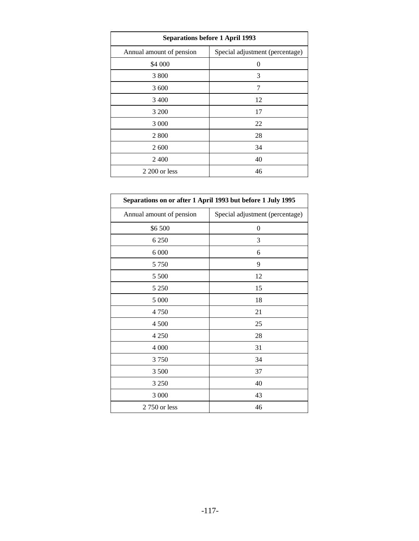| <b>Separations before 1 April 1993</b> |                                 |  |
|----------------------------------------|---------------------------------|--|
| Annual amount of pension               | Special adjustment (percentage) |  |
| \$4 000                                | 0                               |  |
| 3 800                                  | 3                               |  |
| 3 600                                  | 7                               |  |
| 3 4 0 0                                | 12                              |  |
| 3 200                                  | 17                              |  |
| 3 0 0 0                                | 22                              |  |
| 2 800                                  | 28                              |  |
| 2 600                                  | 34                              |  |
| 2400                                   | 40                              |  |
| 2 200 or less                          | 46                              |  |

| Separations on or after 1 April 1993 but before 1 July 1995 |                                 |  |  |
|-------------------------------------------------------------|---------------------------------|--|--|
| Annual amount of pension                                    | Special adjustment (percentage) |  |  |
| \$6500                                                      | $\boldsymbol{0}$                |  |  |
| 6 2 5 0                                                     | 3                               |  |  |
| 6 0 0 0                                                     | 6                               |  |  |
| 5 7 5 0                                                     | 9                               |  |  |
| 5 500                                                       | 12                              |  |  |
| 5 2 5 0                                                     | 15                              |  |  |
| 5 000                                                       | 18                              |  |  |
| 4750                                                        | 21                              |  |  |
| 4 500                                                       | 25                              |  |  |
| 4 2 5 0                                                     | 28                              |  |  |
| 4 0 0 0                                                     | 31                              |  |  |
| 3750                                                        | 34                              |  |  |
| 3 500                                                       | 37                              |  |  |
| 3 2 5 0                                                     | 40                              |  |  |
| 3 000                                                       | 43                              |  |  |
| 2 750 or less                                               | 46                              |  |  |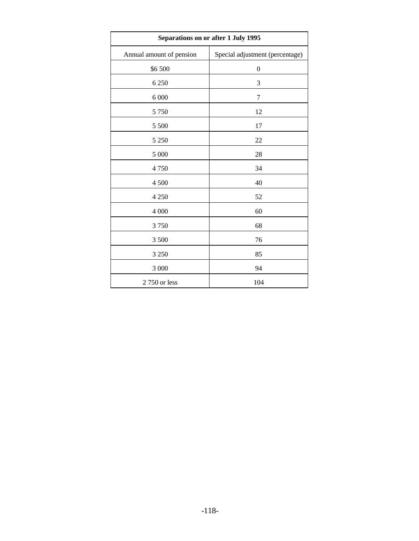| Separations on or after 1 July 1995 |                                 |  |
|-------------------------------------|---------------------------------|--|
| Annual amount of pension            | Special adjustment (percentage) |  |
| \$6 500                             | $\boldsymbol{0}$                |  |
| 6 2 5 0                             | 3                               |  |
| 6 000                               | 7                               |  |
| 5 7 5 0                             | 12                              |  |
| 5 500                               | 17                              |  |
| 5 2 5 0                             | 22                              |  |
| 5 000                               | 28                              |  |
| 4750                                | 34                              |  |
| 4 500                               | 40                              |  |
| 4 2 5 0                             | 52                              |  |
| 4 0 0 0                             | 60                              |  |
| 3750                                | 68                              |  |
| 3 500                               | 76                              |  |
| 3 2 5 0                             | 85                              |  |
| 3 000                               | 94                              |  |
| 2 750 or less                       | 104                             |  |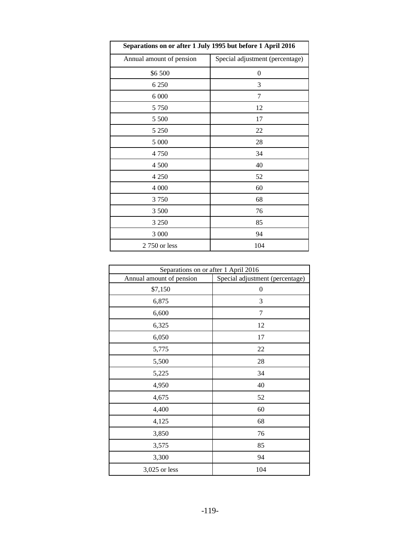| Separations on or after 1 July 1995 but before 1 April 2016 |                                 |  |
|-------------------------------------------------------------|---------------------------------|--|
| Annual amount of pension                                    | Special adjustment (percentage) |  |
| \$6500                                                      | 0                               |  |
| 6 2 5 0                                                     | 3                               |  |
| 6 000                                                       | 7                               |  |
| 5 7 5 0                                                     | 12                              |  |
| 5 500                                                       | 17                              |  |
| 5 2 5 0                                                     | 22                              |  |
| 5 000                                                       | 28                              |  |
| 4 7 5 0                                                     | 34                              |  |
| 4 500                                                       | 40                              |  |
| 4 2 5 0                                                     | 52                              |  |
| 4 000                                                       | 60                              |  |
| 3750                                                        | 68                              |  |
| 3 500                                                       | 76                              |  |
| 3 2 5 0                                                     | 85                              |  |
| 3 000                                                       | 94                              |  |
| 2 750 or less                                               | 104                             |  |

| Separations on or after 1 April 2016 |                                 |
|--------------------------------------|---------------------------------|
| Annual amount of pension             | Special adjustment (percentage) |
| \$7,150                              | $\boldsymbol{0}$                |
| 6,875                                | 3                               |
| 6,600                                | $\overline{7}$                  |
| 6,325                                | 12                              |
| 6,050                                | 17                              |
| 5,775                                | 22                              |
| 5,500                                | 28                              |
| 5,225                                | 34                              |
| 4,950                                | 40                              |
| 4,675                                | 52                              |
| 4,400                                | 60                              |
| 4,125                                | 68                              |
| 3,850                                | 76                              |
| 3,575                                | 85                              |
| 3,300                                | 94                              |
| 3,025 or less                        | 104                             |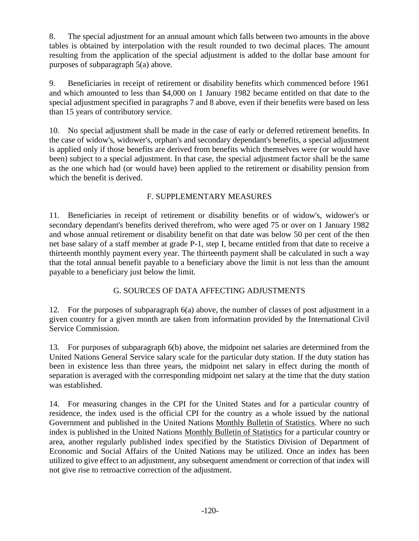8. The special adjustment for an annual amount which falls between two amounts in the above tables is obtained by interpolation with the result rounded to two decimal places. The amount resulting from the application of the special adjustment is added to the dollar base amount for purposes of subparagraph 5(a) above.

9. Beneficiaries in receipt of retirement or disability benefits which commenced before 1961 and which amounted to less than \$4,000 on 1 January 1982 became entitled on that date to the special adjustment specified in paragraphs 7 and 8 above, even if their benefits were based on less than 15 years of contributory service.

10. No special adjustment shall be made in the case of early or deferred retirement benefits. In the case of widow's, widower's, orphan's and secondary dependant's benefits, a special adjustment is applied only if those benefits are derived from benefits which themselves were (or would have been) subject to a special adjustment. In that case, the special adjustment factor shall be the same as the one which had (or would have) been applied to the retirement or disability pension from which the benefit is derived.

# F. SUPPLEMENTARY MEASURES

11. Beneficiaries in receipt of retirement or disability benefits or of widow's, widower's or secondary dependant's benefits derived therefrom, who were aged 75 or over on 1 January 1982 and whose annual retirement or disability benefit on that date was below 50 per cent of the then net base salary of a staff member at grade P-1, step I, became entitled from that date to receive a thirteenth monthly payment every year. The thirteenth payment shall be calculated in such a way that the total annual benefit payable to a beneficiary above the limit is not less than the amount payable to a beneficiary just below the limit.

# G. SOURCES OF DATA AFFECTING ADJUSTMENTS

12. For the purposes of subparagraph 6(a) above, the number of classes of post adjustment in a given country for a given month are taken from information provided by the International Civil Service Commission.

13. For purposes of subparagraph 6(b) above, the midpoint net salaries are determined from the United Nations General Service salary scale for the particular duty station. If the duty station has been in existence less than three years, the midpoint net salary in effect during the month of separation is averaged with the corresponding midpoint net salary at the time that the duty station was established.

14. For measuring changes in the CPI for the United States and for a particular country of residence, the index used is the official CPI for the country as a whole issued by the national Government and published in the United Nations Monthly Bulletin of Statistics. Where no such index is published in the United Nations Monthly Bulletin of Statistics for a particular country or area, another regularly published index specified by the Statistics Division of Department of Economic and Social Affairs of the United Nations may be utilized. Once an index has been utilized to give effect to an adjustment, any subsequent amendment or correction of that index will not give rise to retroactive correction of the adjustment.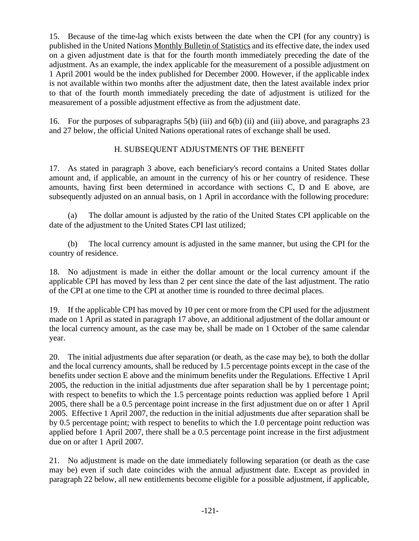15. Because of the time-lag which exists between the date when the CPI (for any country) is published in the United Nations Monthly Bulletin of Statistics and its effective date, the index used on a given adjustment date is that for the fourth month immediately preceding the date of the adjustment. As an example, the index applicable for the measurement of a possible adjustment on 1 April 2001 would be the index published for December 2000. However, if the applicable index is not available within two months after the adjustment date, then the latest available index prior to that of the fourth month immediately preceding the date of adjustment is utilized for the measurement of a possible adjustment effective as from the adjustment date.

16. For the purposes of subparagraphs 5(b) (iii) and 6(b) (ii) and (iii) above, and paragraphs 23 and 27 below, the official United Nations operational rates of exchange shall be used.

# H. SUBSEQUENT ADJUSTMENTS OF THE BENEFIT

17. As stated in paragraph 3 above, each beneficiary's record contains a United States dollar amount and, if applicable, an amount in the currency of his or her country of residence. These amounts, having first been determined in accordance with sections C, D and E above, are subsequently adjusted on an annual basis, on 1 April in accordance with the following procedure:

(a) The dollar amount is adjusted by the ratio of the United States CPI applicable on the date of the adjustment to the United States CPI last utilized;

(b) The local currency amount is adjusted in the same manner, but using the CPI for the country of residence.

18. No adjustment is made in either the dollar amount or the local currency amount if the applicable CPI has moved by less than 2 per cent since the date of the last adjustment. The ratio of the CPI at one time to the CPI at another time is rounded to three decimal places.

19. If the applicable CPI has moved by 10 per cent or more from the CPI used for the adjustment made on 1 April as stated in paragraph 17 above, an additional adjustment of the dollar amount or the local currency amount, as the case may be, shall be made on 1 October of the same calendar year.

20. The initial adjustments due after separation (or death, as the case may be), to both the dollar and the local currency amounts, shall be reduced by 1.5 percentage points except in the case of the benefits under section E above and the minimum benefits under the Regulations. Effective 1 April 2005, the reduction in the initial adjustments due after separation shall be by 1 percentage point; with respect to benefits to which the 1.5 percentage points reduction was applied before 1 April 2005, there shall be a 0.5 percentage point increase in the first adjustment due on or after 1 April 2005. Effective 1 April 2007, the reduction in the initial adjustments due after separation shall be by 0.5 percentage point; with respect to benefits to which the 1.0 percentage point reduction was applied before 1 April 2007, there shall be a 0.5 percentage point increase in the first adjustment due on or after 1 April 2007.

21. No adjustment is made on the date immediately following separation (or death as the case may be) even if such date coincides with the annual adjustment date. Except as provided in paragraph 22 below, all new entitlements become eligible for a possible adjustment, if applicable,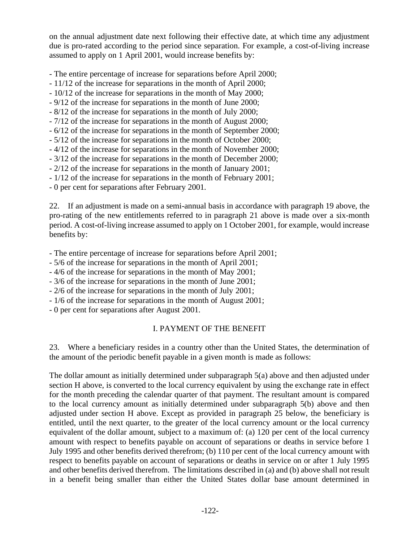on the annual adjustment date next following their effective date, at which time any adjustment due is pro-rated according to the period since separation. For example, a cost-of-living increase assumed to apply on 1 April 2001, would increase benefits by:

- The entire percentage of increase for separations before April 2000;

- 11/12 of the increase for separations in the month of April 2000;
- 10/12 of the increase for separations in the month of May 2000;
- 9/12 of the increase for separations in the month of June 2000;
- 8/12 of the increase for separations in the month of July 2000;
- 7/12 of the increase for separations in the month of August 2000;
- 6/12 of the increase for separations in the month of September 2000;
- 5/12 of the increase for separations in the month of October 2000;
- 4/12 of the increase for separations in the month of November 2000;
- 3/12 of the increase for separations in the month of December 2000;
- 2/12 of the increase for separations in the month of January 2001;
- 1/12 of the increase for separations in the month of February 2001;
- 0 per cent for separations after February 2001.

22. If an adjustment is made on a semi-annual basis in accordance with paragraph 19 above, the pro-rating of the new entitlements referred to in paragraph 21 above is made over a six-month period. A cost-of-living increase assumed to apply on 1 October 2001, for example, would increase benefits by:

- The entire percentage of increase for separations before April 2001;

- 5/6 of the increase for separations in the month of April 2001;
- 4/6 of the increase for separations in the month of May 2001;
- 3/6 of the increase for separations in the month of June 2001;
- 2/6 of the increase for separations in the month of July 2001;
- 1/6 of the increase for separations in the month of August 2001;
- 0 per cent for separations after August 2001.

# I. PAYMENT OF THE BENEFIT

23. Where a beneficiary resides in a country other than the United States, the determination of the amount of the periodic benefit payable in a given month is made as follows:

The dollar amount as initially determined under subparagraph 5(a) above and then adjusted under section H above, is converted to the local currency equivalent by using the exchange rate in effect for the month preceding the calendar quarter of that payment. The resultant amount is compared to the local currency amount as initially determined under subparagraph 5(b) above and then adjusted under section H above. Except as provided in paragraph 25 below, the beneficiary is entitled, until the next quarter, to the greater of the local currency amount or the local currency equivalent of the dollar amount, subject to a maximum of: (a) 120 per cent of the local currency amount with respect to benefits payable on account of separations or deaths in service before 1 July 1995 and other benefits derived therefrom; (b) 110 per cent of the local currency amount with respect to benefits payable on account of separations or deaths in service on or after 1 July 1995 and other benefits derived therefrom. The limitations described in (a) and (b) above shall not result in a benefit being smaller than either the United States dollar base amount determined in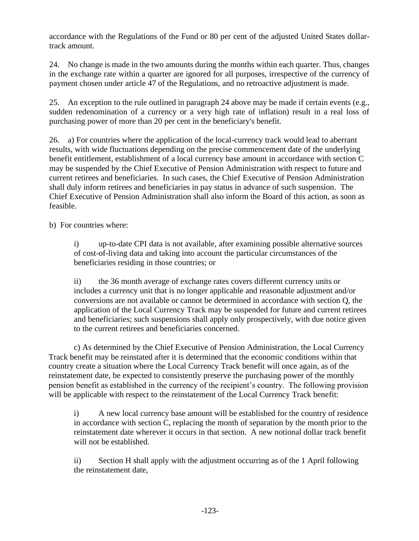accordance with the Regulations of the Fund or 80 per cent of the adjusted United States dollartrack amount.

24. No change is made in the two amounts during the months within each quarter. Thus, changes in the exchange rate within a quarter are ignored for all purposes, irrespective of the currency of payment chosen under article 47 of the Regulations, and no retroactive adjustment is made.

25. An exception to the rule outlined in paragraph 24 above may be made if certain events (e.g., sudden redenomination of a currency or a very high rate of inflation) result in a real loss of purchasing power of more than 20 per cent in the beneficiary's benefit.

26. a) For countries where the application of the local-currency track would lead to aberrant results, with wide fluctuations depending on the precise commencement date of the underlying benefit entitlement, establishment of a local currency base amount in accordance with section C may be suspended by the Chief Executive of Pension Administration with respect to future and current retirees and beneficiaries. In such cases, the Chief Executive of Pension Administration shall duly inform retirees and beneficiaries in pay status in advance of such suspension. The Chief Executive of Pension Administration shall also inform the Board of this action, as soon as feasible.

b) For countries where:

i) up-to-date CPI data is not available, after examining possible alternative sources of cost-of-living data and taking into account the particular circumstances of the beneficiaries residing in those countries; or

ii) the 36 month average of exchange rates covers different currency units or includes a currency unit that is no longer applicable and reasonable adjustment and/or conversions are not available or cannot be determined in accordance with section Q, the application of the Local Currency Track may be suspended for future and current retirees and beneficiaries; such suspensions shall apply only prospectively, with due notice given to the current retirees and beneficiaries concerned.

c) As determined by the Chief Executive of Pension Administration, the Local Currency Track benefit may be reinstated after it is determined that the economic conditions within that country create a situation where the Local Currency Track benefit will once again, as of the reinstatement date, be expected to consistently preserve the purchasing power of the monthly pension benefit as established in the currency of the recipient's country. The following provision will be applicable with respect to the reinstatement of the Local Currency Track benefit:

i) A new local currency base amount will be established for the country of residence in accordance with section C, replacing the month of separation by the month prior to the reinstatement date wherever it occurs in that section. A new notional dollar track benefit will not be established.

ii) Section H shall apply with the adjustment occurring as of the 1 April following the reinstatement date,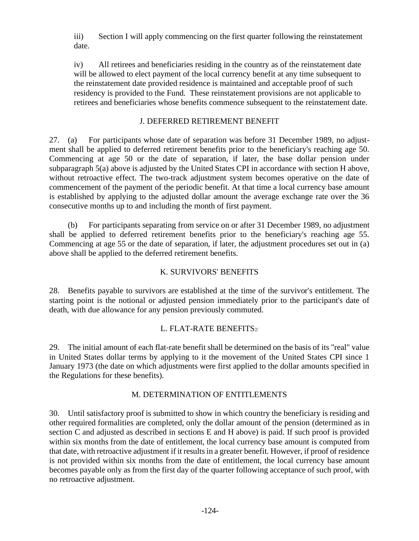iii) Section I will apply commencing on the first quarter following the reinstatement date.

iv) All retirees and beneficiaries residing in the country as of the reinstatement date will be allowed to elect payment of the local currency benefit at any time subsequent to the reinstatement date provided residence is maintained and acceptable proof of such residency is provided to the Fund. These reinstatement provisions are not applicable to retirees and beneficiaries whose benefits commence subsequent to the reinstatement date.

# J. DEFERRED RETIREMENT BENEFIT

27. (a) For participants whose date of separation was before 31 December 1989, no adjustment shall be applied to deferred retirement benefits prior to the beneficiary's reaching age 50. Commencing at age 50 or the date of separation, if later, the base dollar pension under subparagraph 5(a) above is adjusted by the United States CPI in accordance with section H above, without retroactive effect. The two-track adjustment system becomes operative on the date of commencement of the payment of the periodic benefit. At that time a local currency base amount is established by applying to the adjusted dollar amount the average exchange rate over the 36 consecutive months up to and including the month of first payment.

(b) For participants separating from service on or after 31 December 1989, no adjustment shall be applied to deferred retirement benefits prior to the beneficiary's reaching age 55. Commencing at age 55 or the date of separation, if later, the adjustment procedures set out in (a) above shall be applied to the deferred retirement benefits.

# K. SURVIVORS' BENEFITS

28. Benefits payable to survivors are established at the time of the survivor's entitlement. The starting point is the notional or adjusted pension immediately prior to the participant's date of death, with due allowance for any pension previously commuted.

# L. FLAT-RATE BENEFITS $2/$

29. The initial amount of each flat-rate benefit shall be determined on the basis of its "real" value in United States dollar terms by applying to it the movement of the United States CPI since 1 January 1973 (the date on which adjustments were first applied to the dollar amounts specified in the Regulations for these benefits).

# M. DETERMINATION OF ENTITLEMENTS

30. Until satisfactory proof is submitted to show in which country the beneficiary is residing and other required formalities are completed, only the dollar amount of the pension (determined as in section C and adjusted as described in sections E and H above) is paid. If such proof is provided within six months from the date of entitlement, the local currency base amount is computed from that date, with retroactive adjustment if it results in a greater benefit. However, if proof of residence is not provided within six months from the date of entitlement, the local currency base amount becomes payable only as from the first day of the quarter following acceptance of such proof, with no retroactive adjustment.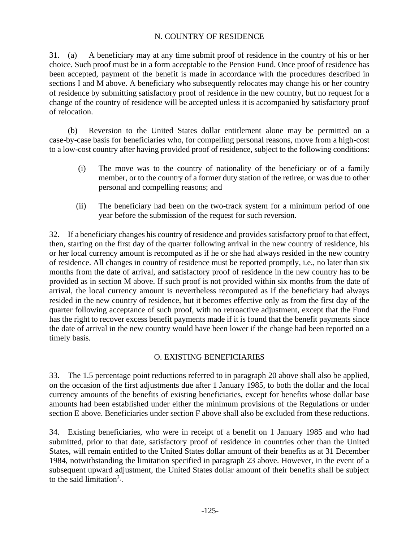# N. COUNTRY OF RESIDENCE

31. (a) A beneficiary may at any time submit proof of residence in the country of his or her choice. Such proof must be in a form acceptable to the Pension Fund. Once proof of residence has been accepted, payment of the benefit is made in accordance with the procedures described in sections I and M above. A beneficiary who subsequently relocates may change his or her country of residence by submitting satisfactory proof of residence in the new country, but no request for a change of the country of residence will be accepted unless it is accompanied by satisfactory proof of relocation.

(b) Reversion to the United States dollar entitlement alone may be permitted on a case-by-case basis for beneficiaries who, for compelling personal reasons, move from a high-cost to a low-cost country after having provided proof of residence, subject to the following conditions:

- (i) The move was to the country of nationality of the beneficiary or of a family member, or to the country of a former duty station of the retiree, or was due to other personal and compelling reasons; and
- (ii) The beneficiary had been on the two-track system for a minimum period of one year before the submission of the request for such reversion.

32. If a beneficiary changes his country of residence and provides satisfactory proof to that effect, then, starting on the first day of the quarter following arrival in the new country of residence, his or her local currency amount is recomputed as if he or she had always resided in the new country of residence. All changes in country of residence must be reported promptly, i.e., no later than six months from the date of arrival, and satisfactory proof of residence in the new country has to be provided as in section M above. If such proof is not provided within six months from the date of arrival, the local currency amount is nevertheless recomputed as if the beneficiary had always resided in the new country of residence, but it becomes effective only as from the first day of the quarter following acceptance of such proof, with no retroactive adjustment, except that the Fund has the right to recover excess benefit payments made if it is found that the benefit payments since the date of arrival in the new country would have been lower if the change had been reported on a timely basis.

# O. EXISTING BENEFICIARIES

33. The 1.5 percentage point reductions referred to in paragraph 20 above shall also be applied, on the occasion of the first adjustments due after 1 January 1985, to both the dollar and the local currency amounts of the benefits of existing beneficiaries, except for benefits whose dollar base amounts had been established under either the minimum provisions of the Regulations or under section E above. Beneficiaries under section F above shall also be excluded from these reductions.

34. Existing beneficiaries, who were in receipt of a benefit on 1 January 1985 and who had submitted, prior to that date, satisfactory proof of residence in countries other than the United States, will remain entitled to the United States dollar amount of their benefits as at 31 December 1984, notwithstanding the limitation specified in paragraph 23 above. However, in the event of a subsequent upward adjustment, the United States dollar amount of their benefits shall be subject to the said limitation<sup>3</sup>/.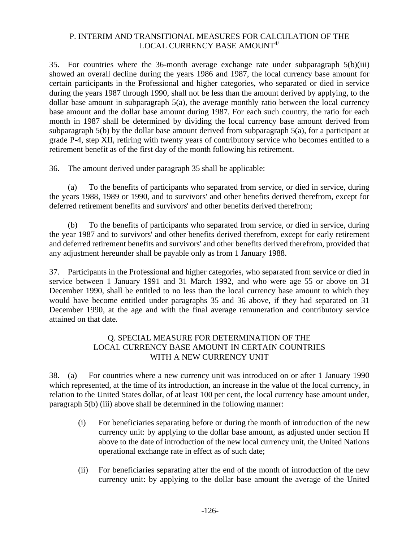## P. INTERIM AND TRANSITIONAL MEASURES FOR CALCULATION OF THE LOCAL CURRENCY BASE AMOUNT<sup>4/</sup>

35. For countries where the 36-month average exchange rate under subparagraph 5(b)(iii) showed an overall decline during the years 1986 and 1987, the local currency base amount for certain participants in the Professional and higher categories, who separated or died in service during the years 1987 through 1990, shall not be less than the amount derived by applying, to the dollar base amount in subparagraph 5(a), the average monthly ratio between the local currency base amount and the dollar base amount during 1987. For each such country, the ratio for each month in 1987 shall be determined by dividing the local currency base amount derived from subparagraph 5(b) by the dollar base amount derived from subparagraph 5(a), for a participant at grade P-4, step XII, retiring with twenty years of contributory service who becomes entitled to a retirement benefit as of the first day of the month following his retirement.

36. The amount derived under paragraph 35 shall be applicable:

(a) To the benefits of participants who separated from service, or died in service, during the years 1988, 1989 or 1990, and to survivors' and other benefits derived therefrom, except for deferred retirement benefits and survivors' and other benefits derived therefrom;

(b) To the benefits of participants who separated from service, or died in service, during the year 1987 and to survivors' and other benefits derived therefrom, except for early retirement and deferred retirement benefits and survivors' and other benefits derived therefrom, provided that any adjustment hereunder shall be payable only as from 1 January 1988.

37. Participants in the Professional and higher categories, who separated from service or died in service between 1 January 1991 and 31 March 1992, and who were age 55 or above on 31 December 1990, shall be entitled to no less than the local currency base amount to which they would have become entitled under paragraphs 35 and 36 above, if they had separated on 31 December 1990, at the age and with the final average remuneration and contributory service attained on that date.

# Q. SPECIAL MEASURE FOR DETERMINATION OF THE LOCAL CURRENCY BASE AMOUNT IN CERTAIN COUNTRIES WITH A NEW CURRENCY UNIT

38. (a) For countries where a new currency unit was introduced on or after 1 January 1990 which represented, at the time of its introduction, an increase in the value of the local currency, in relation to the United States dollar, of at least 100 per cent, the local currency base amount under, paragraph 5(b) (iii) above shall be determined in the following manner:

- (i) For beneficiaries separating before or during the month of introduction of the new currency unit: by applying to the dollar base amount, as adjusted under section H above to the date of introduction of the new local currency unit, the United Nations operational exchange rate in effect as of such date;
- (ii) For beneficiaries separating after the end of the month of introduction of the new currency unit: by applying to the dollar base amount the average of the United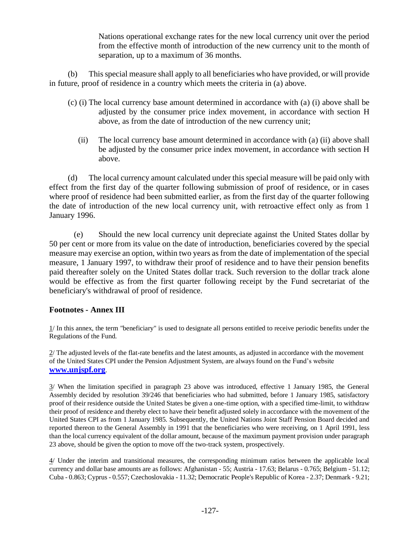Nations operational exchange rates for the new local currency unit over the period from the effective month of introduction of the new currency unit to the month of separation, up to a maximum of 36 months.

(b) This special measure shall apply to all beneficiaries who have provided, or will provide in future, proof of residence in a country which meets the criteria in (a) above.

- (c) (i) The local currency base amount determined in accordance with (a) (i) above shall be adjusted by the consumer price index movement, in accordance with section H above, as from the date of introduction of the new currency unit;
	- (ii) The local currency base amount determined in accordance with (a) (ii) above shall be adjusted by the consumer price index movement, in accordance with section H above.

(d) The local currency amount calculated under this special measure will be paid only with effect from the first day of the quarter following submission of proof of residence, or in cases where proof of residence had been submitted earlier, as from the first day of the quarter following the date of introduction of the new local currency unit, with retroactive effect only as from 1 January 1996.

(e) Should the new local currency unit depreciate against the United States dollar by 50 per cent or more from its value on the date of introduction, beneficiaries covered by the special measure may exercise an option, within two years as from the date of implementation of the special measure, 1 January 1997, to withdraw their proof of residence and to have their pension benefits paid thereafter solely on the United States dollar track. Such reversion to the dollar track alone would be effective as from the first quarter following receipt by the Fund secretariat of the beneficiary's withdrawal of proof of residence.

## **Footnotes - Annex III**

1/ In this annex, the term "beneficiary" is used to designate all persons entitled to receive periodic benefits under the Regulations of the Fund.

2/ The adjusted levels of the flat-rate benefits and the latest amounts, as adjusted in accordance with the movement of the United States CPI under the Pension Adjustment System, are always found on the Fund's website **[www.unjspf.org](http://www.unjspf.org/)**.

3/ When the limitation specified in paragraph 23 above was introduced, effective 1 January 1985, the General Assembly decided by resolution 39/246 that beneficiaries who had submitted, before 1 January 1985, satisfactory proof of their residence outside the United States be given a one-time option, with a specified time-limit, to withdraw their proof of residence and thereby elect to have their benefit adjusted solely in accordance with the movement of the United States CPI as from 1 January 1985. Subsequently, the United Nations Joint Staff Pension Board decided and reported thereon to the General Assembly in 1991 that the beneficiaries who were receiving, on 1 April 1991, less than the local currency equivalent of the dollar amount, because of the maximum payment provision under paragraph 23 above, should be given the option to move off the two-track system, prospectively.

4/ Under the interim and transitional measures, the corresponding minimum ratios between the applicable local currency and dollar base amounts are as follows: Afghanistan - 55; Austria - 17.63; Belarus - 0.765; Belgium - 51.12; Cuba - 0.863; Cyprus - 0.557; Czechoslovakia - 11.32; Democratic People's Republic of Korea - 2.37; Denmark - 9.21;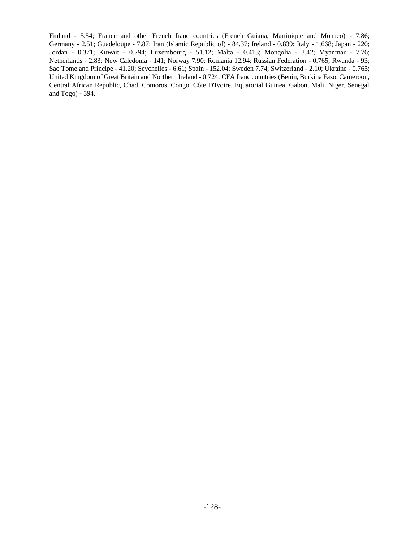Finland - 5.54; France and other French franc countries (French Guiana, Martinique and Monaco) - 7.86; Germany - 2.51; Guadeloupe - 7.87; Iran (Islamic Republic of) - 84.37; Ireland - 0.839; Italy - 1,668; Japan - 220; Jordan - 0.371; Kuwait - 0.294; Luxembourg - 51.12; Malta - 0.413; Mongolia - 3.42; Myanmar - 7.76; Netherlands - 2.83; New Caledonia - 141; Norway 7.90; Romania 12.94; Russian Federation - 0.765; Rwanda - 93; Sao Tome and Principe - 41.20; Seychelles - 6.61; Spain - 152.04; Sweden 7.74; Switzerland - 2.10; Ukraine - 0.765; United Kingdom of Great Britain and Northern Ireland - 0.724; CFA franc countries (Benin, Burkina Faso, Cameroon, Central African Republic, Chad, Comoros, Congo, Côte D'Ivoire, Equatorial Guinea, Gabon, Mali, Niger, Senegal and Togo) - 394.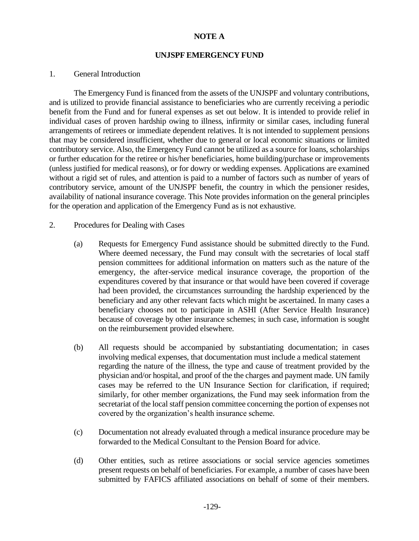## **NOTE A**

#### **UNJSPF EMERGENCY FUND**

#### 1. General Introduction

The Emergency Fund is financed from the assets of the UNJSPF and voluntary contributions, and is utilized to provide financial assistance to beneficiaries who are currently receiving a periodic benefit from the Fund and for funeral expenses as set out below. It is intended to provide relief in individual cases of proven hardship owing to illness, infirmity or similar cases, including funeral arrangements of retirees or immediate dependent relatives. It is not intended to supplement pensions that may be considered insufficient, whether due to general or local economic situations or limited contributory service. Also, the Emergency Fund cannot be utilized as a source for loans, scholarships or further education for the retiree or his/her beneficiaries, home building/purchase or improvements (unless justified for medical reasons), or for dowry or wedding expenses. Applications are examined without a rigid set of rules, and attention is paid to a number of factors such as number of years of contributory service, amount of the UNJSPF benefit, the country in which the pensioner resides, availability of national insurance coverage. This Note provides information on the general principles for the operation and application of the Emergency Fund as is not exhaustive.

#### 2. Procedures for Dealing with Cases

- (a) Requests for Emergency Fund assistance should be submitted directly to the Fund. Where deemed necessary, the Fund may consult with the secretaries of local staff pension committees for additional information on matters such as the nature of the emergency, the after-service medical insurance coverage, the proportion of the expenditures covered by that insurance or that would have been covered if coverage had been provided, the circumstances surrounding the hardship experienced by the beneficiary and any other relevant facts which might be ascertained. In many cases a beneficiary chooses not to participate in ASHI (After Service Health Insurance) because of coverage by other insurance schemes; in such case, information is sought on the reimbursement provided elsewhere.
- (b) All requests should be accompanied by substantiating documentation; in cases involving medical expenses, that documentation must include a medical statement regarding the nature of the illness, the type and cause of treatment provided by the physician and/or hospital, and proof of the the charges and payment made. UN family cases may be referred to the UN Insurance Section for clarification, if required; similarly, for other member organizations, the Fund may seek information from the secretariat of the local staff pension committee concerning the portion of expenses not covered by the organization's health insurance scheme.
- (c) Documentation not already evaluated through a medical insurance procedure may be forwarded to the Medical Consultant to the Pension Board for advice.
- (d) Other entities, such as retiree associations or social service agencies sometimes present requests on behalf of beneficiaries. For example, a number of cases have been submitted by FAFICS affiliated associations on behalf of some of their members.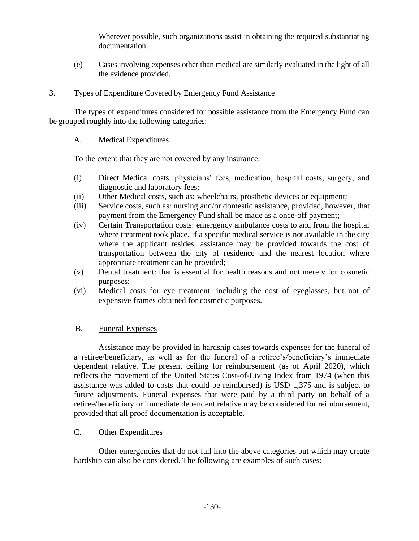Wherever possible, such organizations assist in obtaining the required substantiating documentation.

(e) Cases involving expenses other than medical are similarly evaluated in the light of all the evidence provided.

# 3. Types of Expenditure Covered by Emergency Fund Assistance

The types of expenditures considered for possible assistance from the Emergency Fund can be grouped roughly into the following categories:

# A. Medical Expenditures

To the extent that they are not covered by any insurance:

- (i) Direct Medical costs: physicians' fees, medication, hospital costs, surgery, and diagnostic and laboratory fees;
- (ii) Other Medical costs, such as: wheelchairs, prosthetic devices or equipment;
- (iii) Service costs, such as: nursing and/or domestic assistance, provided, however, that payment from the Emergency Fund shall be made as a once-off payment;
- (iv) Certain Transportation costs: emergency ambulance costs to and from the hospital where treatment took place. If a specific medical service is not available in the city where the applicant resides, assistance may be provided towards the cost of transportation between the city of residence and the nearest location where appropriate treatment can be provided;
- (v) Dental treatment: that is essential for health reasons and not merely for cosmetic purposes;
- (vi) Medical costs for eye treatment: including the cost of eyeglasses, but not of expensive frames obtained for cosmetic purposes.

# B. Funeral Expenses

Assistance may be provided in hardship cases towards expenses for the funeral of a retiree/beneficiary, as well as for the funeral of a retiree's/beneficiary's immediate dependent relative. The present ceiling for reimbursement (as of April 2020), which reflects the movement of the United States Cost-of-Living Index from 1974 (when this assistance was added to costs that could be reimbursed) is USD 1,375 and is subject to future adjustments. Funeral expenses that were paid by a third party on behalf of a retiree/beneficiary or immediate dependent relative may be considered for reimbursement, provided that all proof documentation is acceptable.

# C. Other Expenditures

Other emergencies that do not fall into the above categories but which may create hardship can also be considered. The following are examples of such cases: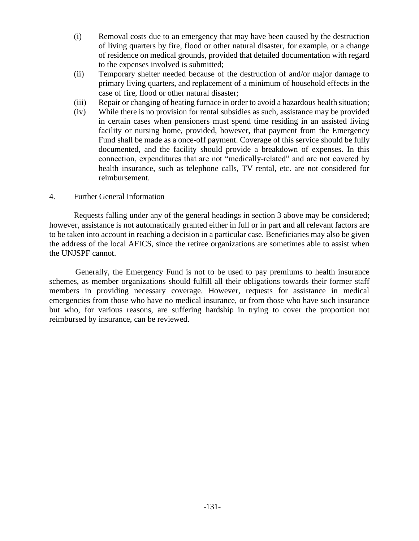- (i) Removal costs due to an emergency that may have been caused by the destruction of living quarters by fire, flood or other natural disaster, for example, or a change of residence on medical grounds, provided that detailed documentation with regard to the expenses involved is submitted;
- (ii) Temporary shelter needed because of the destruction of and/or major damage to primary living quarters, and replacement of a minimum of household effects in the case of fire, flood or other natural disaster;
- (iii) Repair or changing of heating furnace in order to avoid a hazardous health situation;
- (iv) While there is no provision for rental subsidies as such, assistance may be provided in certain cases when pensioners must spend time residing in an assisted living facility or nursing home, provided, however, that payment from the Emergency Fund shall be made as a once-off payment. Coverage of this service should be fully documented, and the facility should provide a breakdown of expenses. In this connection, expenditures that are not "medically-related" and are not covered by health insurance, such as telephone calls, TV rental, etc. are not considered for reimbursement.

## 4. Further General Information

Requests falling under any of the general headings in section 3 above may be considered; however, assistance is not automatically granted either in full or in part and all relevant factors are to be taken into account in reaching a decision in a particular case. Beneficiaries may also be given the address of the local AFICS, since the retiree organizations are sometimes able to assist when the UNJSPF cannot.

Generally, the Emergency Fund is not to be used to pay premiums to health insurance schemes, as member organizations should fulfill all their obligations towards their former staff members in providing necessary coverage. However, requests for assistance in medical emergencies from those who have no medical insurance, or from those who have such insurance but who, for various reasons, are suffering hardship in trying to cover the proportion not reimbursed by insurance, can be reviewed.